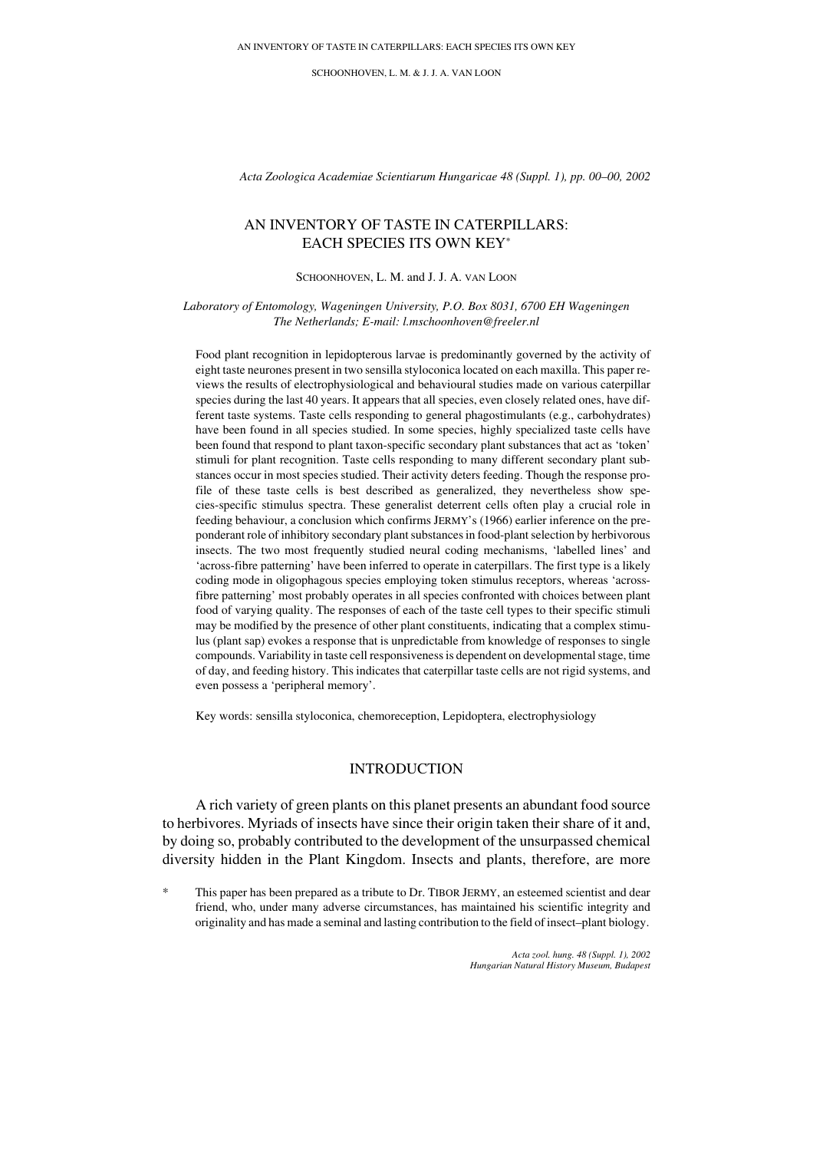SCHOONHOVEN, L. M. & J. J. A. VAN LOON

*Acta Zoologica Academiae Scientiarum Hungaricae 48 (Suppl. 1), pp. 00–00, 2002*

# AN INVENTORY OF TASTE IN CATERPILLARS: EACH SPECIES ITS OWN KEY\*

#### SCHOONHOVEN, L. M. and J. J. A. VAN LOON

#### *Laboratory of Entomology, Wageningen University, P.O. Box 8031, 6700 EH Wageningen The Netherlands; E-mail: l.mschoonhoven@freeler.nl*

Food plant recognition in lepidopterous larvae is predominantly governed by the activity of eight taste neurones present in two sensilla styloconica located on each maxilla. This paper reviews the results of electrophysiological and behavioural studies made on various caterpillar species during the last 40 years. It appears that all species, even closely related ones, have different taste systems. Taste cells responding to general phagostimulants (e.g., carbohydrates) have been found in all species studied. In some species, highly specialized taste cells have been found that respond to plant taxon-specific secondary plant substances that act as 'token' stimuli for plant recognition. Taste cells responding to many different secondary plant substances occur in most species studied. Their activity deters feeding. Though the response profile of these taste cells is best described as generalized, they nevertheless show species-specific stimulus spectra. These generalist deterrent cells often play a crucial role in feeding behaviour, a conclusion which confirms JERMY's (1966) earlier inference on the preponderant role of inhibitory secondary plant substances in food-plant selection by herbivorous insects. The two most frequently studied neural coding mechanisms, 'labelled lines' and 'across-fibre patterning' have been inferred to operate in caterpillars. The first type is a likely coding mode in oligophagous species employing token stimulus receptors, whereas 'acrossfibre patterning' most probably operates in all species confronted with choices between plant food of varying quality. The responses of each of the taste cell types to their specific stimuli may be modified by the presence of other plant constituents, indicating that a complex stimulus (plant sap) evokes a response that is unpredictable from knowledge of responses to single compounds. Variability in taste cell responsiveness is dependent on developmental stage, time of day, and feeding history. This indicates that caterpillar taste cells are not rigid systems, and even possess a 'peripheral memory'.

Key words: sensilla styloconica, chemoreception, Lepidoptera, electrophysiology

### INTRODUCTION

A rich variety of green plants on this planet presents an abundant food source to herbivores. Myriads of insects have since their origin taken their share of it and, by doing so, probably contributed to the development of the unsurpassed chemical diversity hidden in the Plant Kingdom. Insects and plants, therefore, are more

This paper has been prepared as a tribute to Dr. TIBOR JERMY, an esteemed scientist and dear friend, who, under many adverse circumstances, has maintained his scientific integrity and originality and has made a seminal and lasting contribution to the field of insect–plant biology.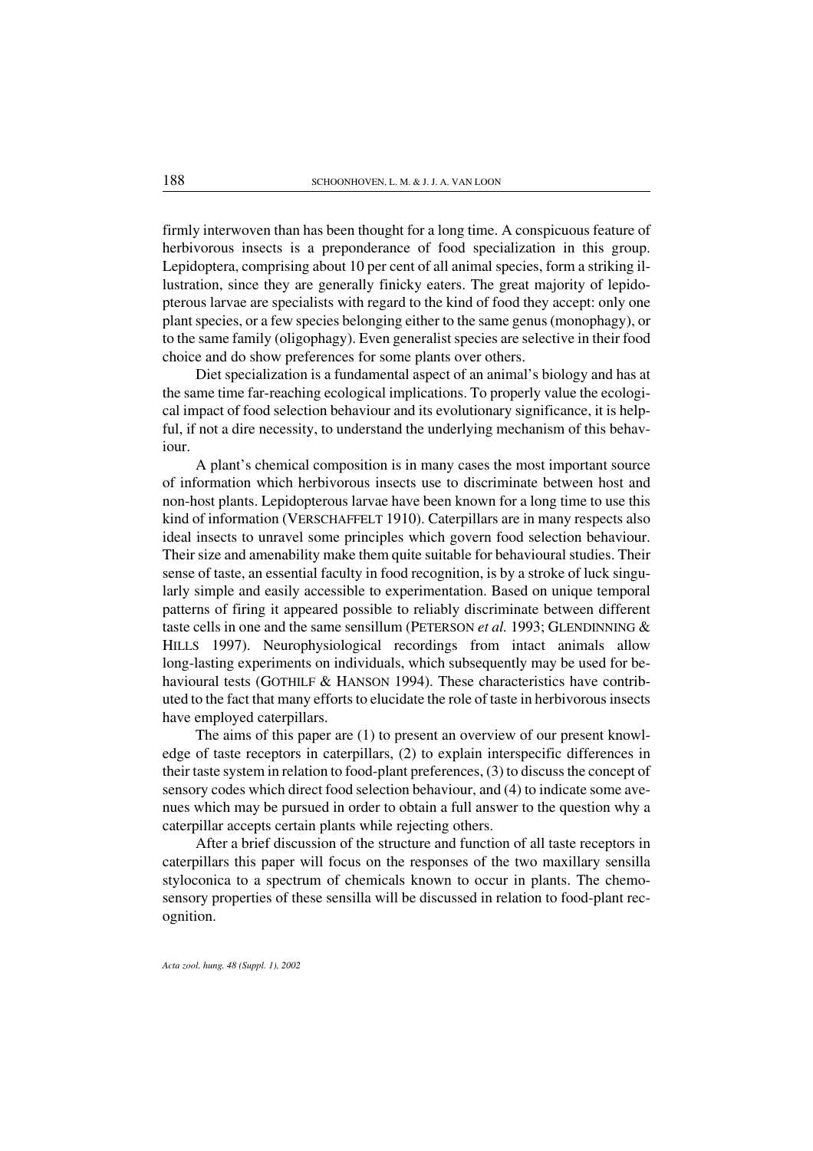firmly interwoven than has been thought for a long time. A conspicuous feature of herbivorous insects is a preponderance of food specialization in this group. Lepidoptera, comprising about 10 per cent of all animal species, form a striking illustration, since they are generally finicky eaters. The great majority of lepidopterous larvae are specialists with regard to the kind of food they accept: only one plant species, ora few species belonging eitherto the same genus (monophagy), or to the same family (oligophagy). Even generalist species are selective in their food choice and do show preferences for some plants over others.

Diet specialization is a fundamental aspect of an animal's biology and has at the same time far-reaching ecological implications. To properly value the ecological impact of food selection behaviour and its evolutionary significance, it is helpful, if not a dire necessity, to understand the underlying mechanism of this behaviour.

A plant's chemical composition is in many cases the most important source of information which herbivorous insects use to discriminate between host and non-host plants. Lepidopterous larvae have been known for a long time to use this kind of information (VERSCHAFFELT 1910). Caterpillars are in many respects also ideal insects to unravel some principles which govern food selection behaviour. Their size and amenability make them quite suitable for behavioural studies. Their sense of taste, an essential faculty in food recognition, is by a stroke of luck singularly simple and easily accessible to experimentation. Based on unique temporal patterns of firing it appeared possible to reliably discriminate between different taste cells in one and the same sensillum (PETERSON *et al.* 1993; GLENDINNING & HILLS 1997). Neurophysiological recordings from intact animals allow long-lasting experiments on individuals, which subsequently may be used for behavioural tests (GOTHILF & HANSON 1994). These characteristics have contributed to the fact that many efforts to elucidate the role of taste in herbivorous insects have employed caterpillars.

The aims of this paper are (1) to present an overview of our present knowledge of taste receptors in caterpillars, (2) to explain interspecific differences in their taste system in relation to food-plant preferences, (3) to discuss the concept of sensory codes which direct food selection behaviour, and (4) to indicate some avenues which may be pursued in order to obtain a full answer to the question why a caterpillar accepts certain plants while rejecting others.

After a brief discussion of the structure and function of all taste receptors in caterpillars this paper will focus on the responses of the two maxillary sensilla styloconica to a spectrum of chemicals known to occur in plants. The chemosensory properties of these sensilla will be discussed in relation to food-plant recognition.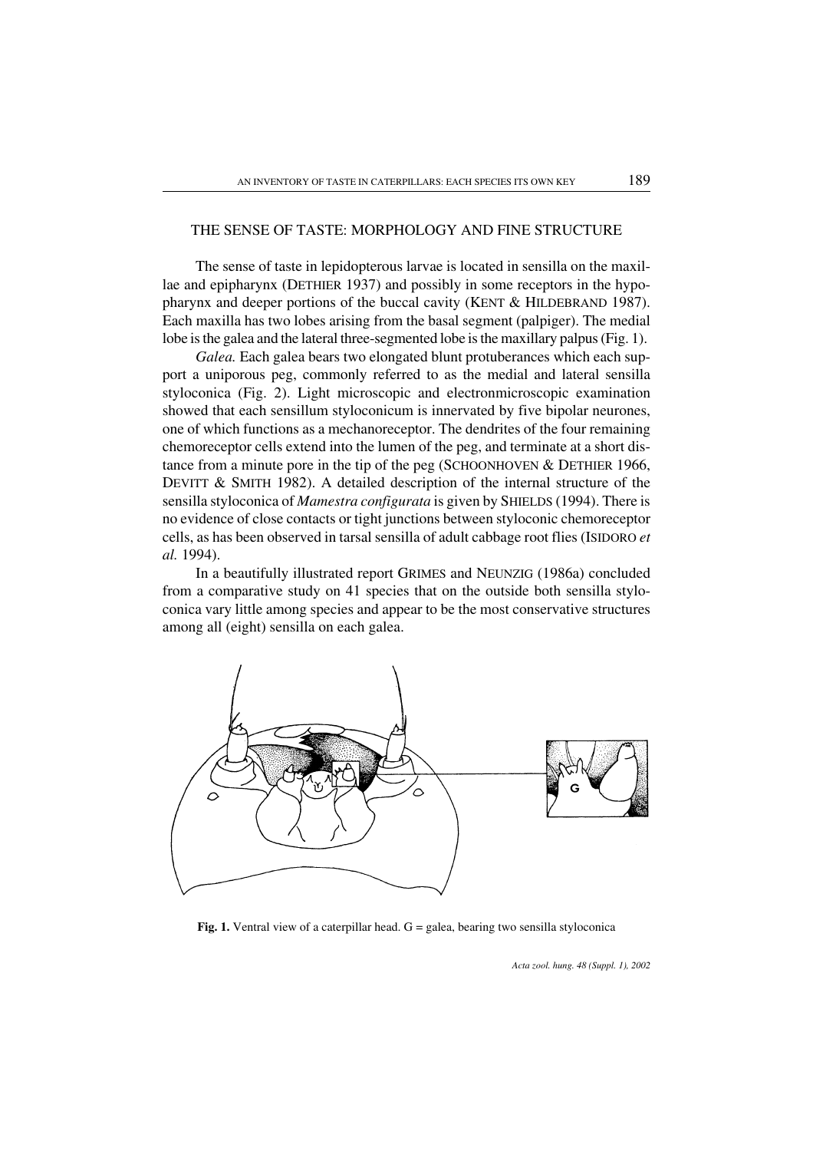### THE SENSE OF TASTE: MORPHOLOGY AND FINE STRUCTURE

The sense of taste in lepidopterous larvae is located in sensilla on the maxillae and epipharynx (DETHIER 1937) and possibly in some receptors in the hypopharynx and deeper portions of the buccal cavity (KENT & HILDEBRAND 1987). Each maxilla has two lobes arising from the basal segment (palpiger). The medial lobe is the galea and the lateral three-segmented lobe is the maxillary palpus (Fig. 1).

*Galea.* Each galea bears two elongated blunt protuberances which each support a uniporous peg, commonly referred to as the medial and lateral sensilla styloconica (Fig. 2). Light microscopic and electronmicroscopic examination showed that each sensillum styloconicum is innervated by five bipolar neurones, one of which functions as a mechanoreceptor. The dendrites of the four remaining chemoreceptor cells extend into the lumen of the peg, and terminate at a short distance from a minute pore in the tip of the peg (SCHOONHOVEN & DETHIER 1966, DEVITT & SMITH 1982). A detailed description of the internal structure of the sensilla styloconica of *Mamestra configurata* is given by SHIELDS (1994). There is no evidence of close contacts or tight junctions between styloconic chemoreceptor cells, as has been observed in tarsal sensilla of adult cabbage root flies (ISIDORO *et al.* 1994).

In a beautifully illustrated report GRIMES and NEUNZIG (1986a) concluded from a comparative study on 41 species that on the outside both sensilla styloconica vary little among species and appear to be the most conservative structures among all (eight) sensilla on each galea.



Fig. 1. Ventral view of a caterpillar head.  $G =$  galea, bearing two sensilla styloconica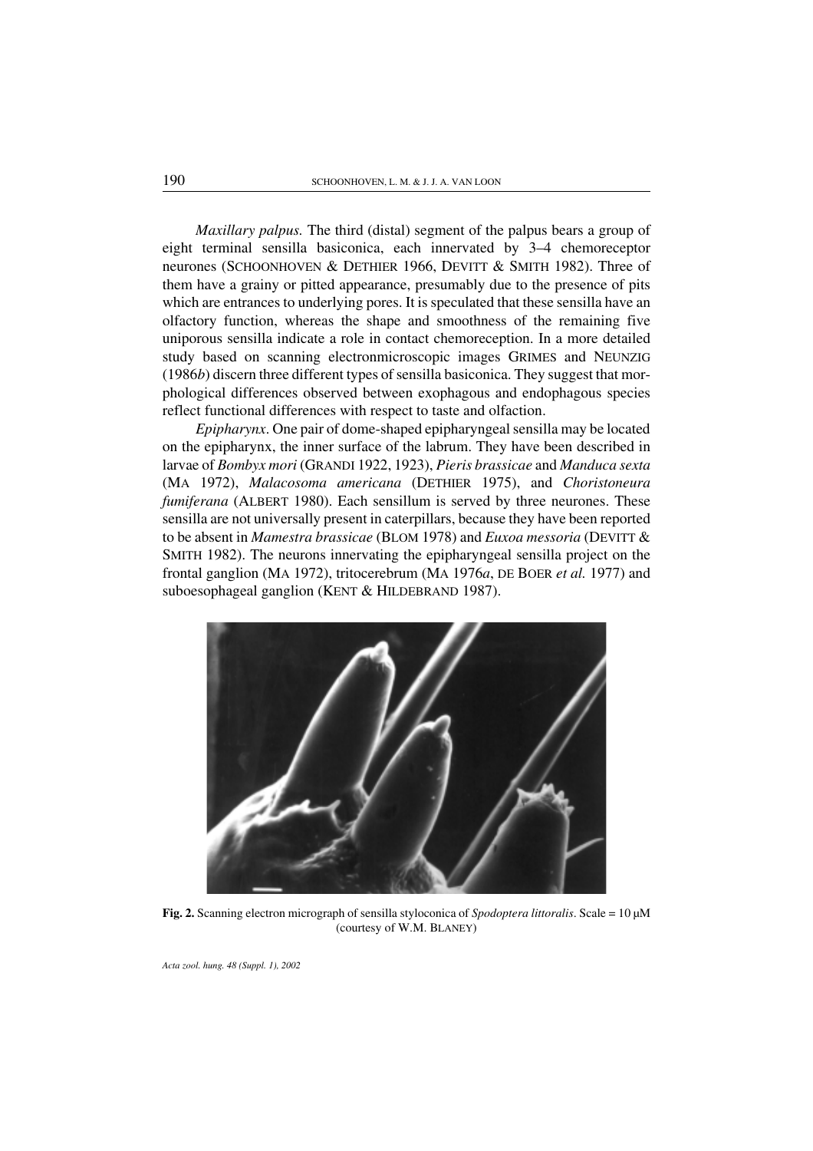*Maxillary palpus.* The third (distal) segment of the palpus bears a group of eight terminal sensilla basiconica, each innervated by 3–4 chemoreceptor neurones (SCHOONHOVEN & DETHIER 1966, DEVITT & SMITH 1982). Three of them have a grainy or pitted appearance, presumably due to the presence of pits which are entrances to underlying pores. It is speculated that these sensilla have an olfactory function, whereas the shape and smoothness of the remaining five uniporous sensilla indicate a role in contact chemoreception. In a more detailed study based on scanning electronmicroscopic images GRIMES and NEUNZIG (1986*b*) discern three different types of sensilla basiconica. They suggest that morphological differences observed between exophagous and endophagous species reflect functional differences with respect to taste and olfaction.

*Epipharynx*. One pair of dome-shaped epipharyngeal sensilla may be located on the epipharynx, the inner surface of the labrum. They have been described in larvae of *Bombyx mori* (GRANDI 1922, 1923), *Pieris brassicae* and *Manduca sexta* (MA 1972), *Malacosoma americana* (DETHIER 1975), and *Choristoneura fumiferana* (ALBERT 1980). Each sensillum is served by three neurones. These sensilla are not universally present in caterpillars, because they have been reported to be absent in *Mamestra brassicae* (BLOM 1978) and *Euxoa messoria* (DEVITT & SMITH 1982). The neurons innervating the epipharyngeal sensilla project on the frontal ganglion (MA 1972), tritocerebrum (MA 1976*a*, DE BOER *et al.* 1977) and suboesophageal ganglion (KENT & HILDEBRAND 1987).



Fig. 2. Scanning electron micrograph of sensilla styloconica of *Spodoptera littoralis*. Scale = 10 µM (courtesy of W.M. BLANEY)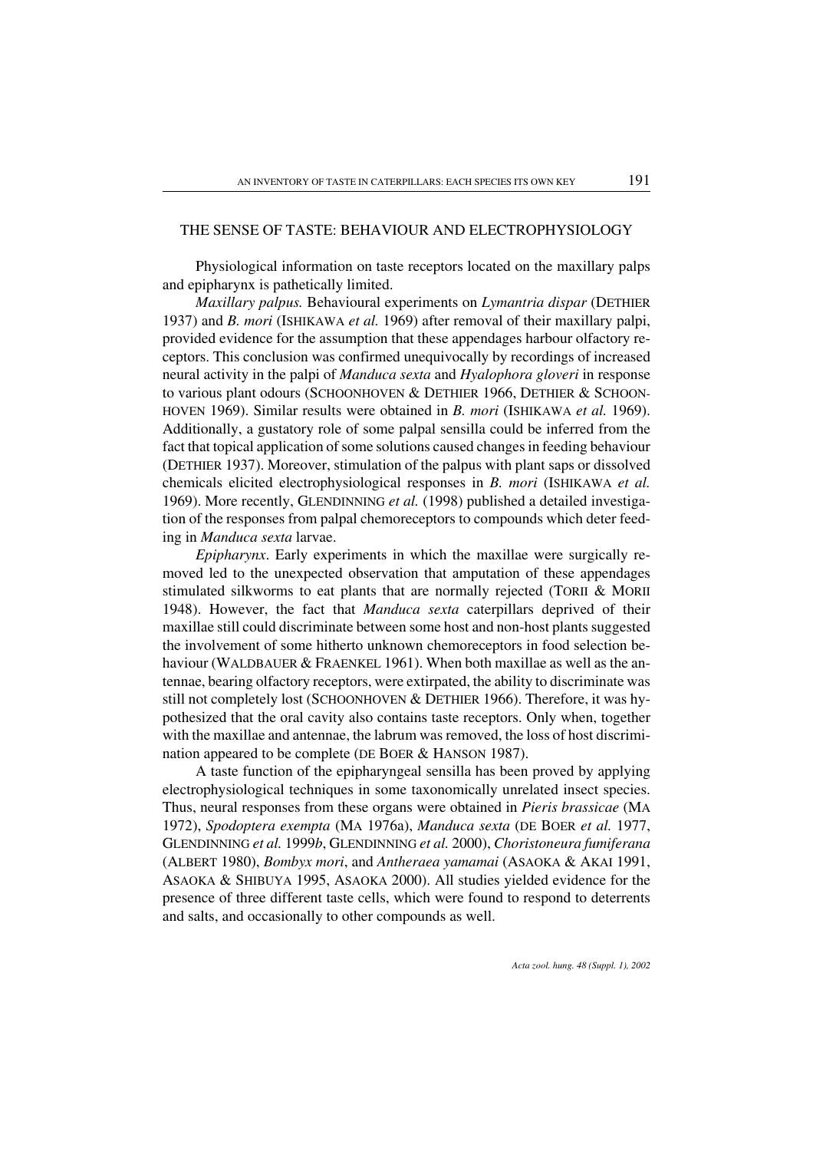### THE SENSE OF TASTE: BEHAVIOUR AND ELECTROPHYSIOLOGY

Physiological information on taste receptors located on the maxillary palps and epipharynx is pathetically limited.

*Maxillarypalpus.* Behavioural experiments on *Lymantria dispar* (DETHIER 1937) and *B. mori* (ISHIKAWA *et al.* 1969) after removal of their maxillary palpi, provided evidence for the assumption that these appendages harbour olfactory receptors. This conclusion was confirmed unequivocally by recordings of increased neural activity in the palpi of *Manduca sexta* and *Hyalophora gloveri* in response to various plant odours (SCHOONHOVEN & DETHIER 1966, DETHIER & SCHOON-HOVEN 1969). Similar results were obtained in *B. mori* (ISHIKAWA *et al.* 1969). Additionally, a gustatory role of some palpal sensilla could be inferred from the fact that topical application of some solutions caused changes in feeding behaviour (DETHIER 1937). Moreover, stimulation of the palpus with plant saps or dissolved chemicals elicited electrophysiological responses in *B. mori* (ISHIKAWA *et al.* 1969). More recently, GLENDINNING *et al.* (1998) published a detailed investigation of the responses from palpal chemoreceptors to compounds which deter feeding in *Manduca sexta* larvae.

*Epipharynx*. Early experiments in which the maxillae were surgically removed led to the unexpected observation that amputation of these appendages stimulated silkworms to eat plants that are normally rejected (TORII & MORII 1948). However, the fact that *Manduca sexta* caterpillars deprived of their maxillae still could discriminate between some host and non-host plants suggested the involvement of some hitherto unknown chemoreceptors in food selection behaviour (WALDBAUER & FRAENKEL 1961). When both maxillae as well as the antennae, bearing olfactory receptors, were extirpated, the ability to discriminate was still not completely lost (SCHOONHOVEN & DETHIER 1966). Therefore, it was hypothesized that the oral cavity also contains taste receptors. Only when, together with the maxillae and antennae, the labrum was removed, the loss of host discrimination appeared to be complete (DE BOER & HANSON 1987).

A taste function of the epipharyngeal sensilla has been proved by applying electrophysiological techniques in some taxonomically unrelated insect species. Thus, neural responses from these organs were obtained in *Pieris brassicae* (MA 1972), *Spodoptera exempta* (MA 1976a), *Manduca sexta* (DE BOER *et al.* 1977, GLENDINNING *et al.* 1999*b*, GLENDINNING *et al.* 2000), *Choristoneura fumiferana* (ALBERT 1980), *Bombyx mori*, and *Antheraea yamamai* (ASAOKA & AKAI 1991, ASAOKA & SHIBUYA 1995, ASAOKA 2000). All studies yielded evidence for the presence of three different taste cells, which were found to respond to deterrents and salts, and occasionally to other compounds as well.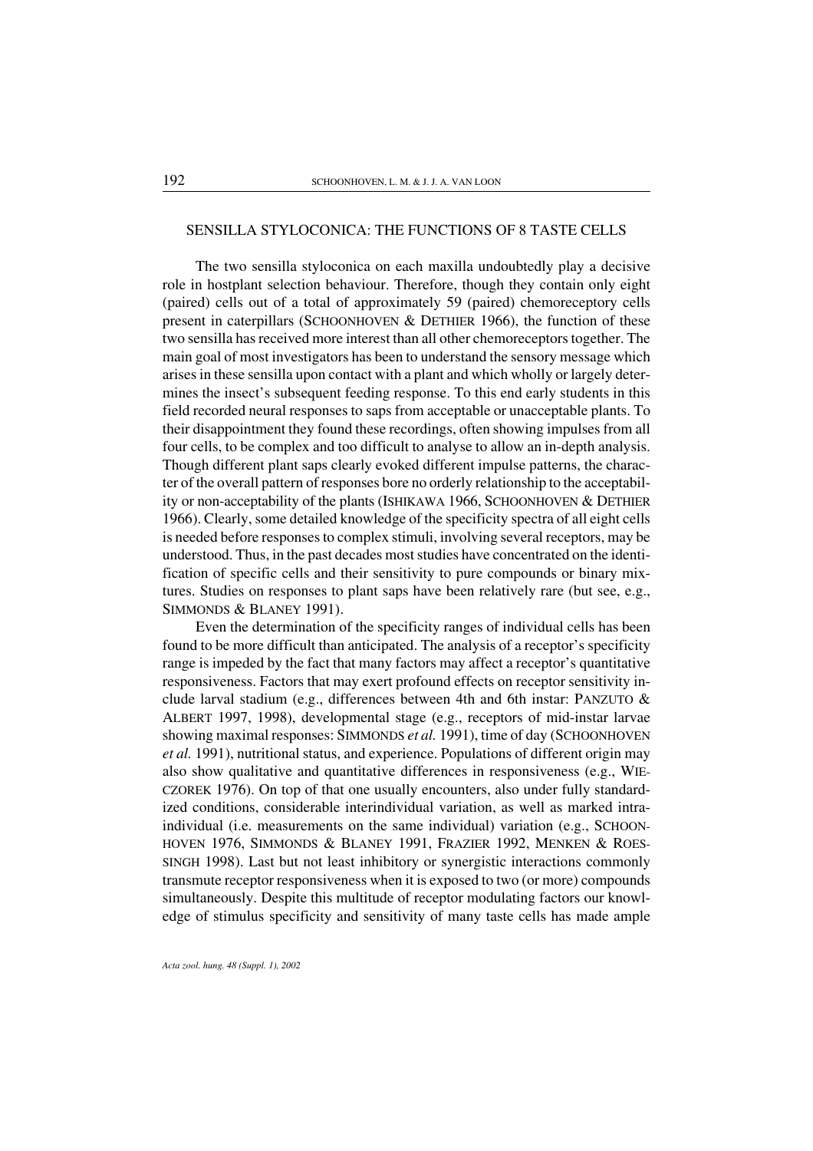### SENSILLA STYLOCONICA: THE FUNCTIONS OF 8 TASTE CELLS

The two sensilla styloconica on each maxilla undoubtedly play a decisive role in hostplant selection behaviour. Therefore, though they contain only eight (paired) cells out of a total of approximately 59 (paired) chemoreceptory cells present in caterpillars (SCHOONHOVEN & DETHIER 1966), the function of these two sensilla has received more interest than all other chemoreceptors together. The main goal of most investigators has been to understand the sensory message which arises in these sensilla upon contact with a plant and which wholly or largely determines the insect's subsequent feeding response. To this end early students in this field recorded neural responses to saps from acceptable or unacceptable plants. To their disappointment they found these recordings, often showing impulses from all four cells, to be complex and too difficult to analyse to allow an in-depth analysis. Though different plant saps clearly evoked different impulse patterns, the character of the overall pattern of responses bore no orderly relationship to the acceptability or non-acceptability of the plants (ISHIKAWA 1966, SCHOONHOVEN & DETHIER 1966). Clearly, some detailed knowledge of the specificity spectra of all eight cells is needed before responses to complex stimuli, involving several receptors, may be understood. Thus, in the past decades most studies have concentrated on the identification of specific cells and their sensitivity to pure compounds or binary mixtures. Studies on responses to plant saps have been relatively rare (but see, e.g., SIMMONDS & BLANEY 1991).

Even the determination of the specificity ranges of individual cells has been found to be more difficult than anticipated. The analysis of a receptor's specificity range is impeded by the fact that many factors may affect a receptor's quantitative responsiveness. Factors that may exert profound effects on receptor sensitivity include larval stadium (e.g., differences between 4th and 6th instar: PANZUTO & ALBERT 1997, 1998), developmental stage (e.g., receptors of mid-instar larvae showing maximal responses: SIMMONDS *et al.* 1991), time of day (SCHOONHOVEN *et al.* 1991), nutritional status, and experience. Populations of different origin may also show qualitative and quantitative differences in responsiveness (e.g., WIE-CZOREK 1976). On top of that one usually encounters, also under fully standardized conditions, considerable interindividual variation, as well as marked intraindividual (i.e. measurements on the same individual) variation (e.g., SCHOON-HOVEN 1976, SIMMONDS & BLANEY 1991, FRAZIER 1992, MENKEN & ROES-SINGH 1998). Last but not least inhibitory or synergistic interactions commonly transmute receptor responsiveness when it is exposed to two (or more) compounds simultaneously. Despite this multitude of receptor modulating factors our knowledge of stimulus specificity and sensitivity of many taste cells has made ample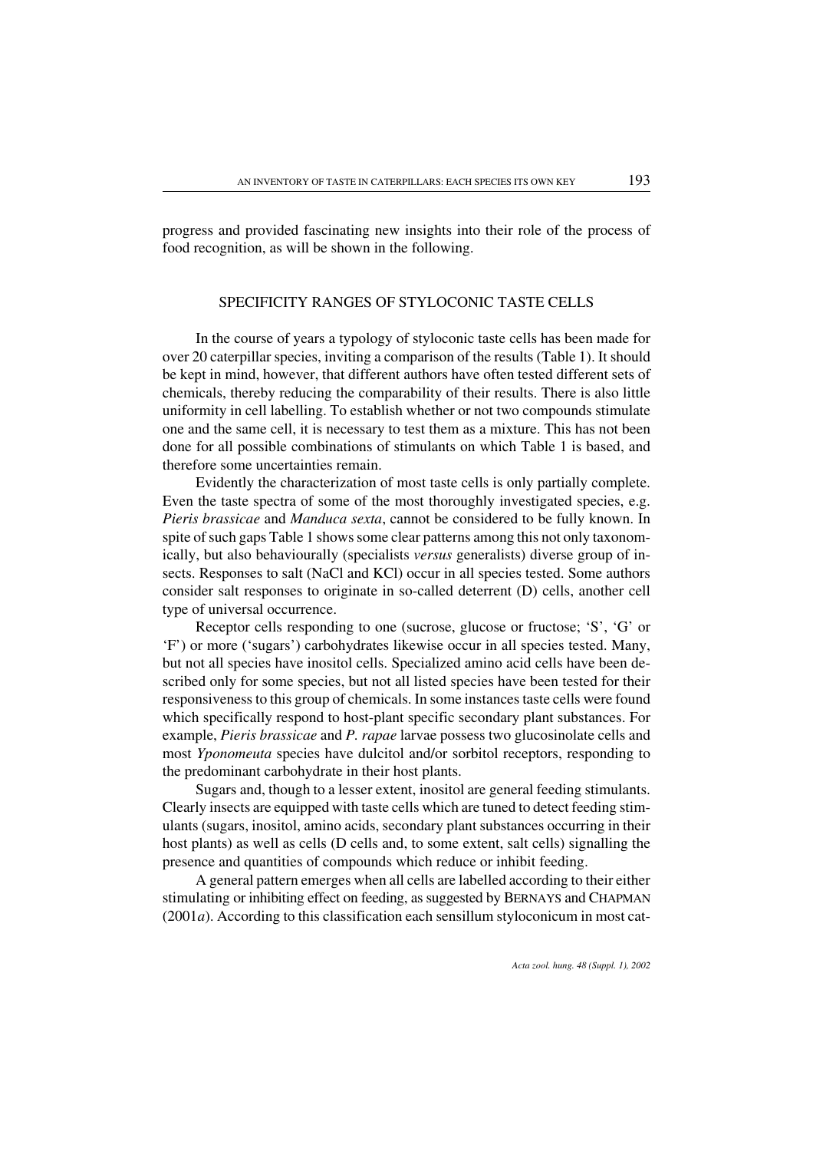progress and provided fascinating new insights into their role of the process of food recognition, as will be shown in the following.

#### SPECIFICITY RANGES OF STYLOCONIC TASTE CELLS

In the course of years a typology of styloconic taste cells has been made for over 20 caterpillar species, inviting a comparison of the results (Table 1). It should be kept in mind, however, that different authors have often tested different sets of chemicals, thereby reducing the comparability of their results. There is also little uniformity in cell labelling. To establish whether or not two compounds stimulate one and the same cell, it is necessary to test them as a mixture. This has not been done forall possible combinations of stimulants on which Table 1 is based, and therefore some uncertainties remain.

Evidently the characterization of most taste cells is only partially complete. Even the taste spectra of some of the most thoroughly investigated species, e.g. *Pieris brassicae* and *Manduca sexta*, cannot be considered to be fully known. In spite of such gaps Table 1 shows some clear patterns among this not only taxonomically, but also behaviourally (specialists *versus* generalists) diverse group of insects. Responses to salt (NaCl and KCl) occur in all species tested. Some authors consider salt responses to originate in so-called deterrent (D) cells, another cell type of universal occurrence.

Receptor cells responding to one (sucrose, glucose or fructose; 'S', 'G' or 'F') or more ('sugars') carbohydrates likewise occur in all species tested. Many, but not all species have inositol cells. Specialized amino acid cells have been described only for some species, but not all listed species have been tested for their responsiveness to this group of chemicals. In some instances taste cells were found which specifically respond to host-plant specific secondary plant substances. For example, *Pieris brassicae* and *P. rapae* larvae possess two glucosinolate cells and most *Yponomeuta* species have dulcitol and/or sorbitol receptors, responding to the predominant carbohydrate in their host plants.

Sugars and, though to a lesser extent, inositol are general feeding stimulants. Clearly insects are equipped with taste cells which are tuned to detect feeding stimulants (sugars, inositol, amino acids, secondary plant substances occurring in their host plants) as well as cells (D cells and, to some extent, salt cells) signalling the presence and quantities of compounds which reduce or inhibit feeding.

A general pattern emerges when all cells are labelled according to their either stimulating or inhibiting effect on feeding, as suggested by BERNAYS and CHAPMAN (2001*a*). According to this classification each sensillum styloconicum in most cat-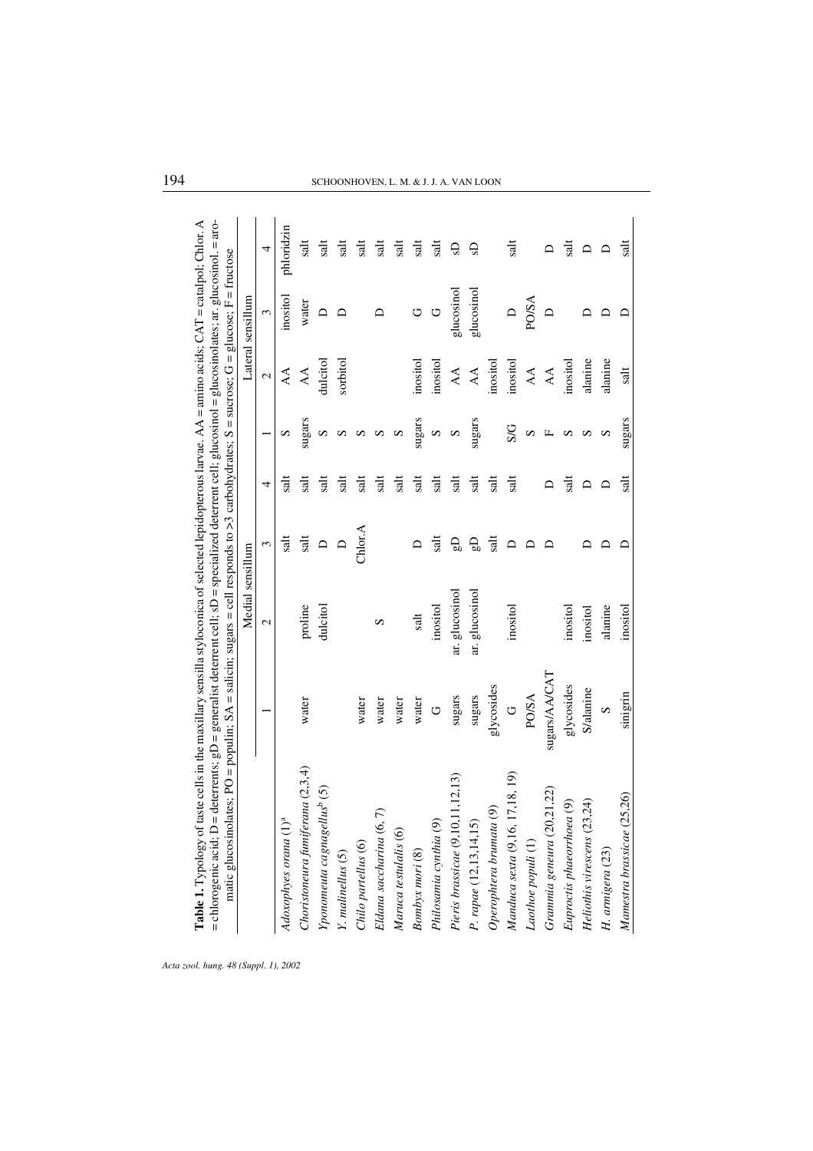|                                                                         |                  | Medial sensillum |           |              |        |                        | Lateral sensillum     |            |
|-------------------------------------------------------------------------|------------------|------------------|-----------|--------------|--------|------------------------|-----------------------|------------|
|                                                                         |                  | $\mathcal{L}$    | 3         | 4            |        | $\mathcal{L}$          | $\tilde{\phantom{0}}$ | 4          |
| Adoxophyes orana (1) <sup>a</sup>                                       |                  |                  | salt      | $_{\rm sat}$ | S      | $\Delta$               | inositol              | phloridzin |
| Choristoneura fumiferana (2,3,4)                                        | water            | proline          | salt      | salt         | sugars | $\mathsf{A}\mathsf{A}$ | water                 | salt       |
| Yponomeuta cagnagellus <sup>b</sup> (5)                                 |                  | dulcitol         | $\Box$    | salt         | S      | dulcitol               | $\Box$                | salt       |
| $Y.$ malinellus $(5)$                                                   |                  |                  | $\bigcap$ | salt         | S      | sorbitol               | ≏                     | salt       |
| Chilo partellus (6)                                                     | water            |                  | Chlor.A   | salt         | S      |                        |                       | salt       |
| $\widehat{\tau}$<br>Eldana saccharina (6,                               | water            | S                |           | salt         | S      |                        |                       | salt       |
| Maruca testulalis (6)                                                   | water            |                  |           | salt         | S      |                        |                       | salt       |
| Bombyx mori (8)                                                         | water            | salt             |           | salt         | sugars | inositol               | U                     | salt       |
| Philosamia cynthia (9)                                                  | U                | inositol         | salt      | salt         | S      | inositol               | $\circ$               | salt       |
| Pieris brassicae $(9, 10, 11, 12, 13)$                                  | sugars           | ar. glucosinol   | එ         | salt         | S      | $\Delta\!A$            | glucosinol            | G          |
| P. rape (12, 13, 14, 15)                                                | sugars           | ar. glucosinol   | ٩,        | salt         | sugars | $\forall$              | glucosinol            | G          |
| $\odot$<br>Operophtera brumata                                          | glycosides       |                  | salt      | salt         |        | inositol               |                       |            |
| 17, 18, 19)<br>Manduca sexta (9,16,                                     | U                | inositol         | ≏         | salt         | S/G    | inositol               |                       | tis        |
| $\label{eq:color} \textit{Ladho} e \; \textit{populi} \left( 1 \right)$ | PO/SA            |                  |           |              | S      | $\forall A$            | <b>PO/SA</b>          |            |
| (21,22)<br>Grammia geneura (20                                          | sugars/AA/CAT    |                  |           | ≏            | Щ      | $\mathbb{A}\mathbb{A}$ | $\triangleright$      |            |
| Euproctis phaeorrhoea (9)                                               | glycosides       | inositol         |           | salt         | S      | inositol               |                       | salt       |
| Heliothis virescens (23,24)                                             | <b>S/alanine</b> | inositol         |           | $\Box$       | S      | alanine                |                       | $\Box$     |
| H. armigera (23)                                                        | $\mathfrak o$    | alanine          |           | $\Box$       | S      | alanine                |                       | ≏          |
| Mamestra brassicae (25,26)                                              | sinigrin         | inositol         |           | salt         | sugars | salt                   |                       | salt       |

# 194 SCHOONHOVEN, L. M. & J. J. A. VAN LOON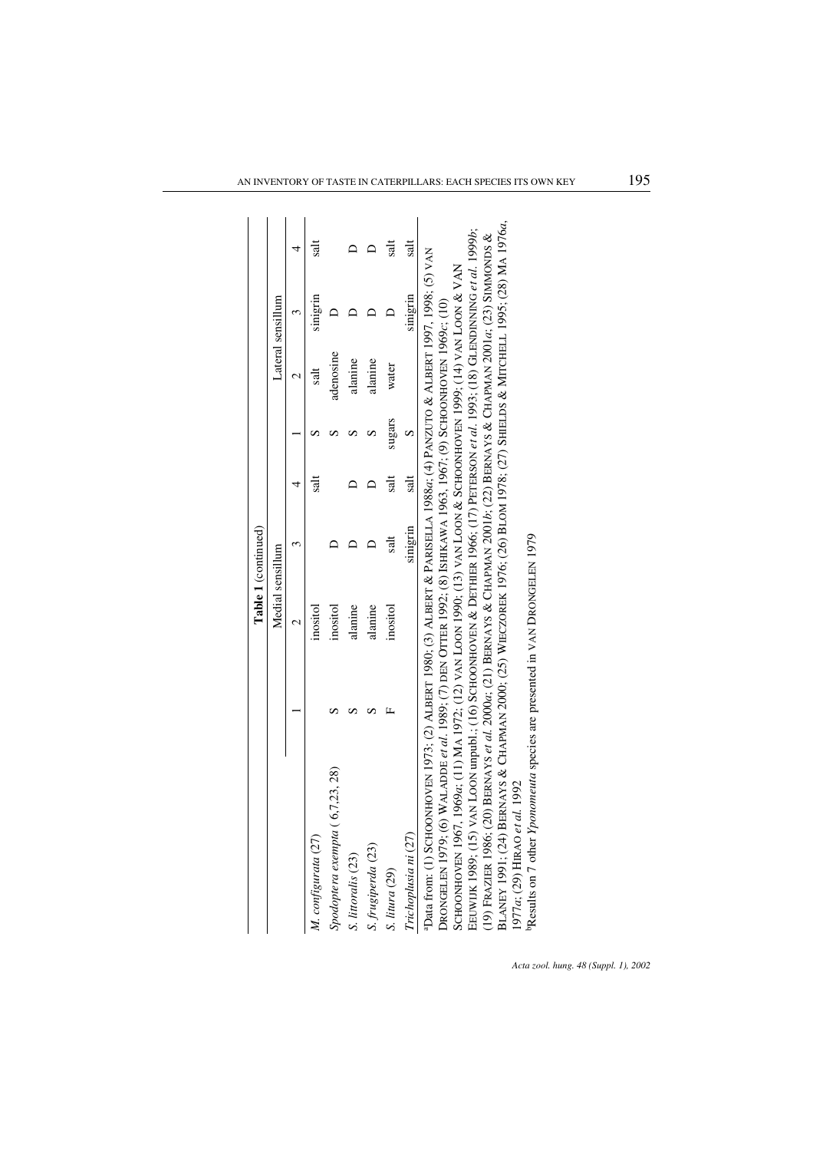|                                                                                                                                                                                                                                                                                                                                                                                                                                                                                                                                                                                                                                                                                                                                                                                                                                                                                                                                                                                                 |                          | Table 1 (continued) |                          |        |               |                   |                          |
|-------------------------------------------------------------------------------------------------------------------------------------------------------------------------------------------------------------------------------------------------------------------------------------------------------------------------------------------------------------------------------------------------------------------------------------------------------------------------------------------------------------------------------------------------------------------------------------------------------------------------------------------------------------------------------------------------------------------------------------------------------------------------------------------------------------------------------------------------------------------------------------------------------------------------------------------------------------------------------------------------|--------------------------|---------------------|--------------------------|--------|---------------|-------------------|--------------------------|
|                                                                                                                                                                                                                                                                                                                                                                                                                                                                                                                                                                                                                                                                                                                                                                                                                                                                                                                                                                                                 | Medial sensillum         |                     |                          |        |               | Lateral sensillum |                          |
|                                                                                                                                                                                                                                                                                                                                                                                                                                                                                                                                                                                                                                                                                                                                                                                                                                                                                                                                                                                                 | $\overline{\mathcal{C}}$ |                     |                          |        | $\mathcal{C}$ | 3                 | 4                        |
| M. configurata (27)                                                                                                                                                                                                                                                                                                                                                                                                                                                                                                                                                                                                                                                                                                                                                                                                                                                                                                                                                                             | inositol                 |                     | $\overline{\phantom{a}}$ |        | salt          | smgrin            | salt                     |
| (6,7,23,28)<br>Spodoptera exempta                                                                                                                                                                                                                                                                                                                                                                                                                                                                                                                                                                                                                                                                                                                                                                                                                                                                                                                                                               | inositol                 |                     |                          |        | adenosine     |                   |                          |
| S. littoralis (23)                                                                                                                                                                                                                                                                                                                                                                                                                                                                                                                                                                                                                                                                                                                                                                                                                                                                                                                                                                              | alanine                  |                     |                          |        | alanine       |                   |                          |
| S. frugiperda (23)                                                                                                                                                                                                                                                                                                                                                                                                                                                                                                                                                                                                                                                                                                                                                                                                                                                                                                                                                                              | alanine                  |                     |                          |        | alanine       |                   |                          |
| S. litura (29)                                                                                                                                                                                                                                                                                                                                                                                                                                                                                                                                                                                                                                                                                                                                                                                                                                                                                                                                                                                  | inositol                 | salt                | tks                      | sugars | water         |                   | $\overline{\mathsf{sl}}$ |
| Trichoplusia ni (27)                                                                                                                                                                                                                                                                                                                                                                                                                                                                                                                                                                                                                                                                                                                                                                                                                                                                                                                                                                            |                          | sinigrin            | salt                     | n      |               | sinigrin          | salt                     |
| BLANEY 1991; (24) BERNAYS & CHAPMAN 2000; (25) WIECZOREK 1976; (26) BLOM 1978; (27) SHIELDS & MITCHELL 1995; (28) MA 1976a,<br>EEUWIJK 1989; (15) VAN LOON unpubl.; (16) SCHOONHOONHER 1966; (17) PETERSON et al. 1993; (18) GLENNDINNING et al. 1999b;<br>200 BERNAYS et al. 2000a; (21) BERNAYS & CHAPMAN 2001b; (22) BERNAYS & CHAPMAN 2001a; (23) SIMMONDS &<br>"Data from: (1) SCHOONHOVEN 1973; (2) ALBERT 1980; (3) ALBERT & PARISELLA 1988a; (4) PANZUTO & ALBERT 1997, 1998; (5) VAN<br>SCAPIN 1990, 141 VAN 2000 HHO HHOUROOUDOO X 2001 ZAN VAN 10001 ZOON 10001 ZOON 10001 ZOON 1001 (11) VAN 2000 HHOUROOUDOOUDOOUDOOUDOO X 2001 ZAN 2001 ZAN 2001 X 101 ZOON 10001 ZOON 10001 ZOON 10001 ZOON 10001 ZOON 10001 ZOO<br>Drongelen 1979; (6) Waladde et al. 1989; (7) den Otter 1992; (8) Ishikawa 1963, 1967; (9) Schonhoven 1969c; (10)<br>PResults on 7 other <i>Yponomeuta</i> species are presented in VAN DRONGELEN 1979<br>1977a; (29) HIRAO et al. 1992<br>(19) FRAZIER 1986; |                          |                     |                          |        |               |                   |                          |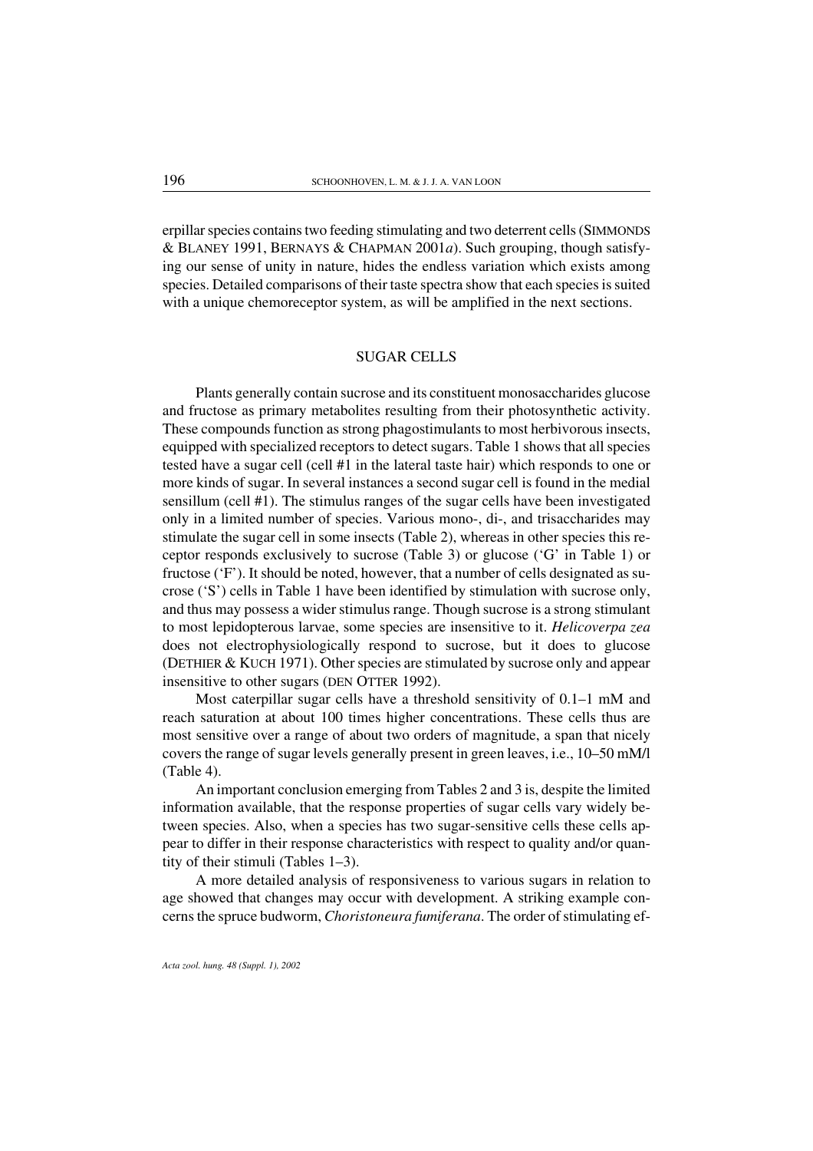erpillar species contains two feeding stimulating and two deterrent cells (SIMMONDS & BLANEY 1991, BERNAYS & CHAPMAN 2001*a*). Such grouping, though satisfying our sense of unity in nature, hides the endless variation which exists among species. Detailed comparisons of their taste spectra show that each species is suited with a unique chemoreceptor system, as will be amplified in the next sections.

#### SUGAR CELLS

Plants generally contain sucrose and its constituent monosaccharides glucose and fructose as primary metabolites resulting from their photosynthetic activity. These compounds function as strong phagostimulants to most herbivorous insects, equipped with specialized receptors to detect sugars. Table 1 shows that all species tested have a sugar cell (cell #1 in the lateral taste hair) which responds to one or more kinds of sugar. In several instances a second sugar cell is found in the medial sensillum (cell #1). The stimulus ranges of the sugar cells have been investigated only in a limited number of species. Various mono-, di-, and trisaccharides may stimulate the sugar cell in some insects (Table 2), whereas in other species this receptor responds exclusively to sucrose (Table 3) or glucose ('G' in Table 1) or fructose ('F'). It should be noted, however, that a number of cells designated as sucrose ('S') cells in Table 1 have been identified by stimulation with sucrose only, and thus may possess a wider stimulus range. Though sucrose is a strong stimulant to most lepidopterous larvae, some species are insensitive to it. *Helicoverpa zea* does not electrophysiologically respond to sucrose, but it does to glucose (DETHIER & KUCH 1971). Other species are stimulated by sucrose only and appear insensitive to other sugars (DEN OTTER 1992).

Most caterpillar sugar cells have a threshold sensitivity of 0.1–1 mM and reach saturation at about 100 times higher concentrations. These cells thus are most sensitive over a range of about two orders of magnitude, a span that nicely covers the range of sugar levels generally present in green leaves, i.e., 10–50 mM/l (Table 4).

An important conclusion emerging from Tables 2 and 3 is, despite the limited information available, that the response properties of sugar cells vary widely between species. Also, when a species has two sugar-sensitive cells these cells appear to differ in their response characteristics with respect to quality and/or quantity of their stimuli (Tables 1–3).

A more detailed analysis of responsiveness to various sugars in relation to age showed that changes may occurwith development. A striking example concerns the spruce budworm, *Choristoneura fumiferana*. The order of stimulating ef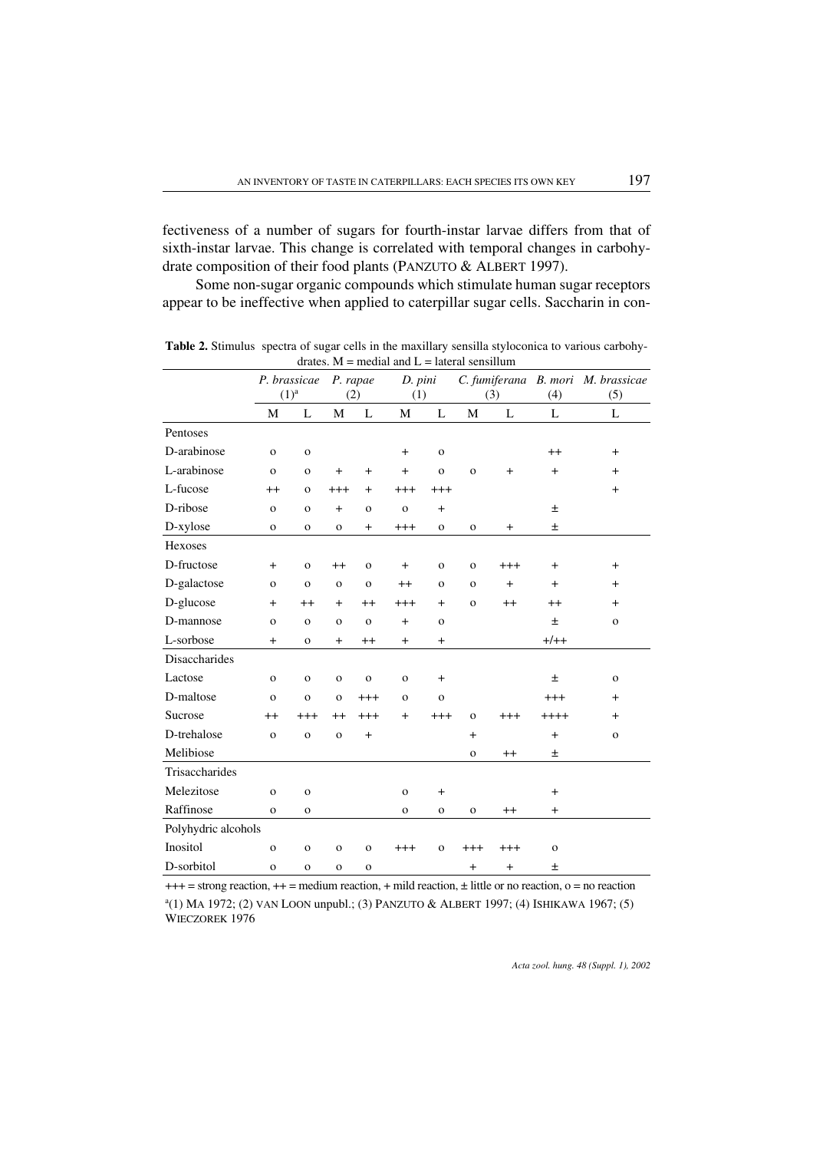fectiveness of a number of sugars for fourth-instar larvae differs from that of sixth-instar larvae. This change is correlated with temporal changes in carbohydrate composition of their food plants (PANZUTO & ALBERT 1997).

Some non-sugar organic compounds which stimulate human sugar receptors appear to be ineffective when applied to caterpillar sugar cells. Saccharin in con-

|                      |              | P. brassicae |                | P. rapae     | D. pini      |                |              |           |                | C. fumiferana B. mori M. brassicae |
|----------------------|--------------|--------------|----------------|--------------|--------------|----------------|--------------|-----------|----------------|------------------------------------|
|                      |              | $(1)^{a}$    |                | (2)          | (1)          |                |              | (3)       | (4)            | (5)                                |
|                      | M            | L            | M              | L            | М            | L              | M            | L         | L              | L                                  |
| Pentoses             |              |              |                |              |              |                |              |           |                |                                    |
| D-arabinose          | $\mathbf{o}$ | $\mathbf 0$  |                |              | $\ddot{}$    | $\mathbf{o}$   |              |           | $^{++}$        | $+$                                |
| L-arabinose          | $\mathbf{o}$ | $\mathbf{o}$ | $+$            | $+$          | $\ddot{}$    | $\mathbf{o}$   | $\mathbf{o}$ | $\ddot{}$ | $\ddot{}$      | $+$                                |
| L-fucose             | $++$         | $\mathbf{o}$ | $^{+++}$       | $\ddot{}$    | $^{+++}$     | $^{+++}$       |              |           |                | $\ddot{}$                          |
| D-ribose             | $\mathbf{o}$ | $\mathbf{o}$ | $+$            | $\mathbf{O}$ | $\mathbf{o}$ | $+$            |              |           | 土              |                                    |
| D-xylose             | $\mathbf{o}$ | $\mathbf 0$  | $\mathbf{o}$   | $+$          | $^{+++}$     | $\mathbf{o}$   | $\mathbf{o}$ | $\ddot{}$ | $\pm$          |                                    |
| Hexoses              |              |              |                |              |              |                |              |           |                |                                    |
| D-fructose           | $+$          | $\mathbf{o}$ | $^{++}$        | $\mathbf{O}$ | $\ddot{}$    | $\mathbf O$    | $\mathbf{o}$ | $^{+++}$  | $\ddot{}$      | $+$                                |
| D-galactose          | $\mathbf{o}$ | $\mathbf{o}$ | $\mathbf{o}$   | $\mathbf{O}$ | $^{++}$      | $\mathbf{O}$   | $\mathbf{o}$ | $+$       | $+$            | $+$                                |
| D-glucose            | $\ddot{}$    | $^{++}$      | $\overline{+}$ | $^{++}$      | $^{+++}$     | $+$            | $\mathbf{O}$ | $^{++}$   | $^{++}$        | $+$                                |
| D-mannose            | $\mathbf{o}$ | $\mathbf{o}$ | $\mathbf{o}$   | $\mathbf{o}$ | $+$          | $\mathbf{o}$   |              |           | $\pm$          | $\mathbf{o}$                       |
| L-sorbose            | $+$          | $\mathbf{o}$ | $\ddot{}$      | $^{++}$      | $+$          | $+$            |              |           | $+/++$         |                                    |
| <b>Disaccharides</b> |              |              |                |              |              |                |              |           |                |                                    |
| Lactose              | $\mathbf{o}$ | $\mathbf{o}$ | $\mathbf O$    | $\mathbf{o}$ | $\mathbf O$  | $\ddot{}$      |              |           | 土              | $\mathbf{o}$                       |
| D-maltose            | $\mathbf{o}$ | $\mathbf{o}$ | $\mathbf{o}$   | $+++$        | $\mathbf{o}$ | $\mathbf{o}$   |              |           | $^{+++}$       | $^{+}$                             |
| Sucrose              | $^{++}$      | $^{+++}$     | $^{++}$        | $+++$        | $\ddot{}$    | $^{+++}$       | $\mathbf{o}$ | $^{+++}$  | $++++$         | $\ddot{}$                          |
| D-trehalose          | $\mathbf{o}$ | $\mathbf 0$  | $\mathbf O$    | $+$          |              |                | $\ddot{}$    |           | $\overline{+}$ | $\mathbf 0$                        |
| Melibiose            |              |              |                |              |              |                | $\mathbf{O}$ | $^{++}$   | Ŧ              |                                    |
| Trisaccharides       |              |              |                |              |              |                |              |           |                |                                    |
| Melezitose           | $\mathbf{o}$ | $\mathbf 0$  |                |              | $\mathbf{o}$ | $\overline{+}$ |              |           | $\ddot{}$      |                                    |
| Raffinose            | $\mathbf{o}$ | $\mathbf{o}$ |                |              | $\mathbf{o}$ | $\mathbf O$    | $\mathbf O$  | $^{++}$   | $\ddot{}$      |                                    |
| Polyhydric alcohols  |              |              |                |              |              |                |              |           |                |                                    |
| Inositol             | $\mathbf{o}$ | $\mathbf{o}$ | $\mathbf{o}$   | $\mathbf{o}$ | $^{+++}$     | $\mathbf{o}$   | $+++$        | $^{+++}$  | $\mathbf 0$    |                                    |
| D-sorbitol           | $\mathbf O$  | $\mathbf{o}$ | O              | $\mathbf O$  |              |                | $\ddot{}$    | $\ddot{}$ | 土              |                                    |

Table 2. Stimulus spectra of sugar cells in the maxillary sensilla styloconica to various carbohydrates.  $M$  = medial and  $L$  = lateral sensillum

 $+++$  = strong reaction,  $++$  = medium reaction,  $+$  mild reaction,  $\pm$  little or no reaction, o = no reaction a (1) MA 1972; (2) VAN LOON unpubl.; (3) PANZUTO & ALBERT 1997; (4) ISHIKAWA 1967; (5) WIECZOREK 1976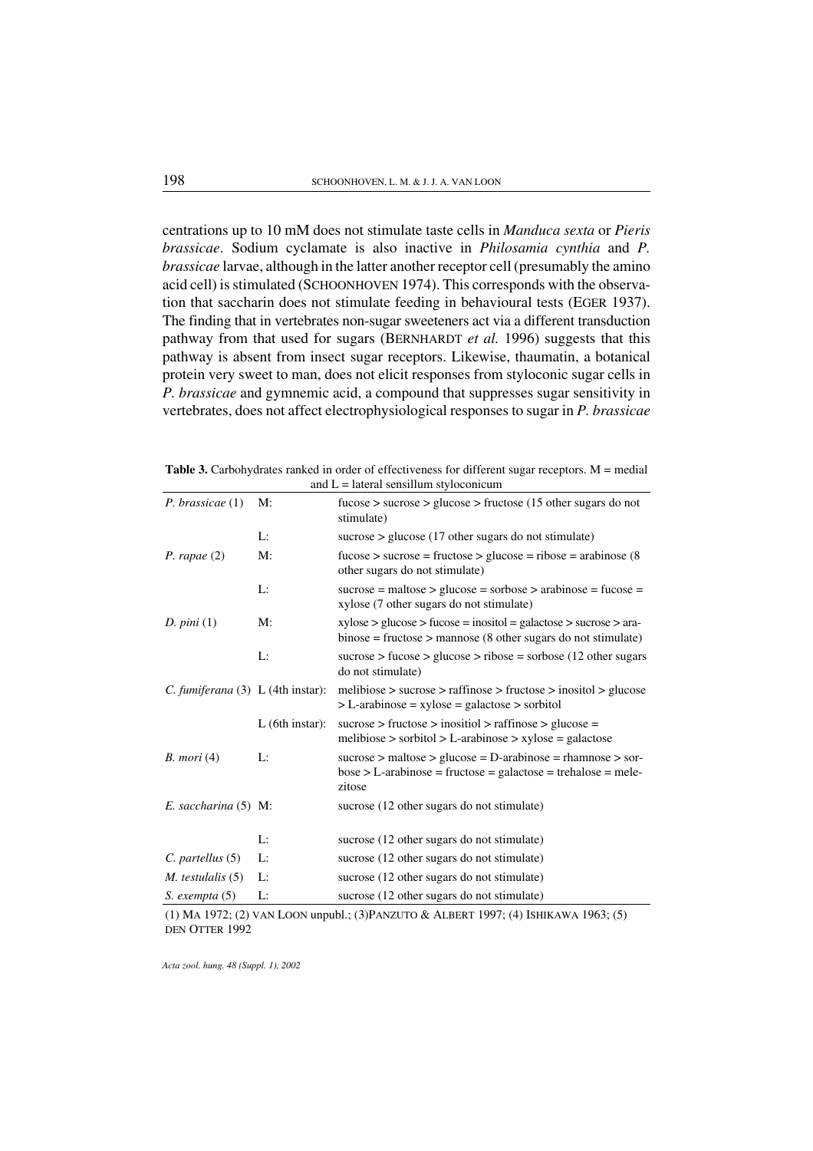centrations up to 10 mM does not stimulate taste cells in *Manduca sexta* or *Pieris brassicae*. Sodium cyclamate is also inactive in *Philosamia cynthia* and *P. brassicae* larvae, although in the latter another receptor cell (presumably the amino acid cell) is stimulated (SCHOONHOVEN 1974). This corresponds with the observation that saccharin does not stimulate feeding in behavioural tests (EGER 1937). The finding that in vertebrates non-sugar sweeteners act via a different transduction pathway from that used for sugars (BERNHARDT *et al.* 1996) suggests that this pathway is absent from insect sugar receptors. Likewise, thaumatin, a botanical protein very sweet to man, does not elicit responses from styloconic sugar cells in *P. brassicae* and gymnemic acid, a compound that suppresses sugar sensitivity in vertebrates, does not affect electrophysiological responses to sugar in *P. brassicae*

**Table 3.** Carbohydrates ranked in order of effectiveness for different sugar receptors.  $M =$  medial and  $L =$  lateral sensillum styloconicum

| $P.$ brassicae $(1)$                   | M:                | $fucose$ > sucrose > glucose > fructose (15 other sugars do not<br>stimulate)                                                                   |
|----------------------------------------|-------------------|-------------------------------------------------------------------------------------------------------------------------------------------------|
|                                        | L:                | sucrose $>$ glucose (17 other sugars do not stimulate)                                                                                          |
| P. rapae(2)                            | M:                | $fucose > sucrose = fructose > glucose = ribose = arabinose (8$<br>other sugars do not stimulate)                                               |
|                                        | L:                | $successe =$ maltose > glucose = sorbose > arabinose = fucose =<br>xylose (7 other sugars do not stimulate)                                     |
| D. pini(1)                             | M:                | $xylose > glucose > fucose = inositol = galactose > sucrose > ara-$<br>$binose = fructose >$ mannose (8 other sugars do not stimulate)          |
|                                        | L:                | sucrose > fucose > glucose > ribose = sorbose (12 other sugars<br>do not stimulate)                                                             |
| C. fumiferana $(3)$ L $(4th instar)$ : |                   | $melibiose$ > sucrose > raffinose > fructose > inositol > glucose<br>$>L$ -arabinose = xylose = galactose > sorbitol                            |
|                                        | $L$ (6th instar): | sucrose > fructose > inositiol > raffinose > glucose =<br>melibiose > sorbitol > L-arabinose > $xy$ lose = galactose                            |
| $B.$ mori $(4)$                        | Ŀ.                | sucrose $>$ maltose $>$ glucose = D-arabinose = rhamnose $>$ sor-<br>$bose > L$ -arabinose = fructose = galactose = trehalose = mele-<br>zitose |
| E. saccharina (5) M:                   |                   | sucrose (12 other sugars do not stimulate)                                                                                                      |
|                                        | Ŀ.                | sucrose (12 other sugars do not stimulate)                                                                                                      |
| $C.$ partellus $(5)$                   | L:                | sucrose (12 other sugars do not stimulate)                                                                                                      |
| $M.$ testulalis $(5)$                  | Ŀ.                | sucrose (12 other sugars do not stimulate)                                                                                                      |
| $S.$ exempta $(5)$                     | Ŀ.                | sucrose (12 other sugars do not stimulate)                                                                                                      |

(1) MA 1972; (2) VAN LOON unpubl.; (3)PANZUTO & ALBERT 1997; (4) ISHIKAWA 1963; (5) DEN OTTER 1992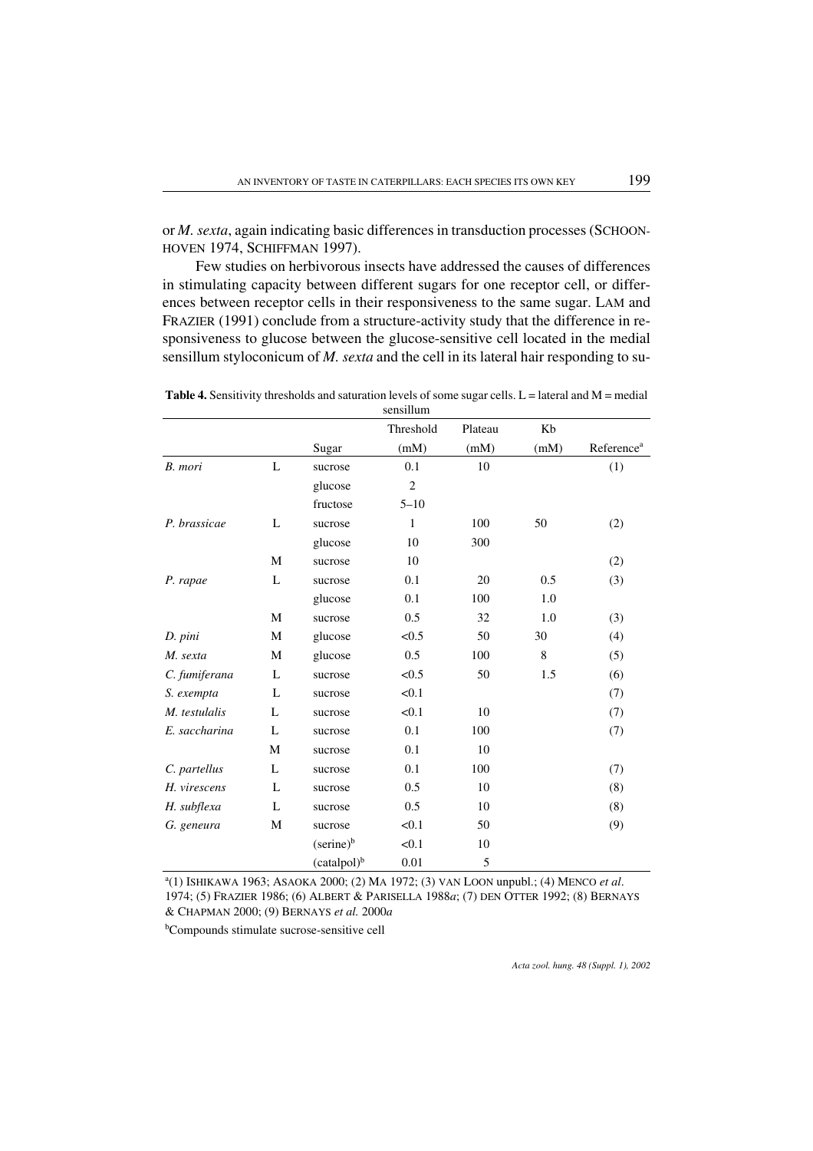or *M. sexta*, again indicating basic differences in transduction processes (SCHOON-HOVEN 1974, SCHIFFMAN 1997).

Few studies on herbivorous insects have addressed the causes of differences in stimulating capacity between different sugars for one receptor cell, or differences between receptor cells in their responsiveness to the same sugar. LAM and FRAZIER (1991) conclude from a structure-activity study that the difference in responsiveness to glucose between the glucose-sensitive cell located in the medial sensillum styloconicum of *M. sexta* and the cell in its lateral hair responding to su-

|               |   |                         | sensillum      |         |      |                        |
|---------------|---|-------------------------|----------------|---------|------|------------------------|
|               |   |                         | Threshold      | Plateau | Kb   |                        |
|               |   | Sugar                   | (mM)           | (mM)    | (mM) | Reference <sup>a</sup> |
| B. mori       | L | sucrose                 | 0.1            | 10      |      | (1)                    |
|               |   | glucose                 | $\overline{c}$ |         |      |                        |
|               |   | fructose                | $5 - 10$       |         |      |                        |
| P. brassicae  | L | sucrose                 | 1              | 100     | 50   | (2)                    |
|               |   | glucose                 | 10             | 300     |      |                        |
|               | M | sucrose                 | 10             |         |      | (2)                    |
| P. rapae      | L | sucrose                 | 0.1            | 20      | 0.5  | (3)                    |
|               |   | glucose                 | 0.1            | 100     | 1.0  |                        |
|               | M | sucrose                 | 0.5            | 32      | 1.0  | (3)                    |
| D. pini       | M | glucose                 | < 0.5          | 50      | 30   | (4)                    |
| M. sexta      | M | glucose                 | 0.5            | 100     | 8    | (5)                    |
| C. fumiferana | L | sucrose                 | < 0.5          | 50      | 1.5  | (6)                    |
| S. exempta    | L | sucrose                 | < 0.1          |         |      | (7)                    |
| M. testulalis | L | sucrose                 | < 0.1          | 10      |      | (7)                    |
| E. saccharina | L | sucrose                 | 0.1            | 100     |      | (7)                    |
|               | М | sucrose                 | 0.1            | 10      |      |                        |
| C. partellus  | L | sucrose                 | 0.1            | 100     |      | (7)                    |
| H. virescens  | L | sucrose                 | 0.5            | 10      |      | (8)                    |
| H. subflexa   | L | sucrose                 | 0.5            | 10      |      | (8)                    |
| G. geneura    | M | sucrose                 | < 0.1          | 50      |      | (9)                    |
|               |   | $(serine)^b$            | < 0.1          | 10      |      |                        |
|               |   | (catalpol) <sup>b</sup> | 0.01           | 5       |      |                        |

Table 4. Sensitivity thresholds and saturation levels of some sugar cells.  $L =$  lateral and  $M =$  medial

a (1) ISHIKAWA 1963; ASAOKA 2000; (2) MA 1972; (3) VAN LOON unpubl.; (4) MENCO *et al*. 1974; (5) FRAZIER 1986; (6) ALBERT & PARISELLA 1988*a*; (7) DEN OTTER 1992; (8) BERNAYS & CHAPMAN 2000; (9) BERNAYS *et al.* 2000*a*

b Compounds stimulate sucrose-sensitive cell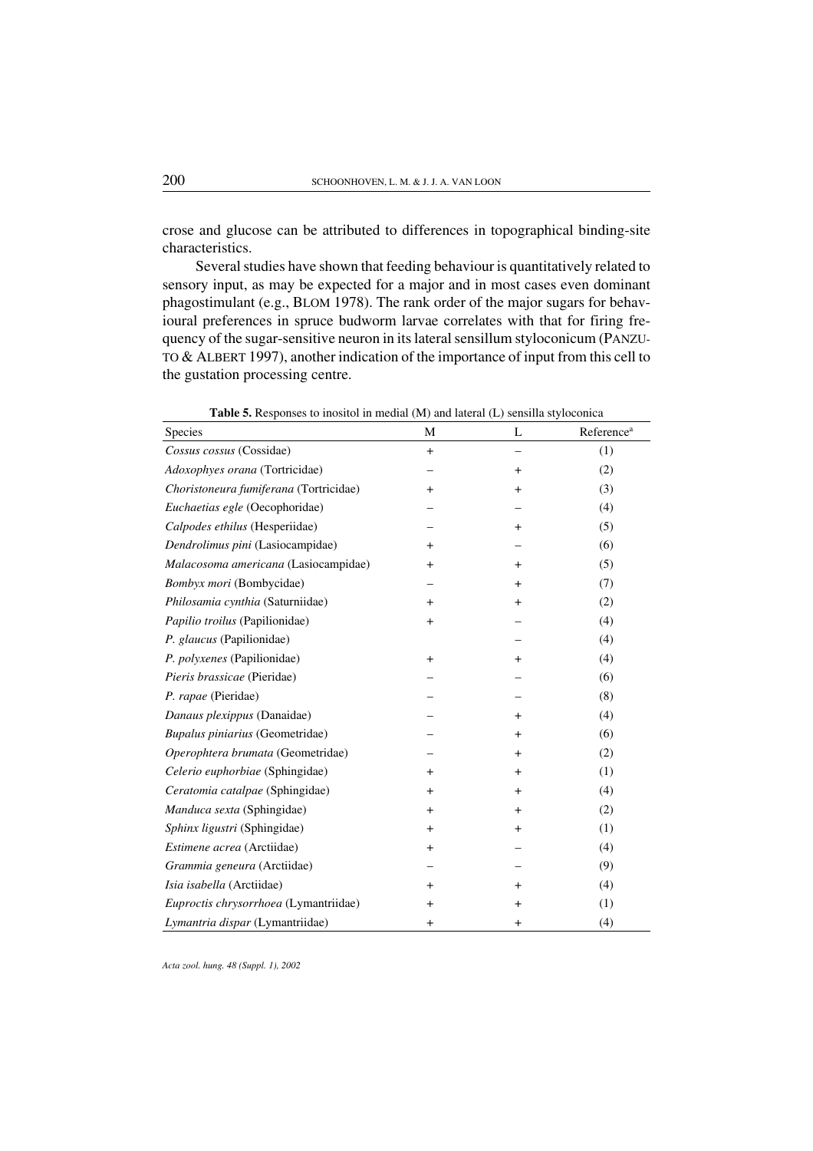crose and glucose can be attributed to differences in topographical binding-site characteristics.

Several studies have shown that feeding behaviour is quantitatively related to sensory input, as may be expected for a major and in most cases even dominant phagostimulant (e.g., BLOM 1978). The rank order of the major sugars for behavioural preferences in spruce budworm larvae correlates with that for firing frequency of the sugar-sensitive neuron in its lateral sensillum styloconicum (PANZU-TO & ALBERT 1997), another indication of the importance of input from this cell to the gustation processing centre.

| Species                                | M         | L              | Reference <sup>a</sup> |
|----------------------------------------|-----------|----------------|------------------------|
| Cossus cossus (Cossidae)               | $\ddot{}$ |                | (1)                    |
| Adoxophyes orana (Tortricidae)         |           | $\ddot{}$      | (2)                    |
| Choristoneura fumiferana (Tortricidae) | $+$       | $\ddot{}$      | (3)                    |
| Euchaetias egle (Oecophoridae)         |           |                | (4)                    |
| Calpodes ethilus (Hesperiidae)         |           | $\ddot{}$      | (5)                    |
| Dendrolimus pini (Lasiocampidae)       | $\ddot{}$ |                | (6)                    |
| Malacosoma americana (Lasiocampidae)   | $\ddot{}$ | $\pmb{+}$      | (5)                    |
| Bombyx mori (Bombycidae)               |           | $\overline{+}$ | (7)                    |
| Philosamia cynthia (Saturniidae)       | $\ddot{}$ | $\overline{+}$ | (2)                    |
| Papilio troilus (Papilionidae)         | $\ddot{}$ |                | (4)                    |
| P. glaucus (Papilionidae)              |           |                | (4)                    |
| P. polyxenes (Papilionidae)            | $+$       | $\ddot{}$      | (4)                    |
| Pieris brassicae (Pieridae)            |           |                | (6)                    |
| P. rapae (Pieridae)                    |           |                | (8)                    |
| Danaus plexippus (Danaidae)            |           | $\pmb{+}$      | (4)                    |
| Bupalus piniarius (Geometridae)        |           | $\ddot{}$      | (6)                    |
| Operophtera brumata (Geometridae)      |           | $\pmb{+}$      | (2)                    |
| Celerio euphorbiae (Sphingidae)        | $\ddot{}$ | $\ddot{}$      | (1)                    |
| Ceratomia catalpae (Sphingidae)        | $\ddot{}$ | $\pmb{+}$      | (4)                    |
| Manduca sexta (Sphingidae)             | $\ddot{}$ | $\pmb{+}$      | (2)                    |
| Sphinx ligustri (Sphingidae)           | $+$       | $\ddot{}$      | (1)                    |
| Estimene acrea (Arctiidae)             | $\ddot{}$ |                | (4)                    |
| Grammia geneura (Arctiidae)            |           |                | (9)                    |
| Isia isabella (Arctiidae)              | $\ddot{}$ | $\pmb{+}$      | (4)                    |
| Euproctis chrysorrhoea (Lymantriidae)  | $\ddot{}$ | $\ddot{}$      | (1)                    |
| Lymantria dispar (Lymantriidae)        | $\ddot{}$ | $\,{}^+$       | (4)                    |

Table 5. Responses to inositol in medial (M) and lateral (L) sensilla styloconica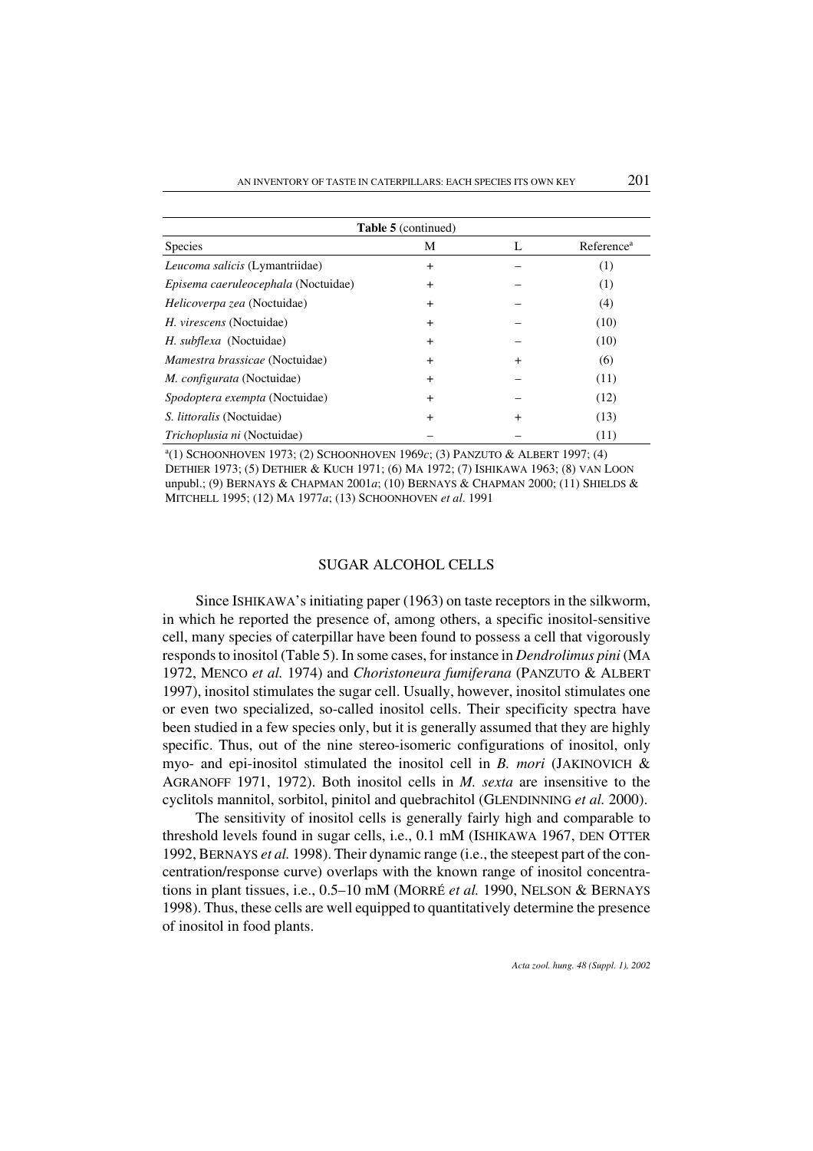|                                       | <b>Table 5</b> (continued) |                |                        |
|---------------------------------------|----------------------------|----------------|------------------------|
| <b>Species</b>                        | М                          | L              | Reference <sup>a</sup> |
| Leucoma salicis (Lymantriidae)        | $^{+}$                     |                | (1)                    |
| Episema caeruleocephala (Noctuidae)   | $^{+}$                     |                | (1)                    |
| Helicoverpa zea (Noctuidae)           | $^{+}$                     |                | (4)                    |
| <i>H. virescens</i> (Noctuidae)       | $\div$                     |                | (10)                   |
| H. subflexa (Noctuidae)               | $\ddot{}$                  |                | (10)                   |
| <i>Mamestra brassicae</i> (Noctuidae) | $\pm$                      | $\overline{+}$ | (6)                    |
| <i>M. configurata</i> (Noctuidae)     | $\ddot{}$                  |                | (11)                   |
| <i>Spodoptera exempta</i> (Noctuidae) | $^{+}$                     |                | (12)                   |
| <i>S. littoralis</i> (Noctuidae)      | $\ddot{}$                  | $\ddot{}$      | (13)                   |
| <i>Trichoplusia ni</i> (Noctuidae)    |                            |                | (11)                   |

a (1) SCHOONHOVEN 1973; (2) SCHOONHOVEN 1969*c*; (3) PANZUTO & ALBERT 1997; (4) DETHIER 1973; (5) DETHIER & KUCH 1971; (6) MA 1972; (7) ISHIKAWA 1963; (8) VAN LOON unpubl.; (9) BERNAYS & CHAPMAN 2001*a*; (10) BERNAYS & CHAPMAN 2000; (11) SHIELDS & MITCHELL 1995; (12) MA 1977*a*; (13) SCHOONHOVEN *et al*. 1991

#### SUGAR ALCOHOL CELLS

Since ISHIKAWA's initiating paper (1963) on taste receptors in the silkworm, in which he reported the presence of, among others, a specific inositol-sensitive cell, many species of caterpillar have been found to possess a cell that vigorously responds to inositol (Table 5). In some cases, for instance in *Dendrolimus pini* (MA 1972, MENCO *et al.* 1974) and *Choristoneura fumiferana* (PANZUTO & ALBERT 1997), inositol stimulates the sugar cell. Usually, however, inositol stimulates one or even two specialized, so-called inositol cells. Their specificity spectra have been studied in a few species only, but it is generally assumed that they are highly specific. Thus, out of the nine stereo-isomeric configurations of inositol, only myo- and epi-inositol stimulated the inositol cell in *B. mori* (JAKINOVICH & AGRANOFF 1971, 1972). Both inositol cells in *M. sexta* are insensitive to the cyclitols mannitol, sorbitol, pinitol and quebrachitol (GLENDINNING *et al.* 2000).

The sensitivity of inositol cells is generally fairly high and comparable to threshold levels found in sugar cells, i.e., 0.1 mM (ISHIKAWA 1967, DEN OTTER 1992, BERNAYS *et al.* 1998). Their dynamic range (i.e., the steepest part of the concentration/response curve) overlaps with the known range of inositol concentrations in plant tissues, i.e., 0.5–10 mM (MORRÉ *et al.* 1990, NELSON & BERNAYS 1998). Thus, these cells are well equipped to quantitatively determine the presence of inositol in food plants.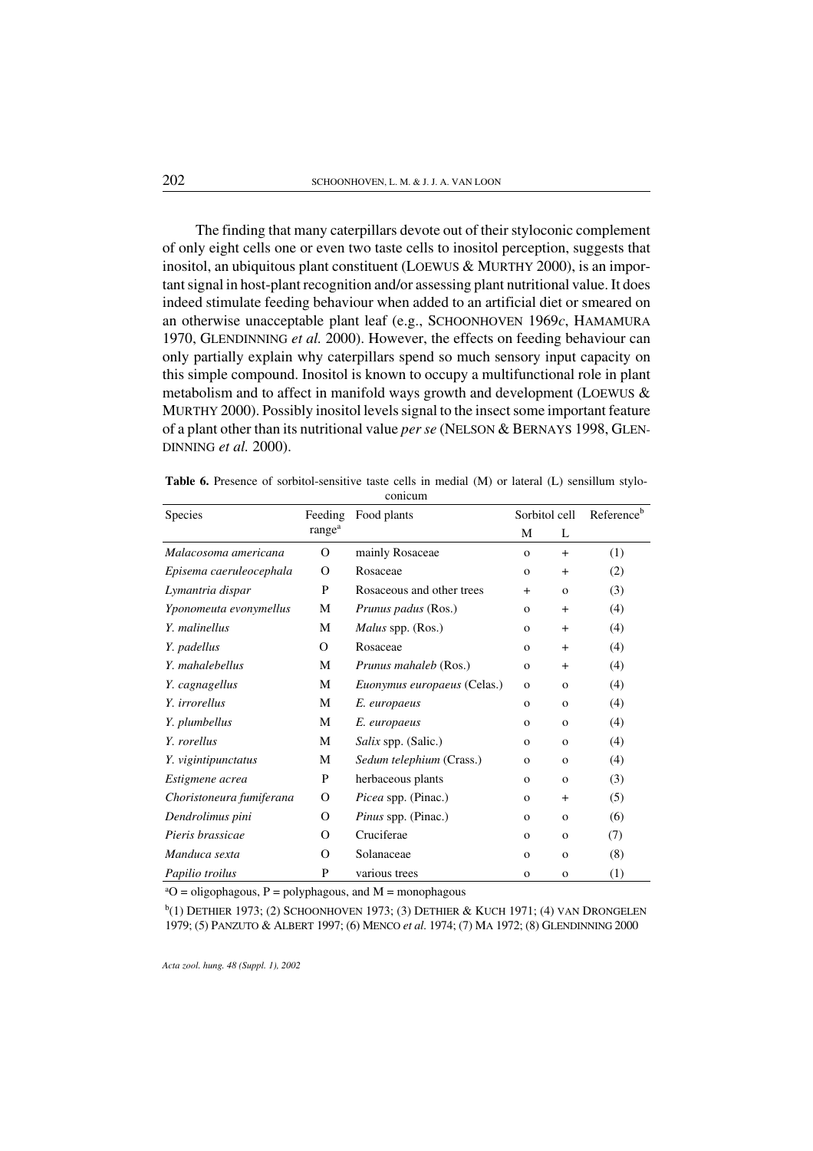The finding that many caterpillars devote out of their styloconic complement of only eight cells one oreven two taste cells to inositol perception, suggests that inositol, an ubiquitous plant constituent (LOEWUS & MURTHY 2000), is an important signal in host-plant recognition and/or assessing plant nutritional value. It does indeed stimulate feeding behaviour when added to an artificial diet or smeared on an otherwise unacceptable plant leaf (e.g., SCHOONHOVEN 1969*c*, HAMAMURA 1970, GLENDINNING *et al.* 2000). However, the effects on feeding behaviour can only partially explain why caterpillars spend so much sensory input capacity on this simple compound. Inositol is known to occupy a multifunctional role in plant metabolism and to affect in manifold ways growth and development (LOEWUS  $\&$ MURTHY 2000). Possibly inositol levels signal to the insect some important feature of a plant other than its nutritional value *per se* (NELSON & BERNAYS 1998, GLEN-DINNING *et al.* 2000).

| Species                  | Feeding            | Food plants                        | Sorbitol cell |              | Reference <sup>b</sup> |
|--------------------------|--------------------|------------------------------------|---------------|--------------|------------------------|
|                          | range <sup>a</sup> |                                    | M             | L            |                        |
| Malacosoma americana     | $\Omega$           | mainly Rosaceae                    | $\mathbf{O}$  | $+$          | (1)                    |
| Episema caeruleocephala  | O                  | Rosaceae                           | $\mathbf{O}$  | $^{+}$       | (2)                    |
| Lymantria dispar         | P                  | Rosaceous and other trees          | $+$           | $\mathbf{o}$ | (3)                    |
| Yponomeuta evonymellus   | М                  | <i>Prunus padus</i> (Ros.)         | $\mathbf 0$   | $+$          | (4)                    |
| Y. malinellus            | M                  | <i>Malus</i> spp. (Ros.)           | $\mathbf{O}$  | $+$          | (4)                    |
| Y. padellus              | O                  | Rosaceae                           | $\mathbf{O}$  | $+$          | (4)                    |
| Y. mahalebellus          | M                  | <i>Prunus mahaleb</i> (Ros.)       | $\mathbf{O}$  | $^{+}$       | (4)                    |
| Y. cagnagellus           | M                  | <i>Euonymus europaeus</i> (Celas.) | $\mathbf 0$   | $\mathbf{o}$ | (4)                    |
| Y. irrorellus            | M                  | E. europaeus                       | $\mathbf{O}$  | $\mathbf O$  | (4)                    |
| Y. plumbellus            | M                  | E. europaeus                       | $\mathbf{O}$  | $\mathbf{o}$ | (4)                    |
| Y. rorellus              | M                  | Salix spp. (Salic.)                | $\mathbf{o}$  | $\mathbf O$  | (4)                    |
| Y. vigintipunctatus      | M                  | Sedum telephium (Crass.)           | $\mathbf{O}$  | $\mathbf{o}$ | (4)                    |
| Estigmene acrea          | P                  | herbaceous plants                  | $\mathbf{O}$  | $\mathbf{O}$ | (3)                    |
| Choristoneura fumiferana | $\Omega$           | Picea spp. (Pinac.)                | $\mathbf 0$   | $\ddot{}$    | (5)                    |
| Dendrolimus pini         | O                  | Pinus spp. (Pinac.)                | $\mathbf 0$   | $\mathbf{o}$ | (6)                    |
| Pieris brassicae         | $\Omega$           | Cruciferae                         | $\mathbf 0$   | $\mathbf O$  | (7)                    |
| Manduca sexta            | O                  | Solanaceae                         | $\mathbf{O}$  | $\mathbf{o}$ | (8)                    |
| Papilio troilus          | P                  | various trees                      | $\mathbf{O}$  | $\mathbf O$  | (1)                    |

Table 6. Presence of sorbitol-sensitive taste cells in medial (M) or lateral (L) sensillum styloconicum

 ${}^{a}O =$  oligophagous,  $P =$  polyphagous, and  $M =$  monophagous

<sup>b</sup>(1) DETHIER 1973; (2) SCHOONHOVEN 1973; (3) DETHIER & KUCH 1971; (4) VAN DRONGELEN 1979; (5) PANZUTO & ALBERT 1997; (6) MENCO *et al*. 1974; (7) MA 1972; (8) GLENDINNING 2000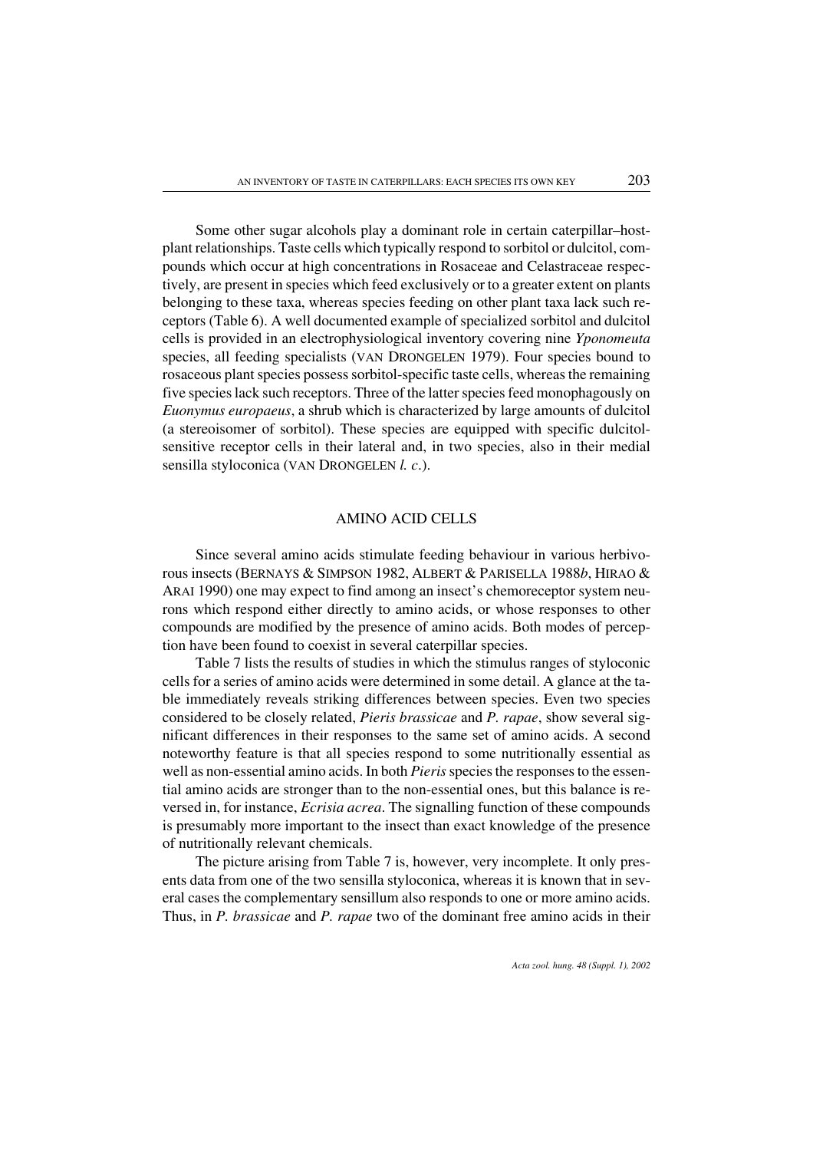Some other sugar alcohols play a dominant role in certain caterpillar–hostplant relationships. Taste cells which typically respond to sorbitol or dulcitol, compounds which occur at high concentrations in Rosaceae and Celastraceae respectively, are present in species which feed exclusively or to a greater extent on plants belonging to these taxa, whereas species feeding on other plant taxa lack such receptors (Table 6). A well documented example of specialized sorbitol and dulcitol cells is provided in an electrophysiological inventory covering nine *Yponomeuta* species, all feeding specialists (VAN DRONGELEN 1979). Four species bound to rosaceous plant species possess sorbitol-specific taste cells, whereas the remaining five species lack such receptors. Three of the latter species feed monophagously on *Euonymus europaeus*, a shrub which is characterized by large amounts of dulcitol (a stereoisomer of sorbitol). These species are equipped with specific dulcitolsensitive receptor cells in their lateral and, in two species, also in their medial sensilla styloconica (VAN DRONGELEN *l. c*.).

## AMINO ACID CELLS

Since several amino acids stimulate feeding behaviour in various herbivorous insects (BERNAYS & SIMPSON 1982, ALBERT & PARISELLA 1988*b*, HIRAO & ARAI 1990) one may expect to find among an insect's chemoreceptor system neurons which respond either directly to amino acids, or whose responses to other compounds are modified by the presence of amino acids. Both modes of perception have been found to coexist in several caterpillar species.

Table 7 lists the results of studies in which the stimulus ranges of styloconic cells for a series of amino acids were determined in some detail. A glance at the table immediately reveals striking differences between species. Even two species considered to be closely related, *Pieris brassicae* and *P. rapae*, show several significant differences in their responses to the same set of amino acids. A second noteworthy feature is that all species respond to some nutritionally essential as well as non-essential amino acids. In both *Pieris* species the responses to the essential amino acids are stronger than to the non-essential ones, but this balance is reversed in, for instance, *Ecrisia acrea*. The signalling function of these compounds is presumably more important to the insect than exact knowledge of the presence of nutritionally relevant chemicals.

The picture arising from Table 7 is, however, very incomplete. It only presents data from one of the two sensilla styloconica, whereas it is known that in several cases the complementary sensillum also responds to one or more amino acids. Thus, in *P. brassicae* and *P. rapae* two of the dominant free amino acids in their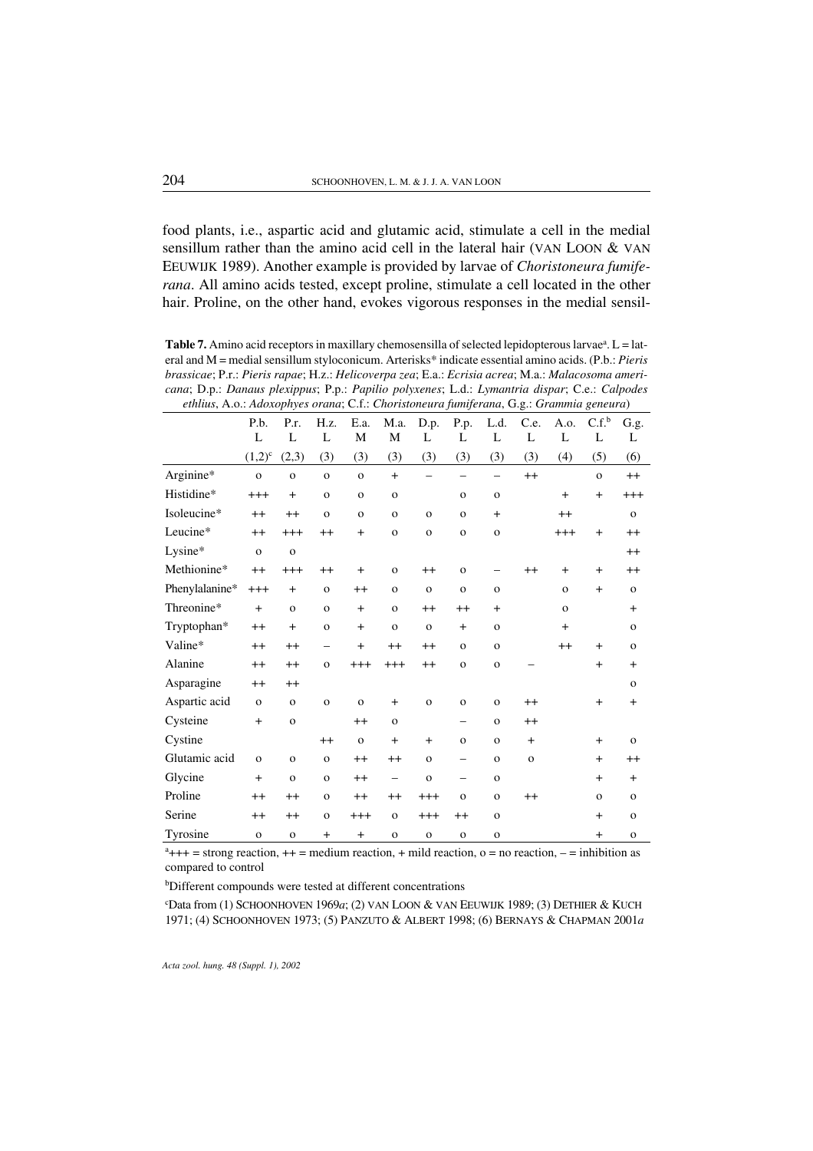food plants, i.e., aspartic acid and glutamic acid, stimulate a cell in the medial sensillum rather than the amino acid cell in the lateral hair (VAN LOON & VAN EEUWIJK 1989). Another example is provided by larvae of *Choristoneura fumiferana*. All amino acids tested, except proline, stimulate a cell located in the other hair. Proline, on the other hand, evokes vigorous responses in the medial sensil-

Table 7. Amino acid receptors in maxillary chemosensilla of selected lepidopterous larvae<sup>a</sup>. L = lateral and M = medial sensillum styloconicum. Arterisks\* indicate essential amino acids. (P.b.: *Pieris brassicae*; P.r.: *Pieris rapae*; H.z.: *Helicoverpa zea*; E.a.: *Ecrisia acrea*; M.a.: *Malacosoma americana*; D.p.: *Danaus plexippus*; P.p.: *Papilio polyxenes*; L.d.: *Lymantria dispar*; C.e.: *Calpodes ethlius*, A.o.: *Adoxophyes orana*; C.f.: *Choristoneura fumiferana*, G.g.: *Grammia geneura*)

|                | P.b.         | P.r.         | H.z.         | E.a.         | M.a.         | D.p.                     | P.p.              | L.d.                     | C.e.         | A.o.         | C.f.         | G.g.         |
|----------------|--------------|--------------|--------------|--------------|--------------|--------------------------|-------------------|--------------------------|--------------|--------------|--------------|--------------|
|                | L            | L            | L            | M            | M            | L                        | L                 | L                        | L            | L            | L            | L            |
|                | $(1,2)^{c}$  | (2,3)        | (3)          | (3)          | (3)          | (3)                      | (3)               | (3)                      | (3)          | (4)          | (5)          | (6)          |
| Arginine*      | $\mathbf{o}$ | $\mathbf{o}$ | $\mathbf{o}$ | $\mathbf{O}$ | $+$          | $\overline{\phantom{0}}$ |                   | $\overline{\phantom{0}}$ | $^{++}$      |              | $\mathbf{o}$ | $^{++}$      |
| Histidine*     | $+++$        | $+$          | $\mathbf{o}$ | $\mathbf{o}$ | $\mathbf{o}$ |                          | $\mathbf{o}$      | $\mathbf{o}$             |              | $+$          | $+$          | $+++$        |
| Isoleucine*    | $^{++}$      | $++$         | $\mathbf{o}$ | $\mathbf{o}$ | $\mathbf{o}$ | $\mathbf{o}$             | $\mathbf{o}$      | $+$                      |              | $^{++}$      |              | $\mathbf{O}$ |
| Leucine*       | $^{++}$      | $+++$        | $^{++}$      | $+$          | $\mathbf{o}$ | $\mathbf{o}$             | $\mathbf{o}$      | $\mathbf{o}$             |              | $+++$        | $+$          | $^{++}$      |
| Lysine*        | $\mathbf{o}$ | $\mathbf{o}$ |              |              |              |                          |                   |                          |              |              |              | $++$         |
| Methionine*    | $^{++}$      | $+++$        | $^{++}$      | $+$          | $\mathbf{o}$ | $^{++}$                  | $\mathbf{o}$      |                          | $^{++}$      | $+$          | $+$          | $^{++}$      |
| Phenylalanine* | $^{+++}$     | $+$          | $\mathbf{o}$ | $++$         | $\mathbf{o}$ | $\mathbf{o}$             | $\mathbf{o}$      | $\mathbf{o}$             |              | $\mathbf{o}$ | $+$          | $\mathbf{O}$ |
| Threonine*     | $+$          | $\mathbf{o}$ | $\mathbf{o}$ | $+$          | $\mathbf{o}$ | $^{++}$                  | $^{++}$           | $+$                      |              | $\mathbf{o}$ |              | $+$          |
| Tryptophan*    | $^{++}$      | $+$          | $\mathbf{o}$ | $\ddot{}$    | $\mathbf{o}$ | $\mathbf{o}$             | $\ddot{}$         | $\mathbf{o}$             |              | $\ddot{}$    |              | $\mathbf{o}$ |
| Valine*        | $^{++}$      | $++$         | -            | $+$          | $^{++}$      | $^{++}$                  | $\mathbf{o}$      | $\mathbf{o}$             |              | $^{++}$      | $+$          | $\mathbf{o}$ |
| Alanine        | $^{++}$      | $++$         | $\mathbf{o}$ | $+++$        | $+++$        | $^{++}$                  | $\mathbf{o}$      | $\mathbf{o}$             |              |              | $+$          | $+$          |
| Asparagine     | $^{++}$      | $^{++}$      |              |              |              |                          |                   |                          |              |              |              | $\mathbf{o}$ |
| Aspartic acid  | $\mathbf{o}$ | $\mathbf{o}$ | $\mathbf{o}$ | $\mathbf{o}$ | $+$          | $\mathbf{o}$             | $\mathbf{o}$      | $\mathbf{o}$             | $^{++}$      |              | $+$          | $+$          |
| Cysteine       | $+$          | $\mathbf{o}$ |              | $^{++}$      | $\mathbf{o}$ |                          | —                 | $\mathbf{o}$             | $++$         |              |              |              |
| Cystine        |              |              | $^{++}$      | $\mathbf{o}$ | $\ddot{}$    | $\ddot{}$                | $\mathbf{o}$      | $\mathbf{o}$             | $+$          |              | $+$          | $\mathbf{o}$ |
| Glutamic acid  | $\mathbf{o}$ | $\mathbf{o}$ | $\mathbf{o}$ | $++$         | $^{++}$      | $\mathbf{o}$             | $\qquad \qquad -$ | $\mathbf{o}$             | $\mathbf{o}$ |              | $+$          | $^{++}$      |
| Glycine        | $+$          | $\mathbf{o}$ | $\mathbf{o}$ | $^{++}$      | —            | $\mathbf{o}$             |                   | $\mathbf{o}$             |              |              | $+$          | $+$          |
| Proline        | $^{++}$      | $++$         | $\mathbf{o}$ | $^{++}$      | $^{++}$      | $+++$                    | $\mathbf{o}$      | $\mathbf{o}$             | $++$         |              | $\mathbf{o}$ | $\mathbf{O}$ |
| Serine         | $^{++}$      | $++$         | $\mathbf{o}$ | $^{+++}$     | $\mathbf{o}$ | $+++$                    | $^{++}$           | $\mathbf{o}$             |              |              | $+$          | $\mathbf{o}$ |
| Tyrosine       | $\mathbf{o}$ | $\mathbf{o}$ | $+$          | $+$          | $\mathbf{o}$ | $\mathbf{o}$             | $\mathbf{o}$      | $\mathbf{o}$             |              |              | $+$          | $\mathbf{o}$ |

 $a_{+++}$  = strong reaction,  $++$  = medium reaction,  $+$  mild reaction,  $o =$  no reaction,  $-$  = inhibition as compared to control

b Different compounds were tested at different concentrations

c Data from (1) SCHOONHOVEN 1969*a*; (2) VAN LOON & VAN EEUWIJK 1989; (3) DETHIER & KUCH 1971; (4) SCHOONHOVEN 1973; (5) PANZUTO & ALBERT 1998; (6) BERNAYS & CHAPMAN 2001*a*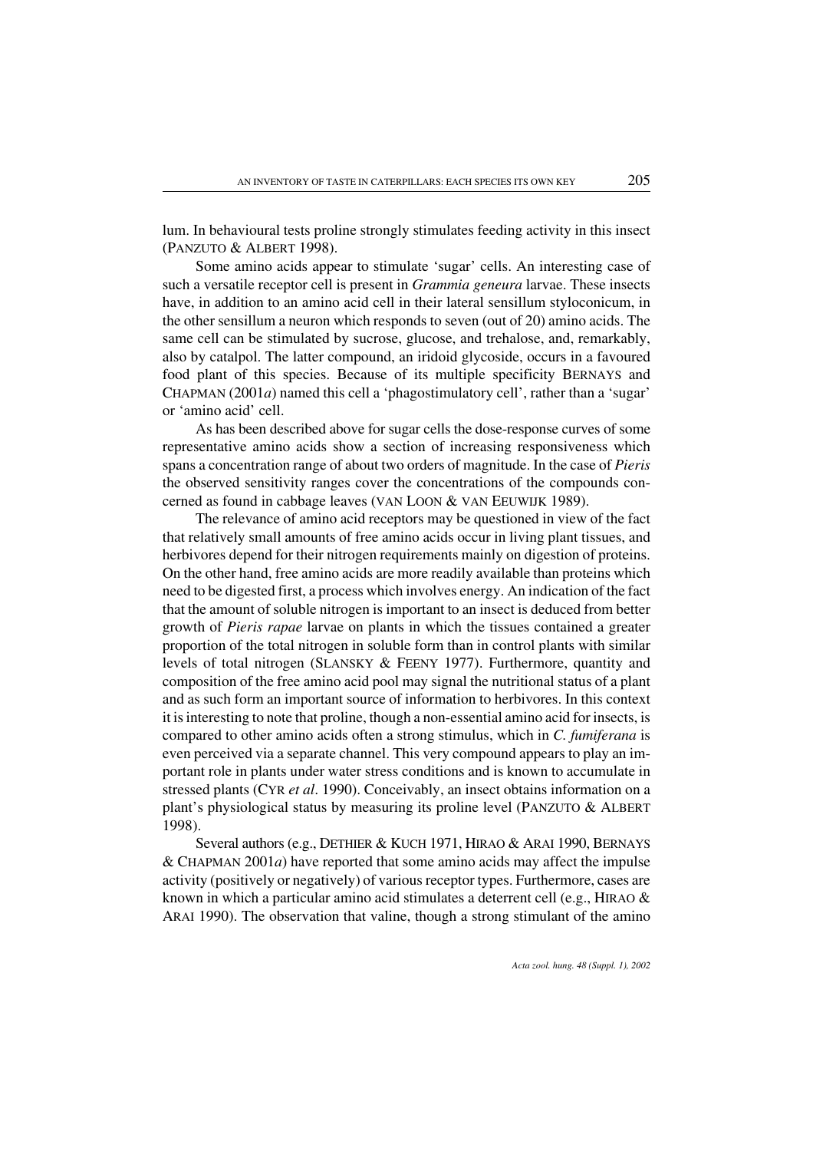lum. In behavioural tests proline strongly stimulates feeding activity in this insect (PANZUTO & ALBERT 1998).

Some amino acids appear to stimulate 'sugar' cells. An interesting case of such a versatile receptor cell is present in *Grammia geneura* larvae. These insects have, in addition to an amino acid cell in their lateral sensillum styloconicum, in the other sensillum a neuron which responds to seven (out of 20) amino acids. The same cell can be stimulated by sucrose, glucose, and trehalose, and, remarkably, also by catalpol. The latter compound, an iridoid glycoside, occurs in a favoured food plant of this species. Because of its multiple specificity BERNAYS and CHAPMAN (2001*a*) named this cell a 'phagostimulatory cell', rather than a 'sugar' or 'amino acid' cell.

As has been described above for sugar cells the dose-response curves of some representative amino acids show a section of increasing responsiveness which spans a concentration range of about two orders of magnitude. In the case of *Pieris* the observed sensitivity ranges cover the concentrations of the compounds concerned as found in cabbage leaves (VAN LOON & VAN EEUWIJK 1989).

The relevance of amino acid receptors may be questioned in view of the fact that relatively small amounts of free amino acids occur in living plant tissues, and herbivores depend for their nitrogen requirements mainly on digestion of proteins. On the other hand, free amino acids are more readily available than proteins which need to be digested first, a process which involves energy. An indication of the fact that the amount of soluble nitrogen is important to an insect is deduced from better growth of *Pieris rapae* larvae on plants in which the tissues contained a greater proportion of the total nitrogen in soluble form than in control plants with similar levels of total nitrogen (SLANSKY & FEENY 1977). Furthermore, quantity and composition of the free amino acid pool may signal the nutritional status of a plant and as such form an important source of information to herbivores. In this context it is interesting to note that proline, though a non-essential amino acid for insects, is compared to other amino acids often a strong stimulus, which in *C. fumiferana* is even perceived via a separate channel. This very compound appears to play an important role in plants under water stress conditions and is known to accumulate in stressed plants (CYR *et al*. 1990). Conceivably, an insect obtains information on a plant's physiological status by measuring its proline level (PANZUTO & ALBERT 1998).

Several authors (e.g., DETHIER & KUCH 1971, HIRAO & ARAI 1990, BERNAYS  $&$  CHAPMAN 2001*a*) have reported that some amino acids may affect the impulse activity (positively or negatively) of various receptor types. Furthermore, cases are known in which a particular amino acid stimulates a deterrent cell (e.g., HIRAO  $\&$ ARAI 1990). The observation that valine, though a strong stimulant of the amino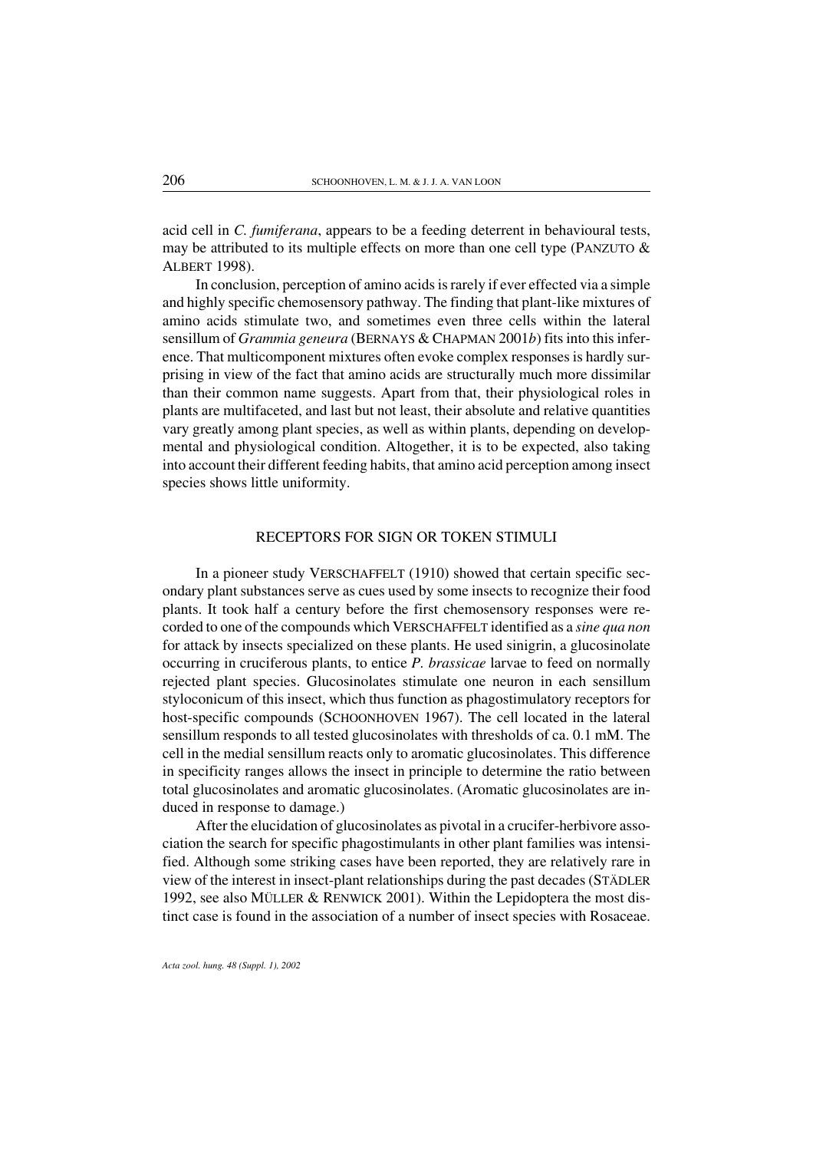acid cell in *C. fumiferana*, appears to be a feeding deterrent in behavioural tests, may be attributed to its multiple effects on more than one cell type (PANZUTO  $\&$ ALBERT 1998).

In conclusion, perception of amino acids is rarely if ever effected via a simple and highly specific chemosensory pathway. The finding that plant-like mixtures of amino acids stimulate two, and sometimes even three cells within the lateral sensillum of *Grammia geneura* (BERNAYS & CHAPMAN 2001*b*) fits into this inference. That multicomponent mixtures often evoke complex responses is hardly surprising in view of the fact that amino acids are structurally much more dissimilar than their common name suggests. Apart from that, their physiological roles in plants are multifaceted, and last but not least, their absolute and relative quantities vary greatly among plant species, as well as within plants, depending on developmental and physiological condition. Altogether, it is to be expected, also taking into account their different feeding habits, that amino acid perception among insect species shows little uniformity.

#### RECEPTORS FOR SIGN OR TOKEN STIMULI

In a pioneer study VERSCHAFFELT (1910) showed that certain specific secondary plant substances serve as cues used by some insects to recognize their food plants. It took half a century before the first chemosensory responses were recorded to one of the compounds which VERSCHAFFELT identified as a *sine qua non* for attack by insects specialized on these plants. He used sinigrin, a glucosinolate occurring in cruciferous plants, to entice *P. brassicae* larvae to feed on normally rejected plant species. Glucosinolates stimulate one neuron in each sensillum styloconicum of this insect, which thus function as phagostimulatory receptors for host-specific compounds (SCHOONHOVEN 1967). The cell located in the lateral sensillum responds to all tested glucosinolates with thresholds of ca. 0.1 mM. The cell in the medial sensillum reacts only to aromatic glucosinolates. This difference in specificity ranges allows the insect in principle to determine the ratio between total glucosinolates and aromatic glucosinolates. (Aromatic glucosinolates are induced in response to damage.)

After the elucidation of glucosinolates as pivotal in a crucifer-herbivore association the search for specific phagostimulants in other plant families was intensified. Although some striking cases have been reported, they are relatively rare in view of the interest in insect-plant relationships during the past decades (STÄDLER 1992, see also MÜLLER & RENWICK 2001). Within the Lepidoptera the most distinct case is found in the association of a number of insect species with Rosaceae.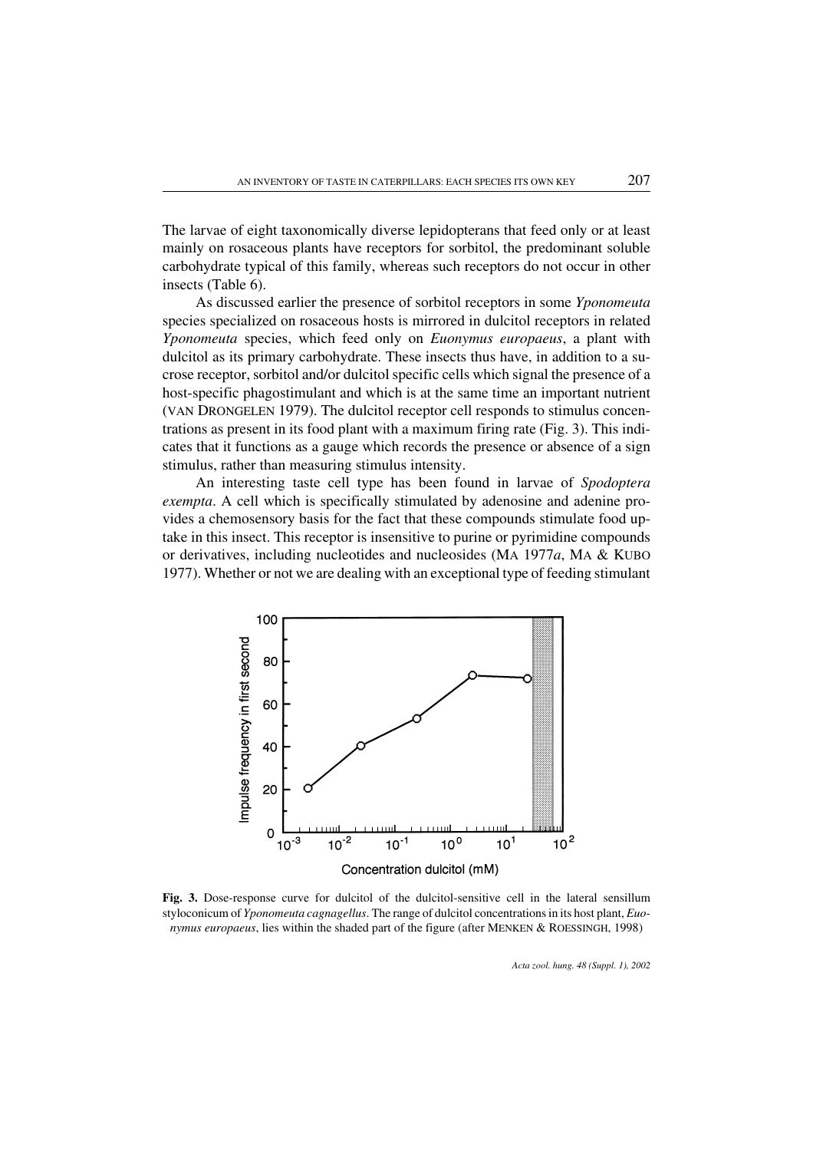The larvae of eight taxonomically diverse lepidopterans that feed only or at least mainly on rosaceous plants have receptors for sorbitol, the predominant soluble carbohydrate typical of this family, whereas such receptors do not occur in other insects (Table 6).

As discussed earlier the presence of sorbitol receptors in some *Yponomeuta* species specialized on rosaceous hosts is mirrored in dulcitol receptors in related *Yponomeuta* species, which feed only on *Euonymus europaeus*, a plant with dulcitol as its primary carbohydrate. These insects thus have, in addition to a sucrose receptor, sorbitol and/or dulcitol specific cells which signal the presence of a host-specific phagostimulant and which is at the same time an important nutrient (VAN DRONGELEN 1979). The dulcitol receptor cell responds to stimulus concentrations as present in its food plant with a maximum firing rate (Fig. 3). This indicates that it functions as a gauge which records the presence or absence of a sign stimulus, rather than measuring stimulus intensity.

An interesting taste cell type has been found in larvae of *Spodoptera exempta*. A cell which is specifically stimulated by adenosine and adenine provides a chemosensory basis for the fact that these compounds stimulate food uptake in this insect. This receptor is insensitive to purine or pyrimidine compounds orderivatives, including nucleotides and nucleosides (MA 1977*a*, MA & KUBO 1977). Whether or not we are dealing with an exceptional type of feeding stimulant



Fig. 3. Dose-response curve for dulcitol of the dulcitol-sensitive cell in the lateral sensillum styloconicum of *Yponomeuta cagnagellus*. The range of dulcitol concentrations in its host plant, *Euonymus europaeus*, lies within the shaded part of the figure (after MENKEN & ROESSINGH, 1998)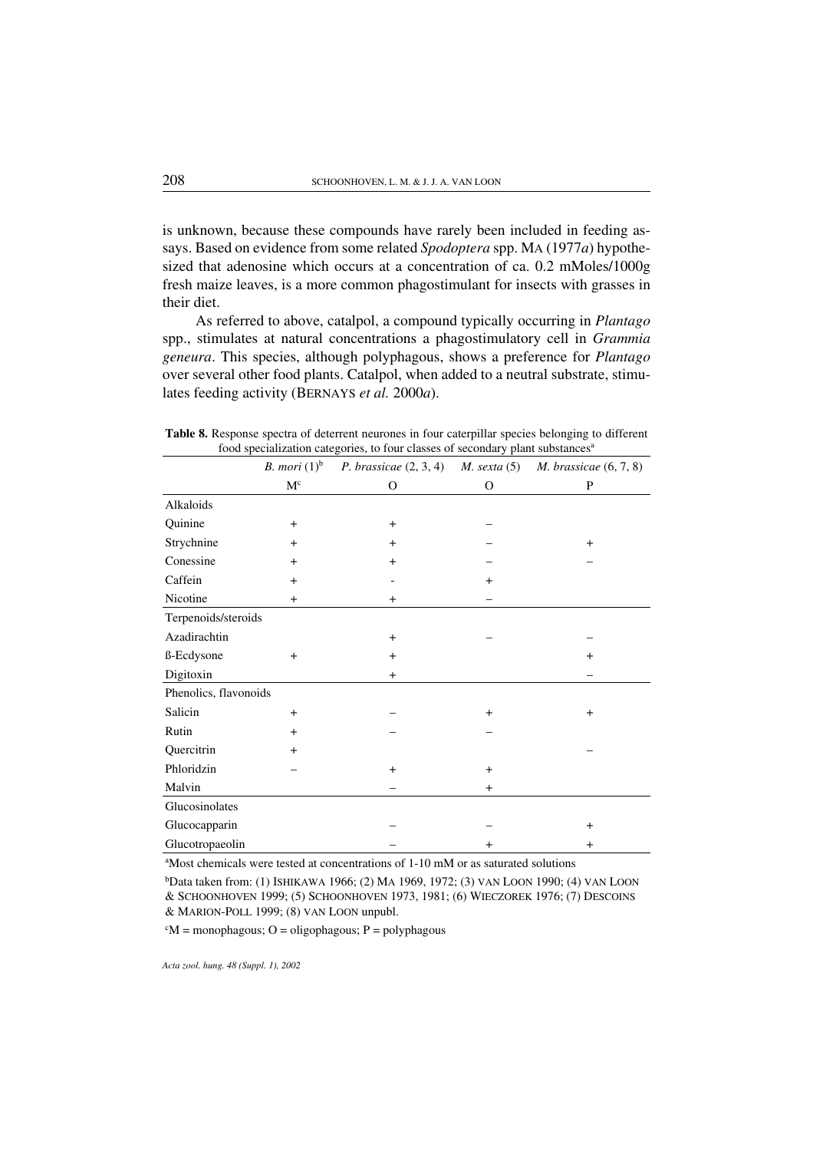is unknown, because these compounds have rarely been included in feeding assays. Based on evidence from some related *Spodoptera* spp. MA (1977*a*) hypothesized that adenosine which occurs at a concentration of ca. 0.2 mMoles/1000g fresh maize leaves, is a more common phagostimulant for insects with grasses in their diet.

As referred to above, catalpol, a compound typically occurring in *Plantago* spp., stimulates at natural concentrations a phagostimulatory cell in *Grammia geneura*. This species, although polyphagous, shows a preference for *Plantago* over several other food plants. Catalpol, when added to a neutral substrate, stimulates feeding activity (BERNAYS *et al.* 2000*a*).

|  |  |  |  | Table 8. Response spectra of deterrent neurones in four caterpillar species belonging to different |  |
|--|--|--|--|----------------------------------------------------------------------------------------------------|--|
|  |  |  |  | food specialization categories, to four classes of secondary plant substances <sup>a</sup>         |  |

|                       | <i>B. mori</i> $(1)^b$ |           |               | P. brassicae $(2, 3, 4)$ M. sexta $(5)$ M. brassicae $(6, 7, 8)$ |
|-----------------------|------------------------|-----------|---------------|------------------------------------------------------------------|
|                       | $M^c$                  | 0         | $\mathcal{O}$ | P                                                                |
| Alkaloids             |                        |           |               |                                                                  |
| Quinine               | $\ddot{}$              | $\ddot{}$ |               |                                                                  |
| Strychnine            | $\ddot{}$              | $^{+}$    |               | $+$                                                              |
| Conessine             | $+$                    | $+$       |               |                                                                  |
| Caffein               | $+$                    |           | $+$           |                                                                  |
| Nicotine              | $+$                    | $+$       |               |                                                                  |
| Terpenoids/steroids   |                        |           |               |                                                                  |
| Azadirachtin          |                        | $+$       |               |                                                                  |
| ß-Ecdysone            | $+$                    | $+$       |               | $+$                                                              |
| Digitoxin             |                        | $\ddot{}$ |               |                                                                  |
| Phenolics, flavonoids |                        |           |               |                                                                  |
| Salicin               | $\ddot{}$              |           | $\ddot{}$     | $\ddot{}$                                                        |
| Rutin                 | $\ddot{}$              |           |               |                                                                  |
| Quercitrin            | $\ddot{}$              |           |               |                                                                  |
| Phloridzin            |                        | $\ddot{}$ | $\ddot{}$     |                                                                  |
| Malvin                |                        |           | $\ddot{}$     |                                                                  |
| Glucosinolates        |                        |           |               |                                                                  |
| Glucocapparin         |                        |           |               | $\ddot{}$                                                        |
| Glucotropaeolin       |                        |           | $+$           | $+$                                                              |

a Most chemicals were tested at concentrations of 1-10 mM or as saturated solutions

b Data taken from: (1) ISHIKAWA 1966; (2) MA 1969, 1972; (3) VAN LOON 1990; (4) VAN LOON & SCHOONHOVEN 1999; (5) SCHOONHOVEN 1973, 1981; (6) WIECZOREK 1976; (7) DESCOINS & MARION-POLL 1999; (8) VAN LOON unpubl.

 ${}^cM$  = monophagous; O = oligophagous; P = polyphagous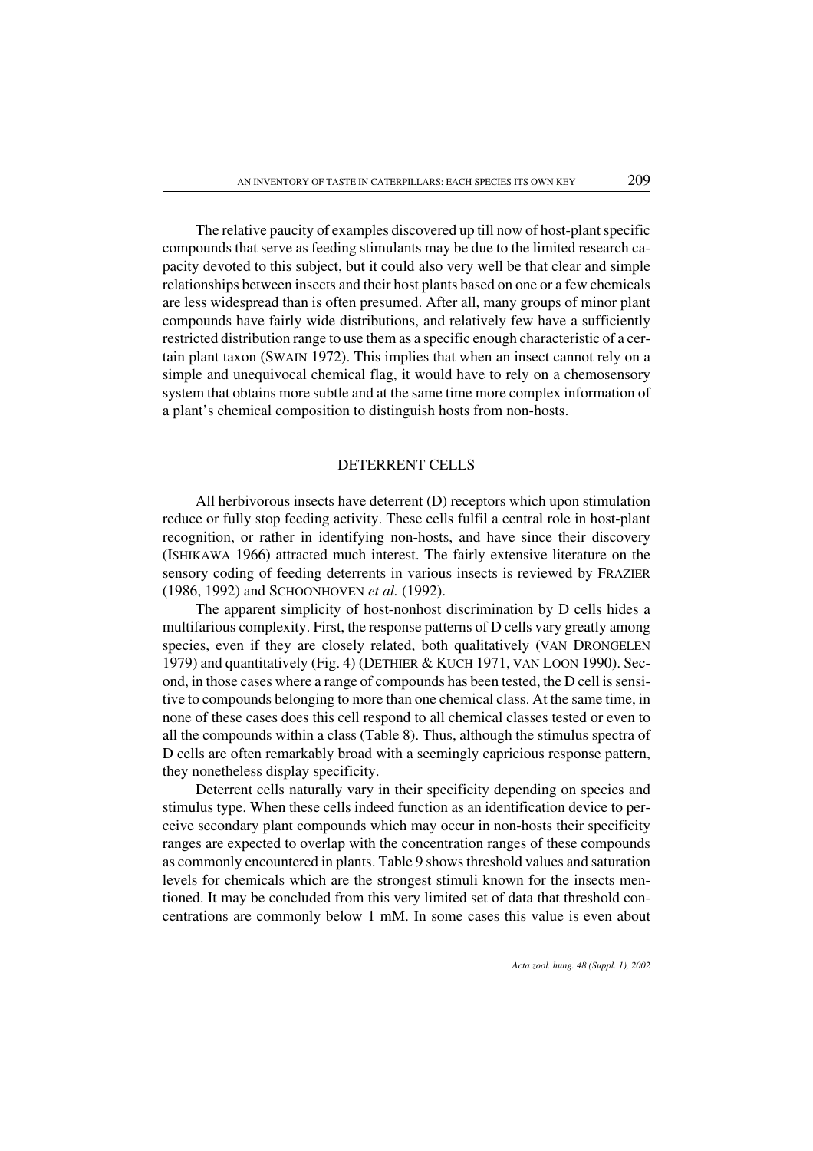The relative paucity of examples discovered up till now of host-plant specific compounds that serve as feeding stimulants may be due to the limited research capacity devoted to this subject, but it could also very well be that clear and simple relationships between insects and their host plants based on one or a few chemicals are less widespread than is often presumed. After all, many groups of minor plant compounds have fairly wide distributions, and relatively few have a sufficiently restricted distribution range to use them as a specific enough characteristic of a certain plant taxon (SWAIN 1972). This implies that when an insect cannot rely on a simple and unequivocal chemical flag, it would have to rely on a chemosensory system that obtains more subtle and at the same time more complex information of a plant's chemical composition to distinguish hosts from non-hosts.

#### DETERRENT CELLS

All herbivorous insects have deterrent (D) receptors which upon stimulation reduce or fully stop feeding activity. These cells fulfil a central role in host-plant recognition, or rather in identifying non-hosts, and have since their discovery (ISHIKAWA 1966) attracted much interest. The fairly extensive literature on the sensory coding of feeding deterrents in various insects is reviewed by FRAZIER (1986, 1992) and SCHOONHOVEN *et al.* (1992).

The apparent simplicity of host-nonhost discrimination by D cells hides a multifarious complexity. First, the response patterns of D cells vary greatly among species, even if they are closely related, both qualitatively (VAN DRONGELEN 1979) and quantitatively (Fig. 4) (DETHIER & KUCH 1971, VAN LOON 1990). Second, in those cases where a range of compounds has been tested, the D cell is sensitive to compounds belonging to more than one chemical class. At the same time, in none of these cases does this cell respond to all chemical classes tested or even to all the compounds within a class (Table 8). Thus, although the stimulus spectra of D cells are often remarkably broad with a seemingly capricious response pattern, they nonetheless display specificity.

Deterrent cells naturally vary in their specificity depending on species and stimulus type. When these cells indeed function as an identification device to perceive secondary plant compounds which may occur in non-hosts their specificity ranges are expected to overlap with the concentration ranges of these compounds as commonly encountered in plants. Table 9 shows threshold values and saturation levels for chemicals which are the strongest stimuli known for the insects mentioned. It may be concluded from this very limited set of data that threshold concentrations are commonly below 1 mM. In some cases this value is even about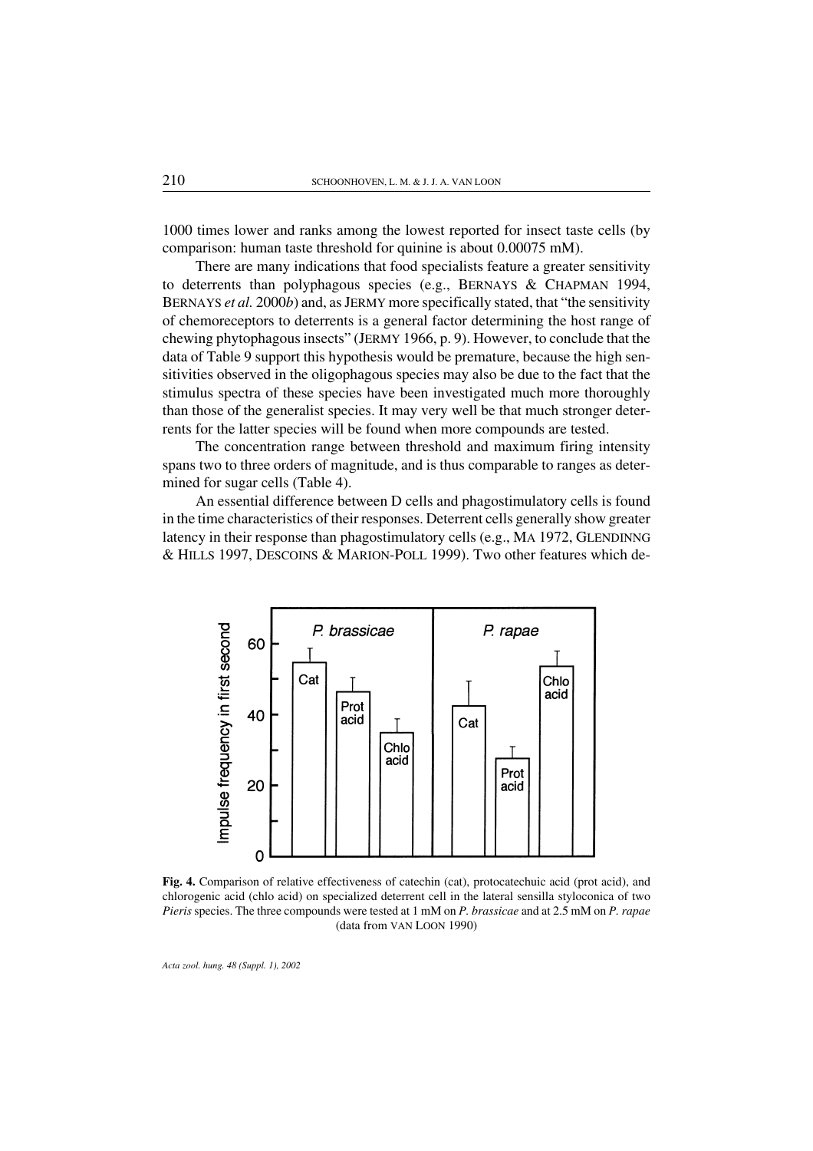1000 times lower and ranks among the lowest reported for insect taste cells (by comparison: human taste threshold for quinine is about 0.00075 mM).

There are many indications that food specialists feature a greater sensitivity to deterrents than polyphagous species (e.g., BERNAYS & CHAPMAN 1994, BERNAYS *et al.* 2000*b*) and, as JERMY more specifically stated, that "the sensitivity of chemoreceptors to deterrents is a general factor determining the host range of chewing phytophagous insects" (JERMY 1966, p. 9). However, to conclude that the data of Table 9 support this hypothesis would be premature, because the high sensitivities observed in the oligophagous species may also be due to the fact that the stimulus spectra of these species have been investigated much more thoroughly than those of the generalist species. It may very well be that much stronger deterrents for the latter species will be found when more compounds are tested.

The concentration range between threshold and maximum firing intensity spans two to three orders of magnitude, and is thus comparable to ranges as determined for sugar cells (Table 4).

An essential difference between D cells and phagostimulatory cells is found in the time characteristics of their responses. Deterrent cells generally show greater latency in their response than phagostimulatory cells (e.g., MA 1972, GLENDINNG & HILLS 1997, DESCOINS & MARION-POLL 1999). Two other features which de-



Fig. 4. Comparison of relative effectiveness of catechin (cat), protocatechuic acid (prot acid), and chlorogenic acid (chlo acid) on specialized deterrent cell in the lateral sensilla styloconica of two *Pieris* species. The three compounds were tested at 1 mM on *P. brassicae* and at 2.5 mM on *P. rapae* (data from VAN LOON 1990)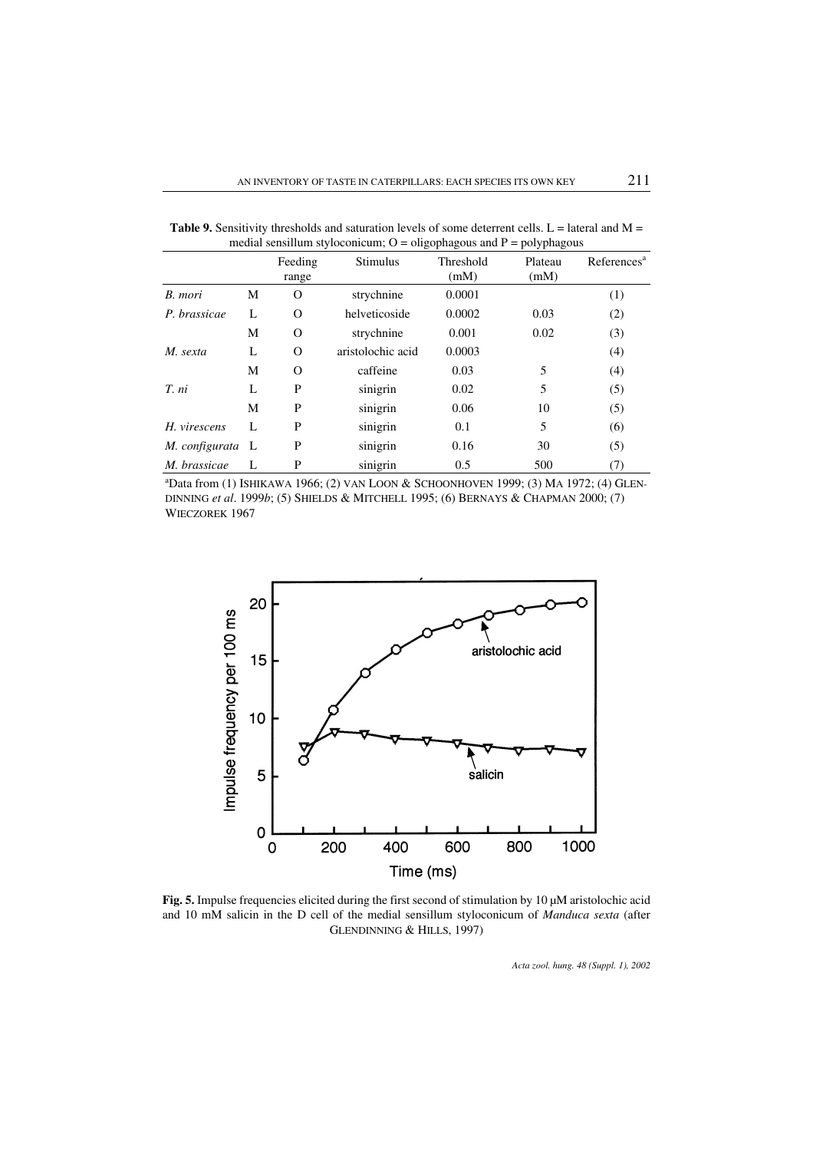|                  |   | Feeding<br>range | <b>Stimulus</b>   | Threshold<br>(mM) | Plateau<br>(mM) | References <sup>a</sup> |
|------------------|---|------------------|-------------------|-------------------|-----------------|-------------------------|
| B. mori          | М | O                | strychnine        | 0.0001            |                 | (1)                     |
| P. brassicae     | L | 0                | helveticoside     | 0.0002            | 0.03            | (2)                     |
|                  | М | 0                | strychnine        | 0.001             | 0.02            | (3)                     |
| M. sexta         | L | O                | aristolochic acid | 0.0003            |                 | (4)                     |
|                  | М | O                | caffeine          | 0.03              | 5               | (4)                     |
| T. ni            | L | P                | sinigrin          | 0.02              | 5               | (5)                     |
|                  | М | P                | sinigrin          | 0.06              | 10              | (5)                     |
| H. virescens     | L | P                | sinigrin          | 0.1               | 5               | (6)                     |
| M. configurata L |   | P                | sinigrin          | 0.16              | 30              | (5)                     |
| M. brassicae     |   | P                | sinigrin          | 0.5               | 500             | (7)                     |

Table 9. Sensitivity thresholds and saturation levels of some deterrent cells.  $L =$  lateral and  $M =$ medial sensillum styloconicum;  $Q =$  oligophagous and  $P =$  polyphagous

a Data from (1) ISHIKAWA 1966; (2) VAN LOON & SCHOONHOVEN 1999; (3) MA 1972; (4) GLEN-DINNING *et al*. 1999*b*; (5) SHIELDS & MITCHELL 1995; (6) BERNAYS & CHAPMAN 2000; (7) WIECZOREK 1967



Fig. 5. Impulse frequencies elicited during the first second of stimulation by 10 µM aristolochic acid and 10 mM salicin in the D cell of the medial sensillum styloconicum of *Manduca sexta* (after GLENDINNING & HILLS, 1997)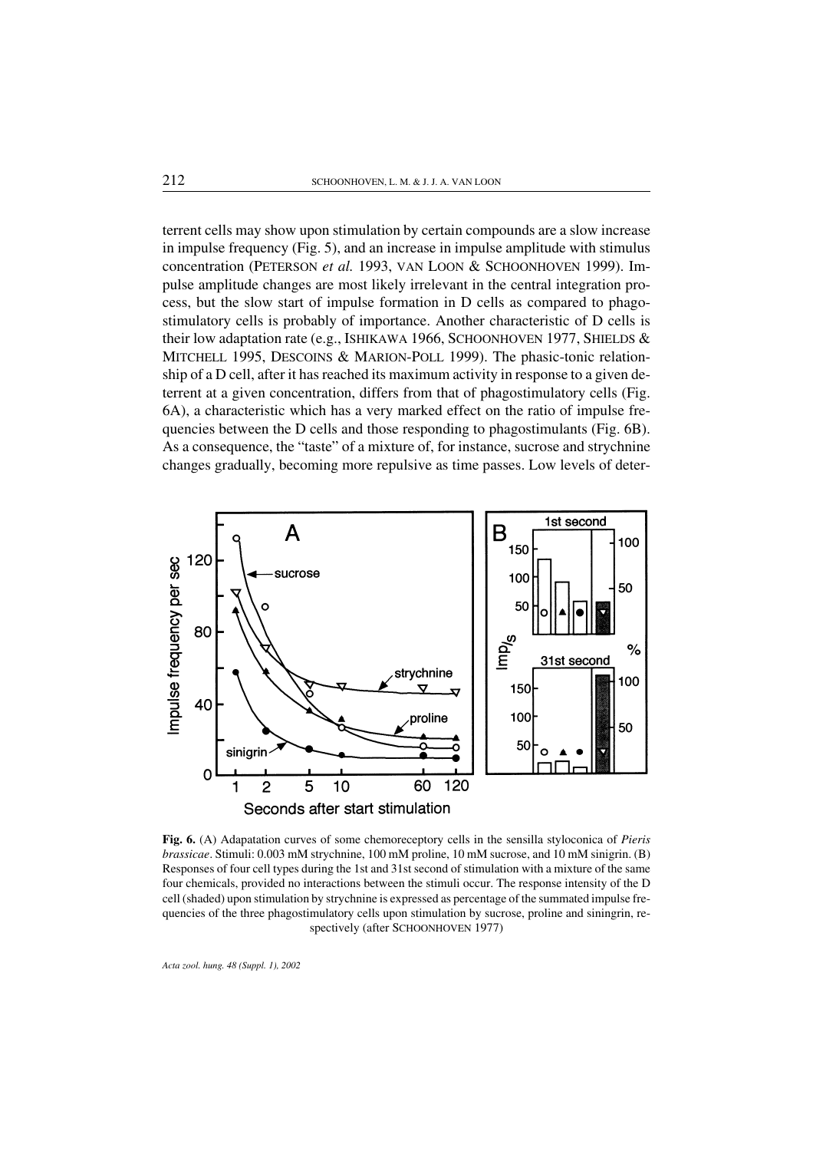terrent cells may show upon stimulation by certain compounds are a slow increase in impulse frequency (Fig. 5), and an increase in impulse amplitude with stimulus concentration (PETERSON *et al.* 1993, VAN LOON & SCHOONHOVEN 1999). Impulse amplitude changes are most likely irrelevant in the central integration process, but the slow start of impulse formation in D cells as compared to phagostimulatory cells is probably of importance. Another characteristic of D cells is their low adaptation rate (e.g., ISHIKAWA 1966, SCHOONHOVEN 1977, SHIELDS  $&$ MITCHELL 1995, DESCOINS & MARION-POLL 1999). The phasic-tonic relationship of a D cell, after it has reached its maximum activity in response to a given deterrent at a given concentration, differs from that of phagostimulatory cells (Fig. 6A), a characteristic which has a very marked effect on the ratio of impulse frequencies between the D cells and those responding to phagostimulants (Fig. 6B). As a consequence, the "taste" of a mixture of, for instance, sucrose and strychnine changes gradually, becoming more repulsive as time passes. Low levels of deter-



Fig. 6. (A) Adapatation curves of some chemoreceptory cells in the sensilla styloconica of *Pieris brassicae*. Stimuli: 0.003 mM strychnine, 100 mM proline, 10 mM sucrose, and 10 mM sinigrin. (B) Responses of four cell types during the 1st and 31st second of stimulation with a mixture of the same four chemicals, provided no interactions between the stimuli occur. The response intensity of the D cell (shaded) upon stimulation by strychnine is expressed as percentage of the summated impulse frequencies of the three phagostimulatory cells upon stimulation by sucrose, proline and siningrin, respectively (after SCHOONHOVEN 1977)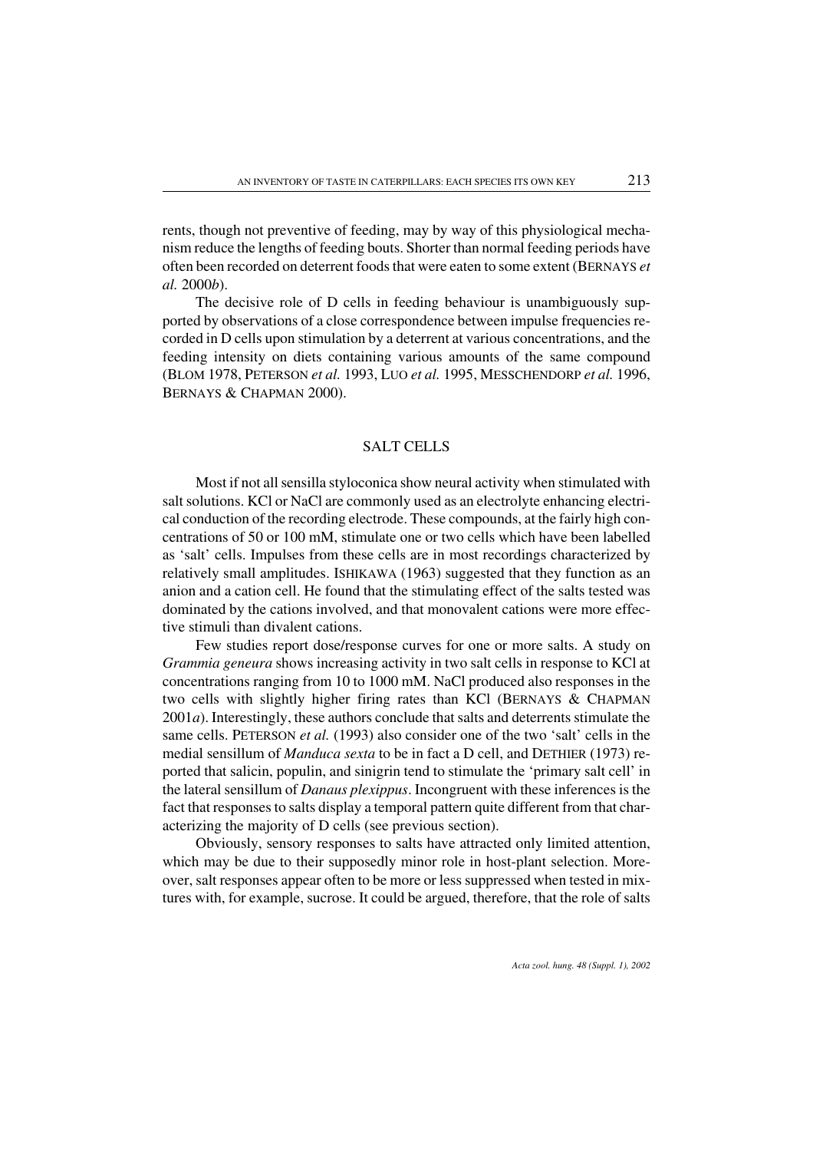rents, though not preventive of feeding, may by way of this physiological mechanism reduce the lengths of feeding bouts. Shorter than normal feeding periods have often been recorded on deterrent foods that were eaten to some extent (BERNAYS *et al.* 2000*b*).

The decisive role of D cells in feeding behaviour is unambiguously supported by observations of a close correspondence between impulse frequencies recorded in D cells upon stimulation by a deterrent at various concentrations, and the feeding intensity on diets containing various amounts of the same compound (BLOM 1978, PETERSON *et al.* 1993, LUO *et al.* 1995, MESSCHENDORP *et al.* 1996, BERNAYS & CHAPMAN 2000).

# SALT CELLS

Most if not all sensilla styloconica show neural activity when stimulated with salt solutions. KCl or NaCl are commonly used as an electrolyte enhancing electrical conduction of the recording electrode. These compounds, at the fairly high concentrations of 50 or 100 mM, stimulate one or two cells which have been labelled as 'salt' cells. Impulses from these cells are in most recordings characterized by relatively small amplitudes. ISHIKAWA (1963) suggested that they function as an anion and a cation cell. He found that the stimulating effect of the salts tested was dominated by the cations involved, and that monovalent cations were more effective stimuli than divalent cations.

Few studies report dose/response curves for one or more salts. A study on *Grammia geneura* shows increasing activity in two salt cells in response to KCl at concentrations ranging from 10 to 1000 mM. NaCl produced also responses in the two cells with slightly higher firing rates than KCl (BERNAYS & CHAPMAN 2001*a*). Interestingly, these authors conclude that salts and deterrents stimulate the same cells. PETERSON *et al.* (1993) also considerone of the two 'salt' cells in the medial sensillum of *Manduca sexta* to be in fact a D cell, and DETHIER (1973) reported that salicin, populin, and sinigrin tend to stimulate the 'primary salt cell' in the lateral sensillum of *Danaus plexippus*. Incongruent with these inferences is the fact that responses to salts display a temporal pattern quite different from that characterizing the majority of D cells (see previous section).

Obviously, sensory responses to salts have attracted only limited attention, which may be due to their supposedly minor role in host-plant selection. Moreover, salt responses appear often to be more or less suppressed when tested in mixtures with, for example, sucrose. It could be argued, therefore, that the role of salts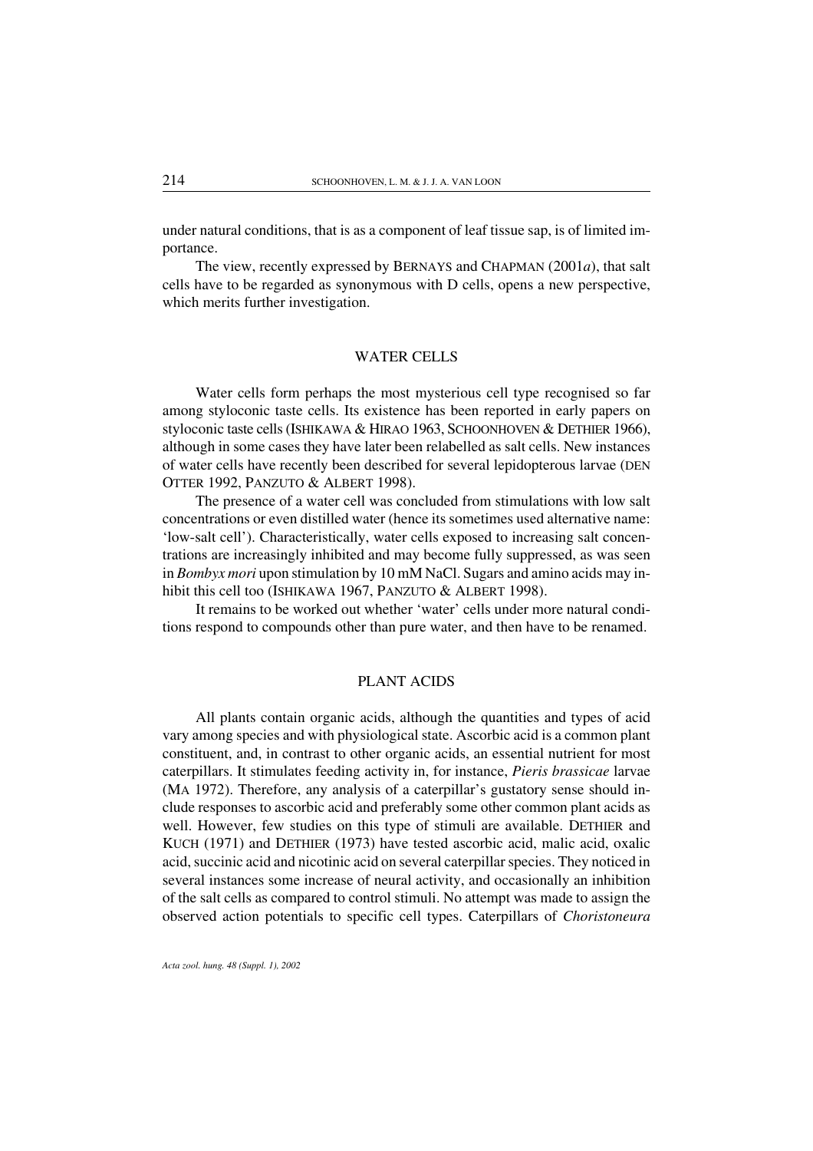under natural conditions, that is as a component of leaf tissue sap, is of limited importance.

The view, recently expressed by BERNAYS and CHAPMAN (2001*a*), that salt cells have to be regarded as synonymous with D cells, opens a new perspective, which merits further investigation.

### WATER CELLS

Water cells form perhaps the most mysterious cell type recognised so far among styloconic taste cells. Its existence has been reported in early papers on styloconic taste cells (ISHIKAWA & HIRAO 1963, SCHOONHOVEN & DETHIER 1966), although in some cases they have laterbeen relabelled as salt cells. New instances of water cells have recently been described for several lepidopterous larvae (DEN OTTER 1992, PANZUTO & ALBERT 1998).

The presence of a water cell was concluded from stimulations with low salt concentrations or even distilled water (hence its sometimes used alternative name: 'low-salt cell'). Characteristically, water cells exposed to increasing salt concentrations are increasingly inhibited and may become fully suppressed, as was seen in *Bombyx mori* upon stimulation by 10 mM NaCl. Sugars and amino acids may inhibit this cell too (ISHIKAWA 1967, PANZUTO & ALBERT 1998).

It remains to be worked out whether 'water' cells under more natural conditions respond to compounds other than pure water, and then have to be renamed.

# PLANT ACIDS

All plants contain organic acids, although the quantities and types of acid vary among species and with physiological state. Ascorbic acid is a common plant constituent, and, in contrast to other organic acids, an essential nutrient for most caterpillars. It stimulates feeding activity in, for instance, *Pieris brassicae* larvae (MA 1972). Therefore, any analysis of a caterpillar's gustatory sense should include responses to ascorbic acid and preferably some other common plant acids as well. However, few studies on this type of stimuli are available. DETHIER and KUCH (1971) and DETHIER (1973) have tested ascorbic acid, malic acid, oxalic acid, succinic acid and nicotinic acid on several caterpillar species. They noticed in several instances some increase of neural activity, and occasionally an inhibition of the salt cells as compared to control stimuli. No attempt was made to assign the observed action potentials to specific cell types. Caterpillars of *Choristoneura*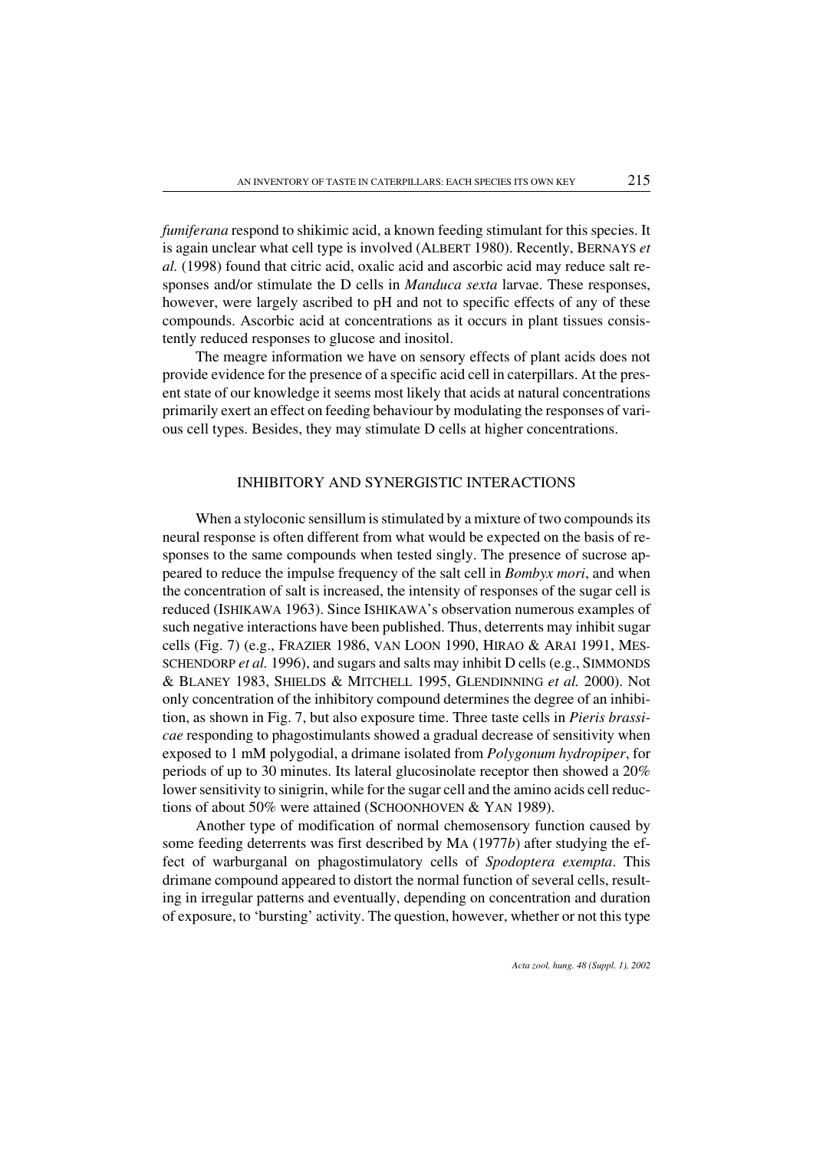*fumiferana* respond to shikimic acid, a known feeding stimulant for this species. It is again unclearwhat cell type is involved (ALBERT 1980). Recently, BERNAYS *et al.* (1998) found that citric acid, oxalic acid and ascorbic acid may reduce salt responses and/or stimulate the D cells in *Manduca sexta* larvae. These responses, however, were largely ascribed to pH and not to specific effects of any of these compounds. Ascorbic acid at concentrations as it occurs in plant tissues consistently reduced responses to glucose and inositol.

The meagre information we have on sensory effects of plant acids does not provide evidence for the presence of a specific acid cell in caterpillars. At the present state of our knowledge it seems most likely that acids at natural concentrations primarily exert an effect on feeding behaviour by modulating the responses of various cell types. Besides, they may stimulate D cells at higher concentrations.

### INHIBITORY AND SYNERGISTIC INTERACTIONS

When a styloconic sensillum is stimulated by a mixture of two compounds its neural response is often different from what would be expected on the basis of responses to the same compounds when tested singly. The presence of sucrose appeared to reduce the impulse frequency of the salt cell in *Bombyx mori*, and when the concentration of salt is increased, the intensity of responses of the sugar cell is reduced (ISHIKAWA 1963). Since ISHIKAWA's observation numerous examples of such negative interactions have been published. Thus, deterrents may inhibit sugar cells (Fig. 7) (e.g., FRAZIER 1986, VAN LOON 1990, HIRAO & ARAI 1991, MES-SCHENDORP *et al.* 1996), and sugars and salts may inhibit D cells (e.g., SIMMONDS & BLANEY 1983, SHIELDS & MITCHELL 1995, GLENDINNING *et al.* 2000). Not only concentration of the inhibitory compound determines the degree of an inhibition, as shown in Fig. 7, but also exposure time. Three taste cells in *Pieris brassicae* responding to phagostimulants showed a gradual decrease of sensitivity when exposed to 1 mM polygodial, a drimane isolated from *Polygonum hydropiper*, for periods of up to 30 minutes. Its lateral glucosinolate receptor then showed a 20% lower sensitivity to sinigrin, while for the sugar cell and the amino acids cell reductions of about 50% were attained (SCHOONHOVEN & YAN 1989).

Another type of modification of normal chemosensory function caused by some feeding deterrents was first described by MA (1977*b*) after studying the effect of warburganal on phagostimulatory cells of *Spodoptera exempta*. This drimane compound appeared to distort the normal function of several cells, resulting in irregular patterns and eventually, depending on concentration and duration of exposure, to 'bursting' activity. The question, however, whether or not this type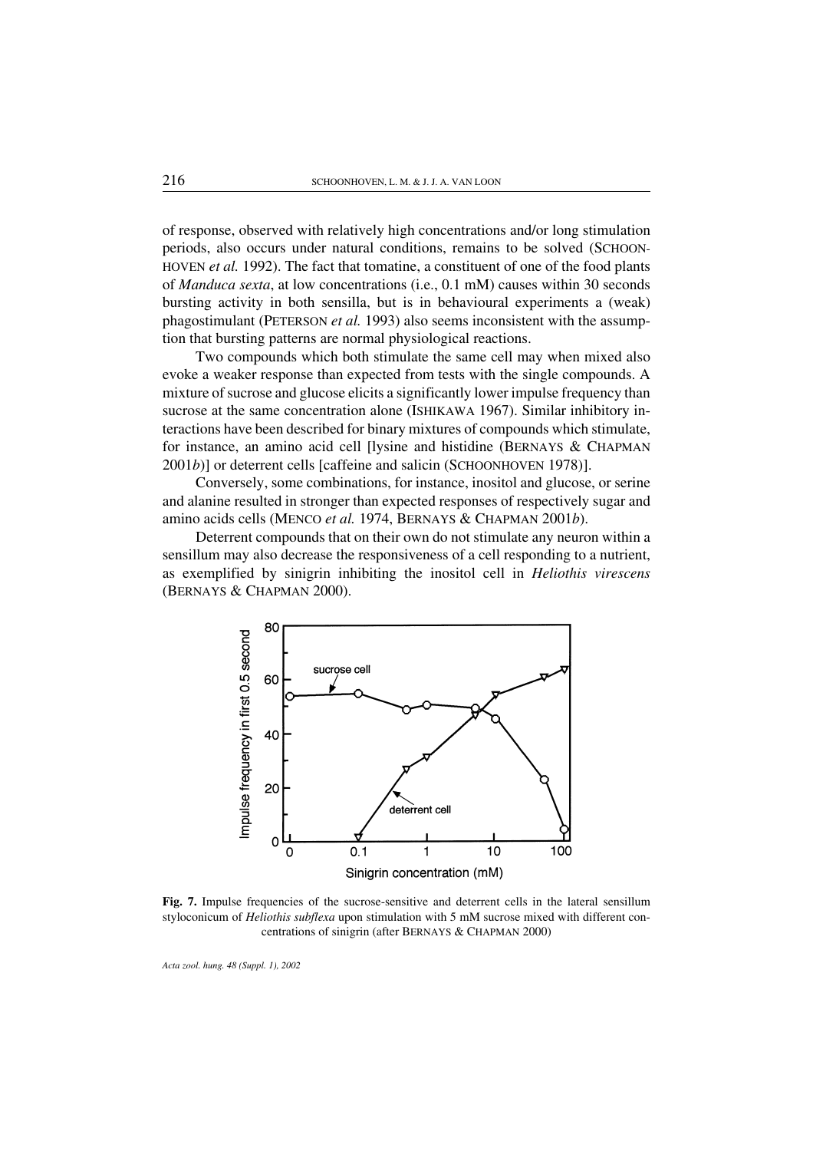of response, observed with relatively high concentrations and/or long stimulation periods, also occurs under natural conditions, remains to be solved (SCHOON-HOVEN *et al.* 1992). The fact that tomatine, a constituent of one of the food plants of *Manduca sexta*, at low concentrations (i.e., 0.1 mM) causes within 30 seconds bursting activity in both sensilla, but is in behavioural experiments a (weak) phagostimulant (PETERSON *et al.* 1993) also seems inconsistent with the assumption that bursting patterns are normal physiological reactions.

Two compounds which both stimulate the same cell may when mixed also evoke a weaker response than expected from tests with the single compounds. A mixture of sucrose and glucose elicits a significantly lower impulse frequency than sucrose at the same concentration alone (ISHIKAWA 1967). Similar inhibitory interactions have been described for binary mixtures of compounds which stimulate, for instance, an amino acid cell [lysine and histidine (BERNAYS & CHAPMAN 2001*b*)] or deterrent cells [caffeine and salicin (SCHOONHOVEN 1978)].

Conversely, some combinations, for instance, inositol and glucose, or serine and alanine resulted in stronger than expected responses of respectively sugar and amino acids cells (MENCO *et al.* 1974, BERNAYS & CHAPMAN 2001*b*).

Deterrent compounds that on their own do not stimulate any neuron within a sensillum may also decrease the responsiveness of a cell responding to a nutrient, as exemplified by sinigrin inhibiting the inositol cell in *Heliothis virescens* (BERNAYS & CHAPMAN 2000).



Fig. 7. Impulse frequencies of the sucrose-sensitive and deterrent cells in the lateral sensillum styloconicum of *Heliothis subflexa* upon stimulation with 5 mM sucrose mixed with different concentrations of sinigrin (after BERNAYS & CHAPMAN 2000)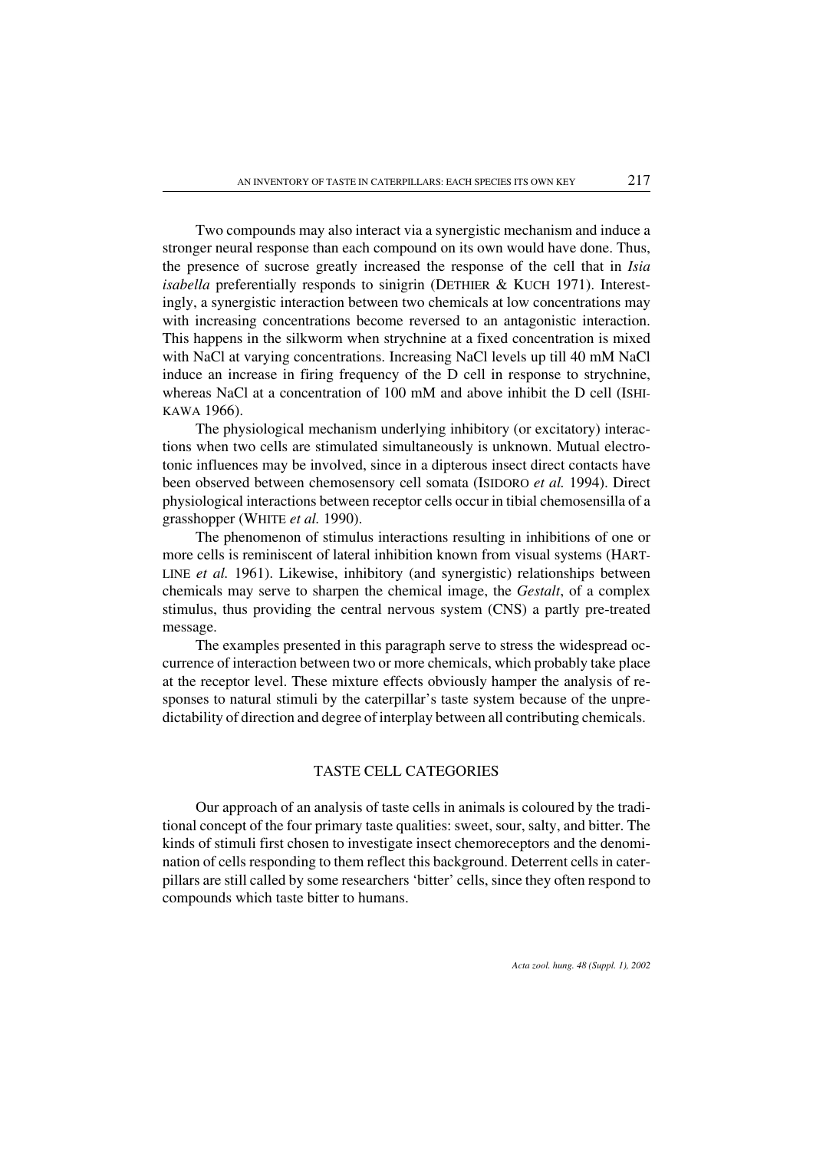Two compounds may also interact via a synergistic mechanism and induce a stronger neural response than each compound on its own would have done. Thus, the presence of sucrose greatly increased the response of the cell that in *Isia isabella* preferentially responds to sinigrin (DETHIER & KUCH 1971). Interestingly, a synergistic interaction between two chemicals at low concentrations may with increasing concentrations become reversed to an antagonistic interaction. This happens in the silkworm when strychnine at a fixed concentration is mixed with NaCl at varying concentrations. Increasing NaCl levels up till 40 mM NaCl induce an increase in firing frequency of the D cell in response to strychnine, whereas NaCl at a concentration of 100 mM and above inhibit the D cell (ISHI-KAWA 1966).

The physiological mechanism underlying inhibitory (or excitatory) interactions when two cells are stimulated simultaneously is unknown. Mutual electrotonic influences may be involved, since in a dipterous insect direct contacts have been observed between chemosensory cell somata (ISIDORO *et al.* 1994). Direct physiological interactions between receptor cells occur in tibial chemosensilla of a grasshopper (WHITE *et al.* 1990).

The phenomenon of stimulus interactions resulting in inhibitions of one or more cells is reminiscent of lateral inhibition known from visual systems (HART-LINE *et al.* 1961). Likewise, inhibitory (and synergistic) relationships between chemicals may serve to sharpen the chemical image, the *Gestalt*, of a complex stimulus, thus providing the central nervous system (CNS) a partly pre-treated message.

The examples presented in this paragraph serve to stress the widespread occurrence of interaction between two or more chemicals, which probably take place at the receptor level. These mixture effects obviously hamper the analysis of responses to natural stimuli by the caterpillar's taste system because of the unpredictability of direction and degree of interplay between all contributing chemicals.

### TASTE CELL CATEGORIES

Our approach of an analysis of taste cells in animals is coloured by the traditional concept of the four primary taste qualities: sweet, sour, salty, and bitter. The kinds of stimuli first chosen to investigate insect chemoreceptors and the denomination of cells responding to them reflect this background. Deterrent cells in caterpillars are still called by some researchers 'bitter' cells, since they often respond to compounds which taste bitter to humans.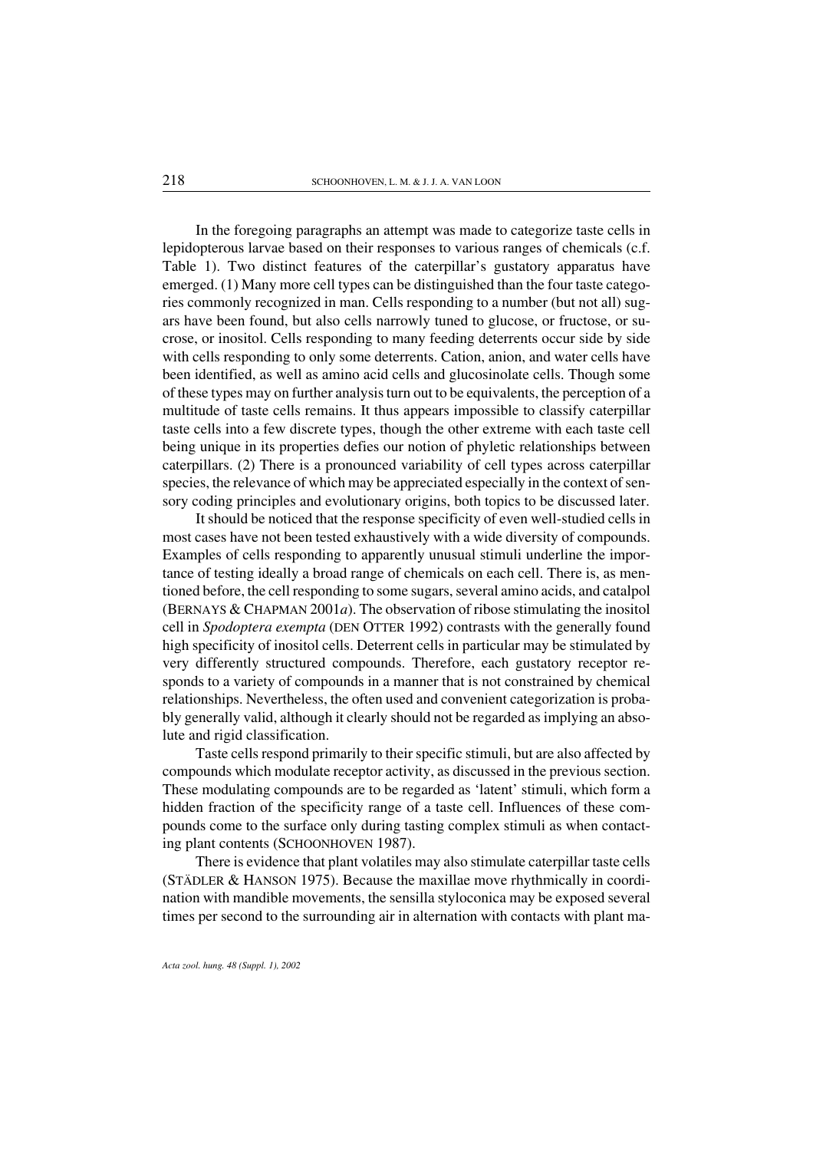In the foregoing paragraphs an attempt was made to categorize taste cells in lepidopterous larvae based on their responses to various ranges of chemicals (c.f. Table 1). Two distinct features of the caterpillar's gustatory apparatus have emerged. (1) Many more cell types can be distinguished than the four taste categories commonly recognized in man. Cells responding to a number (but not all) sugars have been found, but also cells narrowly tuned to glucose, or fructose, or sucrose, or inositol. Cells responding to many feeding deterrents occur side by side with cells responding to only some deterrents. Cation, anion, and water cells have been identified, as well as amino acid cells and glucosinolate cells. Though some of these types may on further analysis turn out to be equivalents, the perception of a multitude of taste cells remains. It thus appears impossible to classify caterpillar taste cells into a few discrete types, though the other extreme with each taste cell being unique in its properties defies our notion of phyletic relationships between caterpillars. (2) There is a pronounced variability of cell types across caterpillar species, the relevance of which may be appreciated especially in the context of sensory coding principles and evolutionary origins, both topics to be discussed later.

It should be noticed that the response specificity of even well-studied cells in most cases have not been tested exhaustively with a wide diversity of compounds. Examples of cells responding to apparently unusual stimuli underline the importance of testing ideally a broad range of chemicals on each cell. There is, as mentioned before, the cell responding to some sugars, several amino acids, and catalpol (BERNAYS & CHAPMAN 2001*a*). The observation of ribose stimulating the inositol cell in *Spodoptera exempta* (DEN OTTER 1992) contrasts with the generally found high specificity of inositol cells. Deterrent cells in particular may be stimulated by very differently structured compounds. Therefore, each gustatory receptor responds to a variety of compounds in a manner that is not constrained by chemical relationships. Nevertheless, the often used and convenient categorization is probably generally valid, although it clearly should not be regarded as implying an absolute and rigid classification.

Taste cells respond primarily to their specific stimuli, but are also affected by compounds which modulate receptor activity, as discussed in the previous section. These modulating compounds are to be regarded as 'latent' stimuli, which form a hidden fraction of the specificity range of a taste cell. Influences of these compounds come to the surface only during tasting complex stimuli as when contacting plant contents (SCHOONHOVEN 1987).

There is evidence that plant volatiles may also stimulate caterpillar taste cells (STÄDLER & HANSON 1975). Because the maxillae move rhythmically in coordination with mandible movements, the sensilla styloconica may be exposed several times per second to the surrounding air in alternation with contacts with plant ma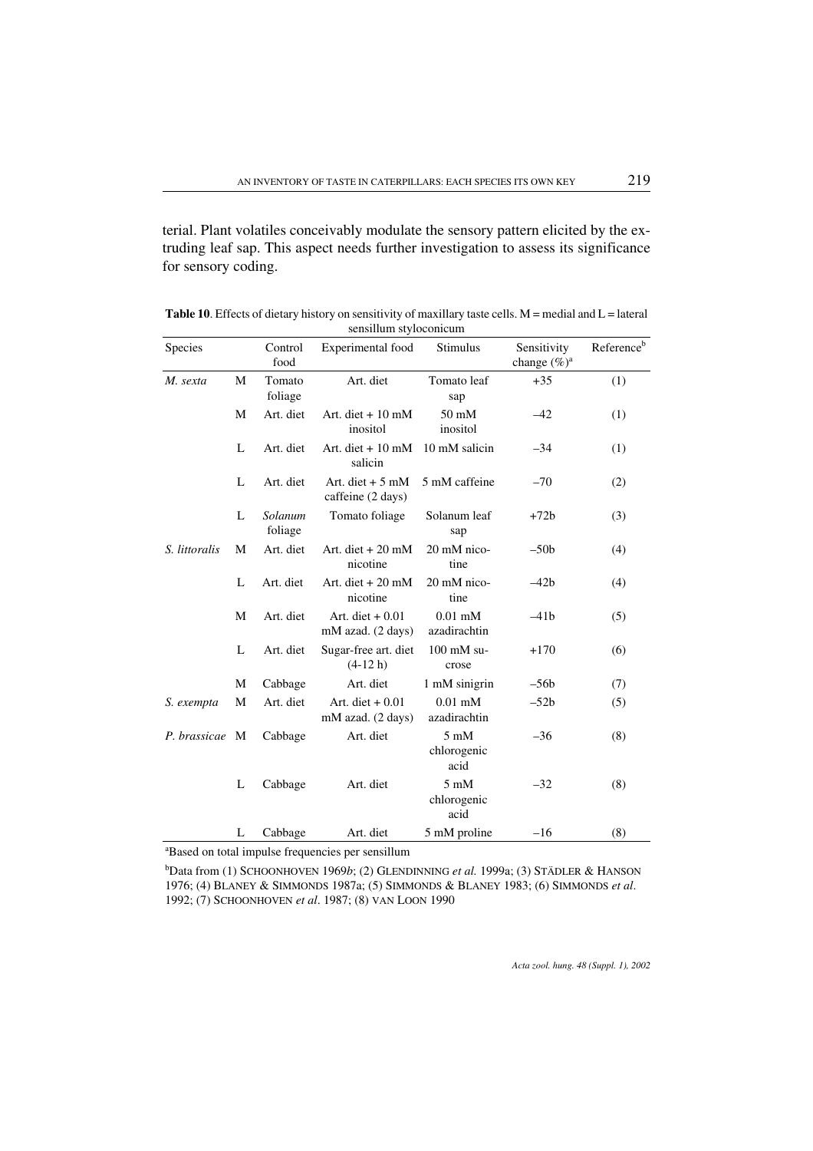terial. Plant volatiles conceivably modulate the sensory pattern elicited by the extruding leaf sap. This aspect needs further investigation to assess its significance for sensory coding.

| <b>Species</b> |   | Control<br>food    | Experimental food                      | Stimulus                              | Sensitivity<br>change $(\%)^a$ | Referenceb |
|----------------|---|--------------------|----------------------------------------|---------------------------------------|--------------------------------|------------|
| M. sexta       | M | Tomato<br>foliage  | Art. diet                              | Tomato leaf<br>sap                    | $+35$                          | (1)        |
|                | М | Art. diet          | Art. diet $+10$ mM<br>inositol         | $50 \text{ mM}$<br>inositol           | $-42$                          | (1)        |
|                | L | Art. diet          | Art. diet $+10$ mM<br>salicin          | 10 mM salicin                         | $-34$                          | (1)        |
|                | L | Art. diet          | Art. diet $+5$ mM<br>caffeine (2 days) | 5 mM caffeine                         | $-70$                          | (2)        |
|                | L | Solanum<br>foliage | Tomato foliage                         | Solanum leaf<br>sap                   | $+72b$                         | (3)        |
| S. littoralis  | M | Art. diet          | Art. diet $+20$ mM<br>nicotine         | 20 mM nico-<br>tine                   | $-50b$                         | (4)        |
|                | L | Art. diet          | Art. diet $+20$ mM<br>nicotine         | 20 mM nico-<br>tine                   | $-42b$                         | (4)        |
|                | M | Art. diet          | Art. diet $+0.01$<br>mM azad. (2 days) | $0.01$ mM<br>azadirachtin             | $-41b$                         | (5)        |
|                | L | Art. diet          | Sugar-free art. diet<br>$(4-12 h)$     | $100$ mM su-<br>crose                 | $+170$                         | (6)        |
|                | M | Cabbage            | Art. diet                              | 1 mM sinigrin                         | $-56b$                         | (7)        |
| S. exempta     | M | Art. diet          | Art. diet $+0.01$<br>mM azad. (2 days) | $0.01$ mM<br>azadirachtin             | $-52b$                         | (5)        |
| P. brassicae M |   | Cabbage            | Art. diet                              | $5 \text{ mM}$<br>chlorogenic<br>acid | $-36$                          | (8)        |
|                | L | Cabbage            | Art. diet                              | $5 \text{ mM}$<br>chlorogenic<br>acid | $-32$                          | (8)        |
|                | L | Cabbage            | Art. diet                              | 5 mM proline                          | $-16$                          | (8)        |

Table 10. Effects of dietary history on sensitivity of maxillary taste cells.  $M =$  medial and  $L =$  lateral sensillum styloconicum  $\overline{a}$ 

a Based on total impulse frequencies per sensillum

b Data from (1) SCHOONHOVEN 1969*b*; (2) GLENDINNING *et al.* 1999a; (3) STÄDLER & HANSON 1976; (4) BLANEY & SIMMONDS 1987a; (5) SIMMONDS & BLANEY 1983; (6) SIMMONDS *et al*. 1992; (7) SCHOONHOVEN *et al*. 1987; (8) VAN LOON 1990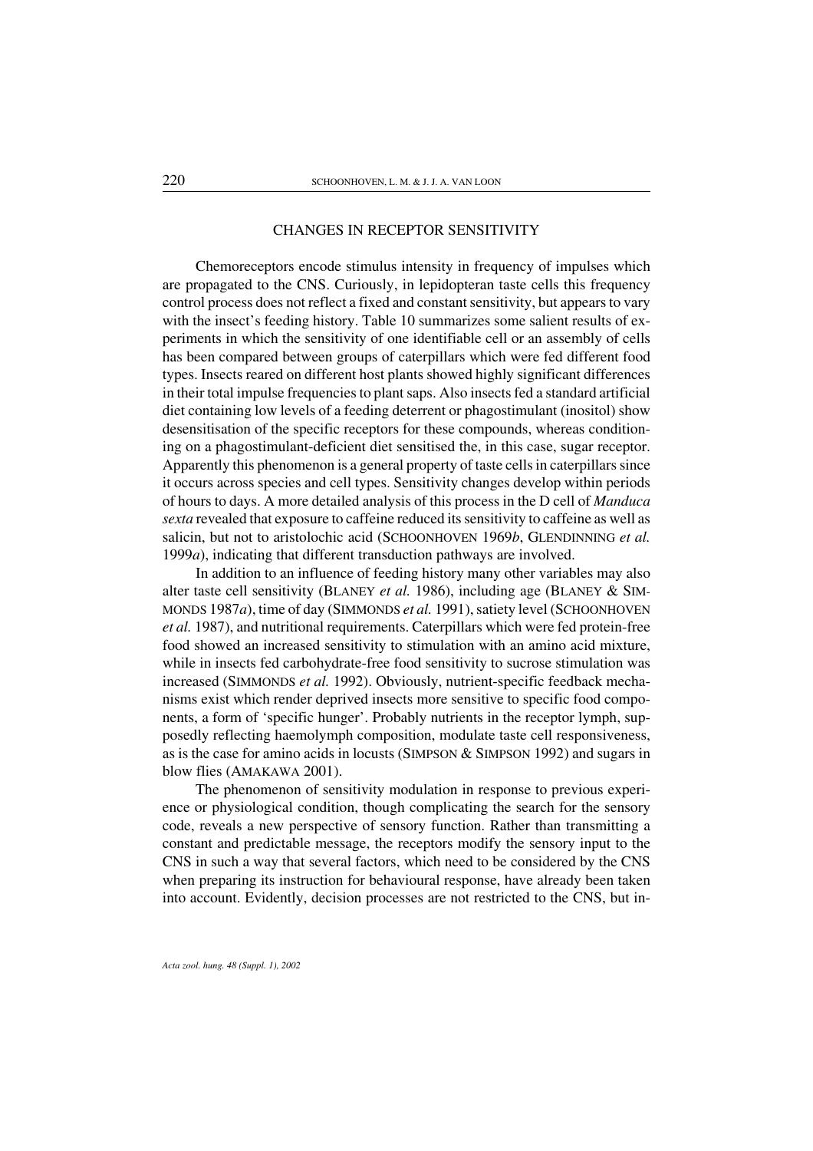#### CHANGES IN RECEPTOR SENSITIVITY

Chemoreceptors encode stimulus intensity in frequency of impulses which are propagated to the CNS. Curiously, in lepidopteran taste cells this frequency control process does not reflect a fixed and constant sensitivity, but appears to vary with the insect's feeding history. Table 10 summarizes some salient results of experiments in which the sensitivity of one identifiable cell or an assembly of cells has been compared between groups of caterpillars which were fed different food types. Insects reared on different host plants showed highly significant differences in their total impulse frequencies to plant saps. Also insects fed a standard artificial diet containing low levels of a feeding deterrent or phagostimulant (inositol) show desensitisation of the specific receptors for these compounds, whereas conditioning on a phagostimulant-deficient diet sensitised the, in this case, sugar receptor. Apparently this phenomenon is a general property of taste cells in caterpillars since it occurs across species and cell types. Sensitivity changes develop within periods of hours to days. A more detailed analysis of this process in the D cell of *Manduca sexta* revealed that exposure to caffeine reduced its sensitivity to caffeine as well as salicin, but not to aristolochic acid (SCHOONHOVEN 1969*b*, GLENDINNING *et al.* 1999*a*), indicating that different transduction pathways are involved.

In addition to an influence of feeding history many other variables may also alter taste cell sensitivity (BLANEY *et al.* 1986), including age (BLANEY & SIM-MONDS 1987*a*), time of day (SIMMONDS *et al.* 1991), satiety level (SCHOONHOVEN *et al.* 1987), and nutritional requirements. Caterpillars which were fed protein-free food showed an increased sensitivity to stimulation with an amino acid mixture, while in insects fed carbohydrate-free food sensitivity to sucrose stimulation was increased (SIMMONDS *et al.* 1992). Obviously, nutrient-specific feedback mechanisms exist which render deprived insects more sensitive to specific food components, a form of 'specific hunger'. Probably nutrients in the receptor lymph, supposedly reflecting haemolymph composition, modulate taste cell responsiveness, as is the case foramino acids in locusts (SIMPSON & SIMPSON 1992) and sugars in blow flies (AMAKAWA 2001).

The phenomenon of sensitivity modulation in response to previous experience or physiological condition, though complicating the search for the sensory code, reveals a new perspective of sensory function. Rather than transmitting a constant and predictable message, the receptors modify the sensory input to the CNS in such a way that several factors, which need to be considered by the CNS when preparing its instruction for behavioural response, have already been taken into account. Evidently, decision processes are not restricted to the CNS, but in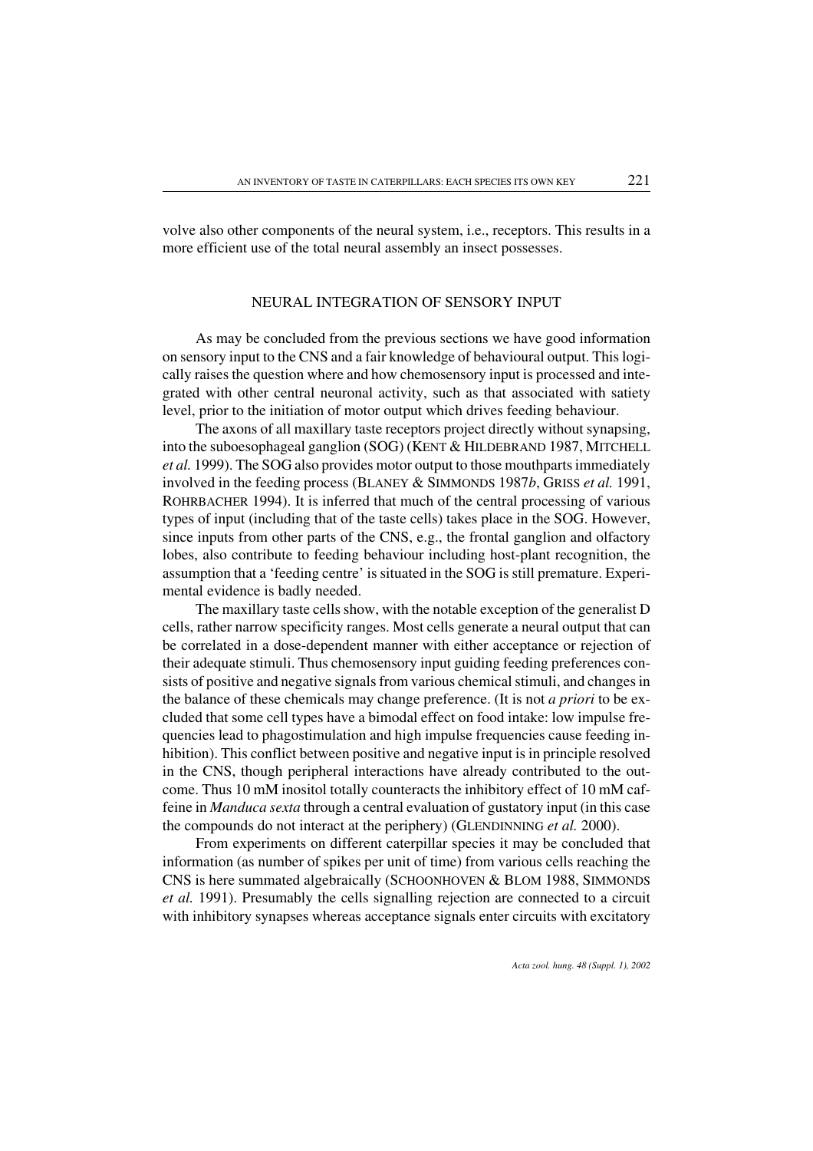volve also other components of the neural system, i.e., receptors. This results in a more efficient use of the total neural assembly an insect possesses.

#### NEURAL INTEGRATION OF SENSORY INPUT

As may be concluded from the previous sections we have good information on sensory input to the CNS and a fair knowledge of behavioural output. This logically raises the question where and how chemosensory input is processed and integrated with other central neuronal activity, such as that associated with satiety level, prior to the initiation of motor output which drives feeding behaviour.

The axons of all maxillary taste receptors project directly without synapsing, into the suboesophageal ganglion (SOG) (KENT & HILDEBRAND 1987, MITCHELL *et al.* 1999). The SOG also provides motor output to those mouthparts immediately involved in the feeding process (BLANEY & SIMMONDS 1987*b*, GRISS *et al.* 1991, ROHRBACHER 1994). It is inferred that much of the central processing of various types of input (including that of the taste cells) takes place in the SOG. However, since inputs from other parts of the CNS, e.g., the frontal ganglion and olfactory lobes, also contribute to feeding behaviour including host-plant recognition, the assumption that a 'feeding centre' is situated in the SOG is still premature. Experimental evidence is badly needed.

The maxillary taste cells show, with the notable exception of the generalist D cells, rather narrow specificity ranges. Most cells generate a neural output that can be correlated in a dose-dependent manner with either acceptance or rejection of their adequate stimuli. Thus chemosensory input guiding feeding preferences consists of positive and negative signals from various chemical stimuli, and changes in the balance of these chemicals may change preference. (It is not *a priori* to be excluded that some cell types have a bimodal effect on food intake: low impulse frequencies lead to phagostimulation and high impulse frequencies cause feeding inhibition). This conflict between positive and negative input is in principle resolved in the CNS, though peripheral interactions have already contributed to the outcome. Thus 10 mM inositol totally counteracts the inhibitory effect of 10 mM caffeine in *Manduca sexta* through a central evaluation of gustatory input (in this case the compounds do not interact at the periphery) (GLENDINNING *et al.* 2000).

From experiments on different caterpillar species it may be concluded that information (as number of spikes per unit of time) from various cells reaching the CNS is here summated algebraically (SCHOONHOVEN & BLOM 1988, SIMMONDS *et al.* 1991). Presumably the cells signalling rejection are connected to a circuit with inhibitory synapses whereas acceptance signals enter circuits with excitatory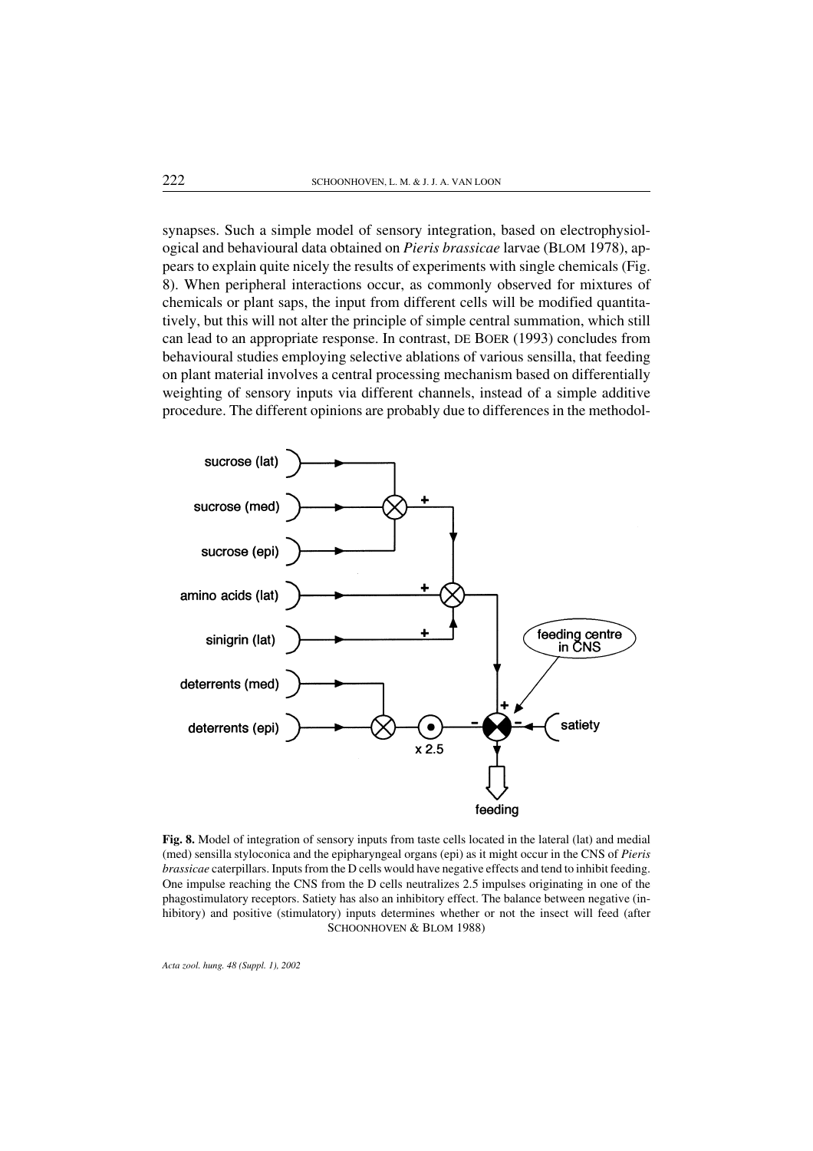synapses. Such a simple model of sensory integration, based on electrophysiological and behavioural data obtained on *Pieris brassicae* larvae (BLOM 1978), appears to explain quite nicely the results of experiments with single chemicals (Fig. 8). When peripheral interactions occur, as commonly observed for mixtures of chemicals or plant saps, the input from different cells will be modified quantitatively, but this will not alter the principle of simple central summation, which still can lead to an appropriate response. In contrast, DE BOER (1993) concludes from behavioural studies employing selective ablations of various sensilla, that feeding on plant material involves a central processing mechanism based on differentially weighting of sensory inputs via different channels, instead of a simple additive procedure. The different opinions are probably due to differences in the methodol-



Fig. 8. Model of integration of sensory inputs from taste cells located in the lateral (lat) and medial (med) sensilla styloconica and the epipharyngeal organs (epi) as it might occur in the CNS of *Pieris brassicae* caterpillars. Inputs from the D cells would have negative effects and tend to inhibit feeding. One impulse reaching the CNS from the D cells neutralizes 2.5 impulses originating in one of the phagostimulatory receptors. Satiety has also an inhibitory effect. The balance between negative (inhibitory) and positive (stimulatory) inputs determines whether or not the insect will feed (after SCHOONHOVEN & BLOM 1988)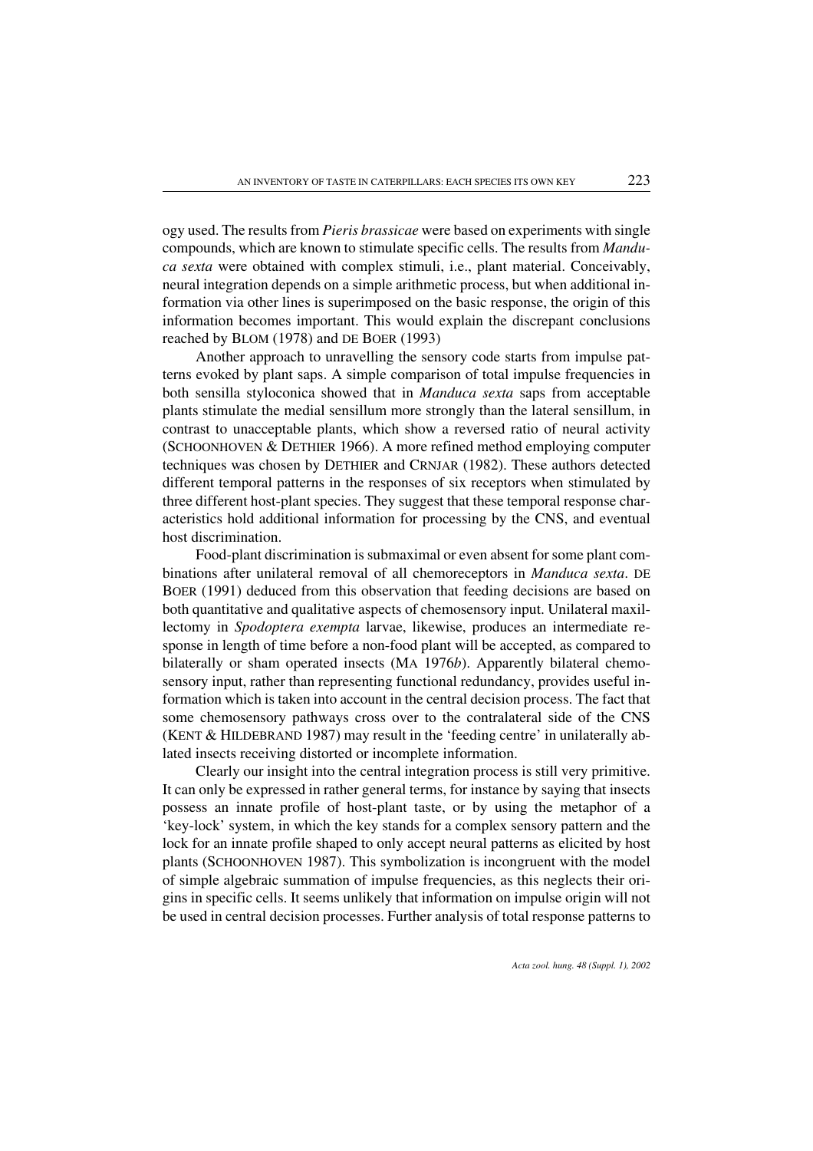ogy used. The results from *Pieris brassicae* were based on experiments with single compounds, which are known to stimulate specific cells. The results from *Manduca sexta* were obtained with complex stimuli, i.e., plant material. Conceivably, neural integration depends on a simple arithmetic process, but when additional information via other lines is superimposed on the basic response, the origin of this information becomes important. This would explain the discrepant conclusions reached by BLOM (1978) and DE BOER (1993)

Another approach to unravelling the sensory code starts from impulse patterns evoked by plant saps. A simple comparison of total impulse frequencies in both sensilla styloconica showed that in *Manduca sexta* saps from acceptable plants stimulate the medial sensillum more strongly than the lateral sensillum, in contrast to unacceptable plants, which show a reversed ratio of neural activity (SCHOONHOVEN & DETHIER 1966). A more refined method employing computer techniques was chosen by DETHIER and CRNJAR (1982). These authors detected different temporal patterns in the responses of six receptors when stimulated by three different host-plant species. They suggest that these temporal response characteristics hold additional information for processing by the CNS, and eventual host discrimination.

Food-plant discrimination is submaximal or even absent for some plant combinations after unilateral removal of all chemoreceptors in *Manduca sexta*. DE BOER (1991) deduced from this observation that feeding decisions are based on both quantitative and qualitative aspects of chemosensory input. Unilateral maxillectomy in *Spodoptera exempta* larvae, likewise, produces an intermediate response in length of time before a non-food plant will be accepted, as compared to bilaterally or sham operated insects (MA 1976*b*). Apparently bilateral chemosensory input, rather than representing functional redundancy, provides useful information which is taken into account in the central decision process. The fact that some chemosensory pathways cross over to the contralateral side of the CNS (KENT & HILDEBRAND 1987) may result in the 'feeding centre' in unilaterally ablated insects receiving distorted or incomplete information.

Clearly our insight into the central integration process is still very primitive. It can only be expressed in rather general terms, for instance by saying that insects possess an innate profile of host-plant taste, or by using the metaphor of a 'key-lock' system, in which the key stands for a complex sensory pattern and the lock for an innate profile shaped to only accept neural patterns as elicited by host plants (SCHOONHOVEN 1987). This symbolization is incongruent with the model of simple algebraic summation of impulse frequencies, as this neglects their origins in specific cells. It seems unlikely that information on impulse origin will not be used in central decision processes. Further analysis of total response patterns to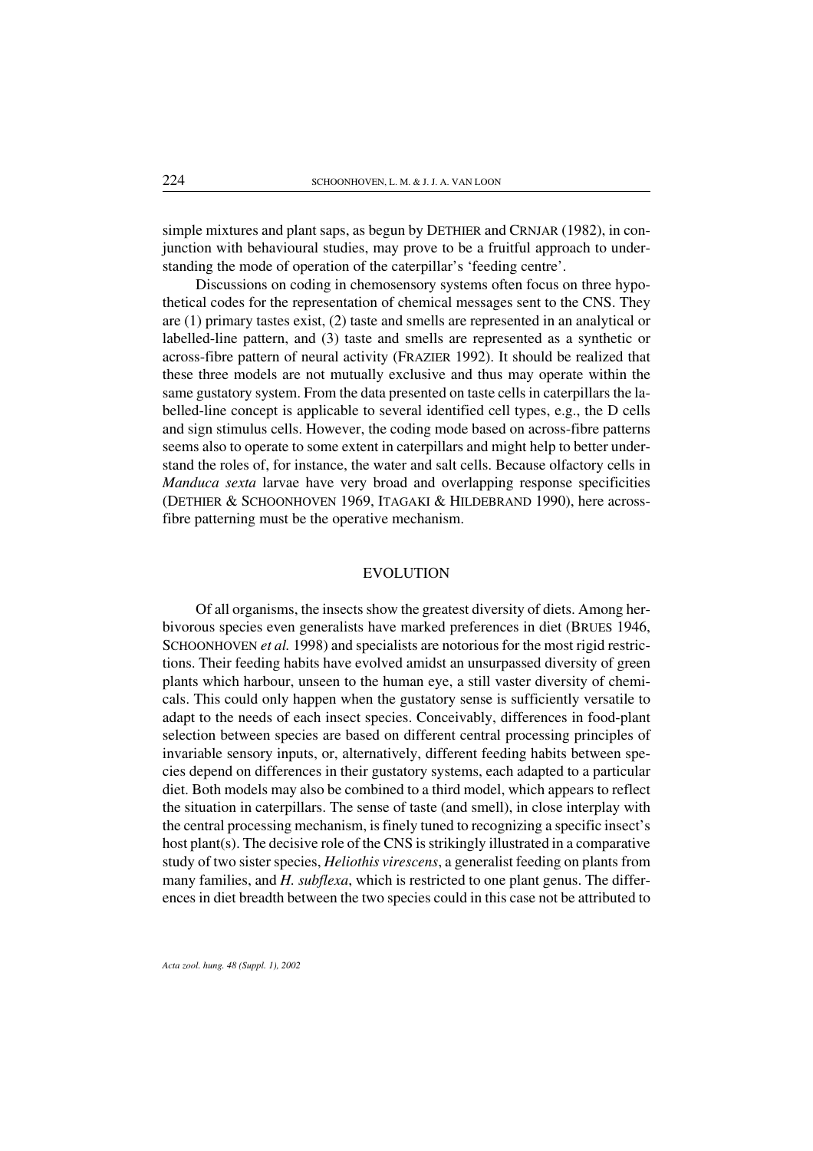simple mixtures and plant saps, as begun by DETHIER and CRNJAR (1982), in conjunction with behavioural studies, may prove to be a fruitful approach to understanding the mode of operation of the caterpillar's 'feeding centre'.

Discussions on coding in chemosensory systems often focus on three hypothetical codes for the representation of chemical messages sent to the CNS. They are (1) primary tastes exist, (2) taste and smells are represented in an analytical or labelled-line pattern, and (3) taste and smells are represented as a synthetic or across-fibre pattern of neural activity (FRAZIER 1992). It should be realized that these three models are not mutually exclusive and thus may operate within the same gustatory system. From the data presented on taste cells in caterpillars the labelled-line concept is applicable to several identified cell types, e.g., the D cells and sign stimulus cells. However, the coding mode based on across-fibre patterns seems also to operate to some extent in caterpillars and might help to better understand the roles of, for instance, the water and salt cells. Because olfactory cells in *Manduca sexta* larvae have very broad and overlapping response specificities (DETHIER & SCHOONHOVEN 1969, ITAGAKI & HILDEBRAND 1990), here acrossfibre patterning must be the operative mechanism.

#### EVOLUTION

Of all organisms, the insects show the greatest diversity of diets. Among herbivorous species even generalists have marked preferences in diet (BRUES 1946, SCHOONHOVEN *et al.* 1998) and specialists are notorious for the most rigid restrictions. Their feeding habits have evolved amidst an unsurpassed diversity of green plants which harbour, unseen to the human eye, a still vaster diversity of chemicals. This could only happen when the gustatory sense is sufficiently versatile to adapt to the needs of each insect species. Conceivably, differences in food-plant selection between species are based on different central processing principles of invariable sensory inputs, or, alternatively, different feeding habits between species depend on differences in their gustatory systems, each adapted to a particular diet. Both models may also be combined to a third model, which appears to reflect the situation in caterpillars. The sense of taste (and smell), in close interplay with the central processing mechanism, is finely tuned to recognizing a specific insect's host plant(s). The decisive role of the CNS is strikingly illustrated in a comparative study of two sister species, *Heliothis virescens*, a generalist feeding on plants from many families, and *H. subflexa*, which is restricted to one plant genus. The differences in diet breadth between the two species could in this case not be attributed to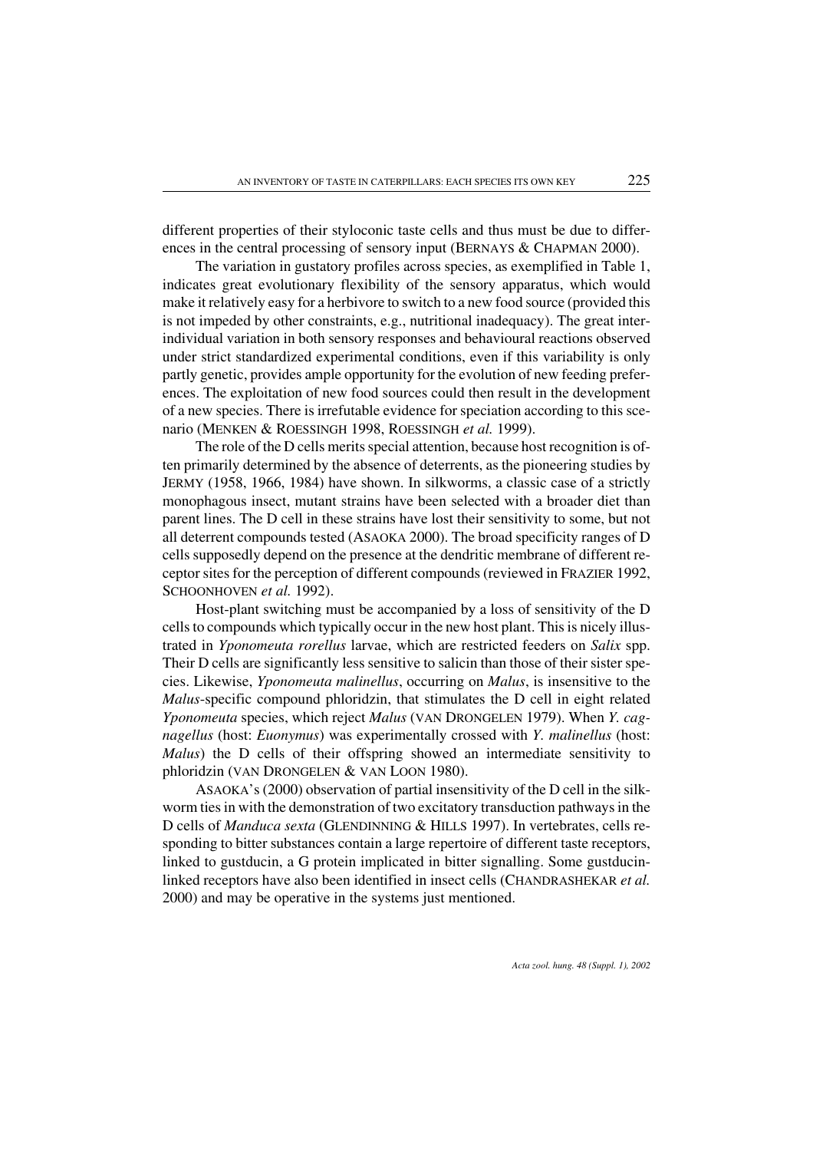different properties of their styloconic taste cells and thus must be due to differences in the central processing of sensory input (BERNAYS & CHAPMAN 2000).

The variation in gustatory profiles across species, as exemplified in Table 1, indicates great evolutionary flexibility of the sensory apparatus, which would make it relatively easy for a herbivore to switch to a new food source (provided this is not impeded by other constraints, e.g., nutritional inadequacy). The great interindividual variation in both sensory responses and behavioural reactions observed under strict standardized experimental conditions, even if this variability is only partly genetic, provides ample opportunity for the evolution of new feeding preferences. The exploitation of new food sources could then result in the development of a new species. There is irrefutable evidence for speciation according to this scenario (MENKEN & ROESSINGH 1998, ROESSINGH *et al.* 1999).

The role of the D cells merits special attention, because host recognition is often primarily determined by the absence of deterrents, as the pioneering studies by JERMY (1958, 1966, 1984) have shown. In silkworms, a classic case of a strictly monophagous insect, mutant strains have been selected with a broader diet than parent lines. The D cell in these strains have lost their sensitivity to some, but not all deterrent compounds tested (ASAOKA 2000). The broad specificity ranges of D cells supposedly depend on the presence at the dendritic membrane of different receptor sites for the perception of different compounds (reviewed in FRAZIER 1992, SCHOONHOVEN *et al.* 1992).

Host-plant switching must be accompanied by a loss of sensitivity of the D cells to compounds which typically occurin the new host plant. This is nicely illustrated in *Yponomeuta rorellus* larvae, which are restricted feeders on *Salix* spp. Their D cells are significantly less sensitive to salicin than those of their sister species. Likewise, *Yponomeuta malinellus*, occurring on *Malus*, is insensitive to the *Malus*-specific compound phloridzin, that stimulates the D cell in eight related *Yponomeuta* species, which reject *Malus* (VAN DRONGELEN 1979). When *Y. cagnagellus* (host: *Euonymus*) was experimentally crossed with *Y. malinellus* (host: *Malus*) the D cells of their offspring showed an intermediate sensitivity to phloridzin (VAN DRONGELEN & VAN LOON 1980).

ASAOKA's (2000) observation of partial insensitivity of the D cell in the silkworm ties in with the demonstration of two excitatory transduction pathways in the D cells of *Manduca sexta* (GLENDINNING & HILLS 1997). In vertebrates, cells responding to bitter substances contain a large repertoire of different taste receptors, linked to gustducin, a G protein implicated in bitter signalling. Some gustducinlinked receptors have also been identified in insect cells (CHANDRASHEKAR *et al.* 2000) and may be operative in the systems just mentioned.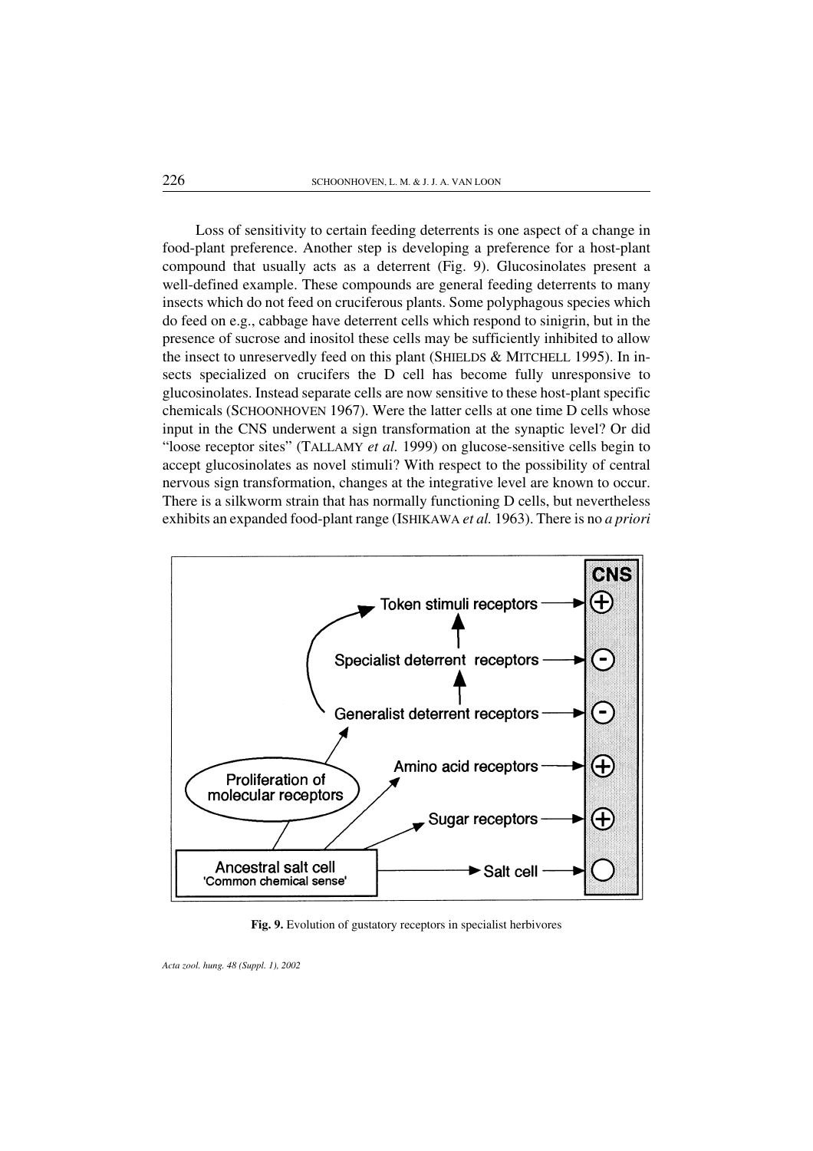Loss of sensitivity to certain feeding deterrents is one aspect of a change in food-plant preference. Another step is developing a preference for a host-plant compound that usually acts as a deterrent (Fig. 9). Glucosinolates present a well-defined example. These compounds are general feeding deterrents to many insects which do not feed on cruciferous plants. Some polyphagous species which do feed on e.g., cabbage have deterrent cells which respond to sinigrin, but in the presence of sucrose and inositol these cells may be sufficiently inhibited to allow the insect to unreservedly feed on this plant (SHIELDS & MITCHELL 1995). In insects specialized on crucifers the D cell has become fully unresponsive to glucosinolates. Instead separate cells are now sensitive to these host-plant specific chemicals (SCHOONHOVEN 1967). Were the latter cells at one time D cells whose input in the CNS underwent a sign transformation at the synaptic level? Or did "loose receptor sites" (TALLAMY *et al.* 1999) on glucose-sensitive cells begin to accept glucosinolates as novel stimuli? With respect to the possibility of central nervous sign transformation, changes at the integrative level are known to occur. There is a silkworm strain that has normally functioning D cells, but nevertheless exhibits an expanded food-plant range (ISHIKAWA *et al.* 1963). There is no *a priori*



Fig. 9. Evolution of gustatory receptors in specialist herbivores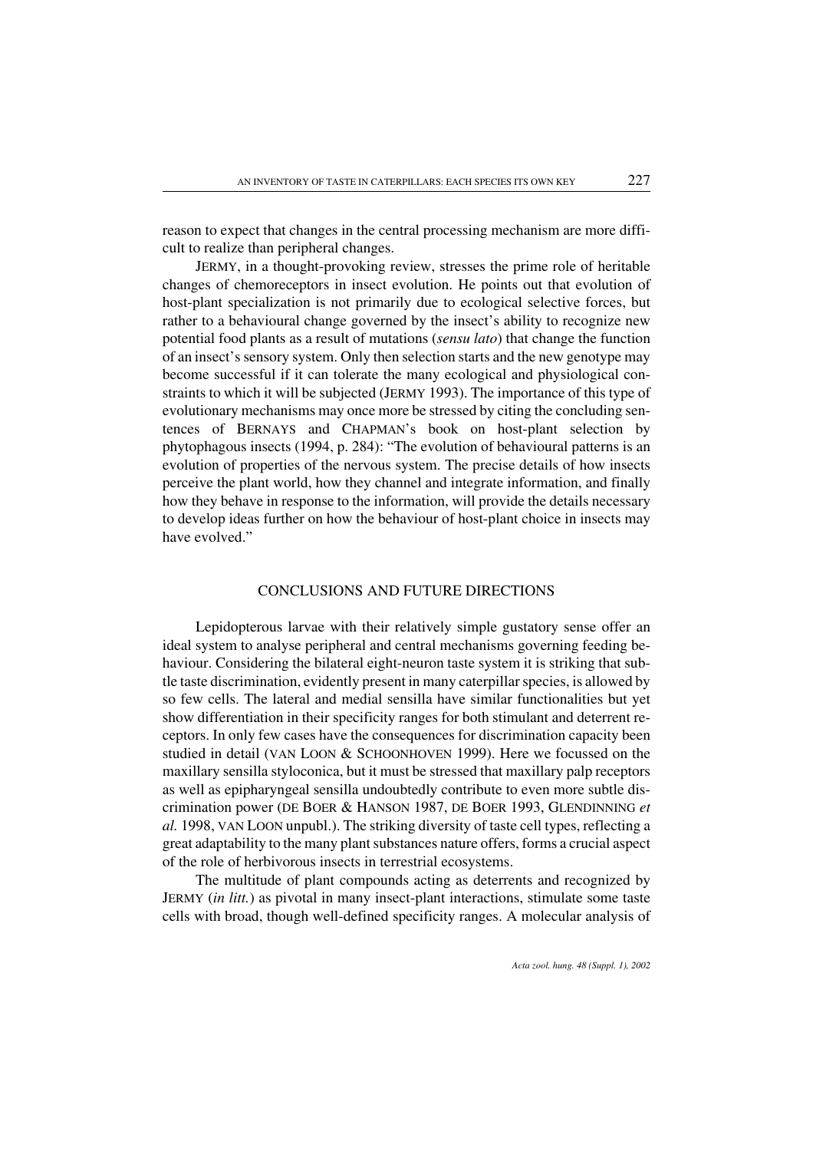reason to expect that changes in the central processing mechanism are more difficult to realize than peripheral changes.

JERMY, in a thought-provoking review, stresses the prime role of heritable changes of chemoreceptors in insect evolution. He points out that evolution of host-plant specialization is not primarily due to ecological selective forces, but rather to a behavioural change governed by the insect's ability to recognize new potential food plants as a result of mutations (*sensu lato*) that change the function of an insect's sensory system. Only then selection starts and the new genotype may become successful if it can tolerate the many ecological and physiological constraints to which it will be subjected (JERMY 1993). The importance of this type of evolutionary mechanisms may once more be stressed by citing the concluding sentences of BERNAYS and CHAPMAN's book on host-plant selection by phytophagous insects (1994, p. 284): "The evolution of behavioural patterns is an evolution of properties of the nervous system. The precise details of how insects perceive the plant world, how they channel and integrate information, and finally how they behave in response to the information, will provide the details necessary to develop ideas further on how the behaviour of host-plant choice in insects may have evolved."

# CONCLUSIONS AND FUTURE DIRECTIONS

Lepidopterous larvae with their relatively simple gustatory sense offer an ideal system to analyse peripheral and central mechanisms governing feeding behaviour. Considering the bilateral eight-neuron taste system it is striking that subtle taste discrimination, evidently present in many caterpillar species, is allowed by so few cells. The lateral and medial sensilla have similar functionalities but yet show differentiation in their specificity ranges for both stimulant and deterrent receptors. In only few cases have the consequences for discrimination capacity been studied in detail (VAN LOON & SCHOONHOVEN 1999). Here we focussed on the maxillary sensilla styloconica, but it must be stressed that maxillary palp receptors as well as epipharyngeal sensilla undoubtedly contribute to even more subtle discrimination power (DE BOER & HANSON 1987, DE BOER 1993, GLENDINNING *et al.* 1998, VAN LOON unpubl.). The striking diversity of taste cell types, reflecting a great adaptability to the many plant substances nature offers, forms a crucial aspect of the role of herbivorous insects in terrestrial ecosystems.

The multitude of plant compounds acting as deterrents and recognized by JERMY (*in litt.*) as pivotal in many insect-plant interactions, stimulate some taste cells with broad, though well-defined specificity ranges. A molecular analysis of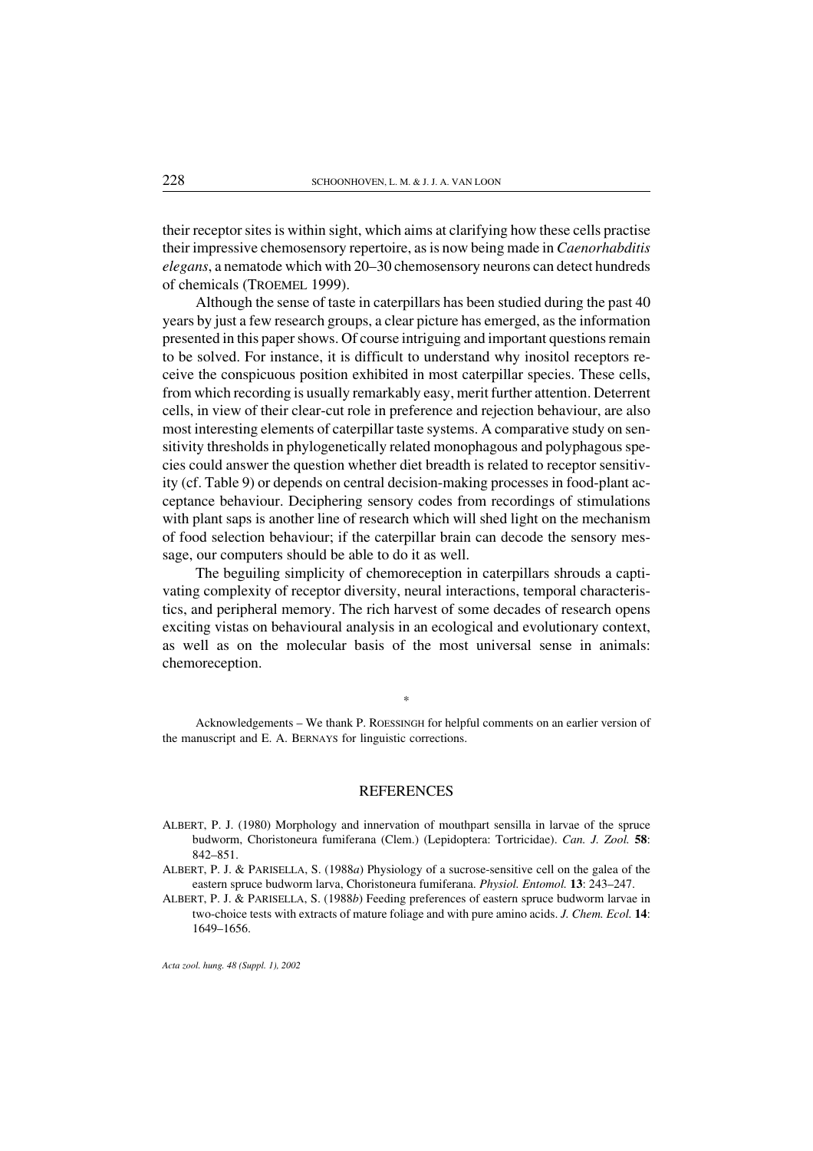their receptor sites is within sight, which aims at clarifying how these cells practise their impressive chemosensory repertoire, as is now being made in *Caenorhabditis elegans*, a nematode which with 20–30 chemosensory neurons can detect hundreds of chemicals (TROEMEL 1999).

Although the sense of taste in caterpillars has been studied during the past 40 years by just a few research groups, a clear picture has emerged, as the information presented in this paper shows. Of course intriguing and important questions remain to be solved. For instance, it is difficult to understand why inositol receptors receive the conspicuous position exhibited in most caterpillar species. These cells, from which recording is usually remarkably easy, merit further attention. Deterrent cells, in view of their clear-cut role in preference and rejection behaviour, are also most interesting elements of caterpillar taste systems. A comparative study on sensitivity thresholds in phylogenetically related monophagous and polyphagous species could answer the question whether diet breadth is related to receptor sensitivity (cf. Table 9) or depends on central decision-making processes in food-plant acceptance behaviour. Deciphering sensory codes from recordings of stimulations with plant saps is another line of research which will shed light on the mechanism of food selection behaviour; if the caterpillar brain can decode the sensory message, our computers should be able to do it as well.

The beguiling simplicity of chemoreception in caterpillars shrouds a captivating complexity of receptor diversity, neural interactions, temporal characteristics, and peripheral memory. The rich harvest of some decades of research opens exciting vistas on behavioural analysis in an ecological and evolutionary context, as well as on the molecular basis of the most universal sense in animals: chemoreception.

Acknowledgements – We thank P. ROESSINGH for helpful comments on an earlier version of the manuscript and E. A. BERNAYS for linguistic corrections.

\*

#### **REFERENCES**

- ALBERT, P. J. (1980) Morphology and innervation of mouthpart sensilla in larvae of the spruce budworm, Choristoneura fumiferana (Clem.) (Lepidoptera: Tortricidae). *Can. J. Zool.* 58: 842–851.
- ALBERT, P. J. & PARISELLA, S. (1988*a*) Physiology of a sucrose-sensitive cell on the galea of the eastern spruce budworm larva, Choristoneura fumiferana. *Physiol. Entomol.* 13: 243–247.

ALBERT, P. J. & PARISELLA, S. (1988*b*) Feeding preferences of eastern spruce budworm larvae in two-choice tests with extracts of mature foliage and with pure amino acids. *J. Chem. Ecol.* 14: 1649–1656.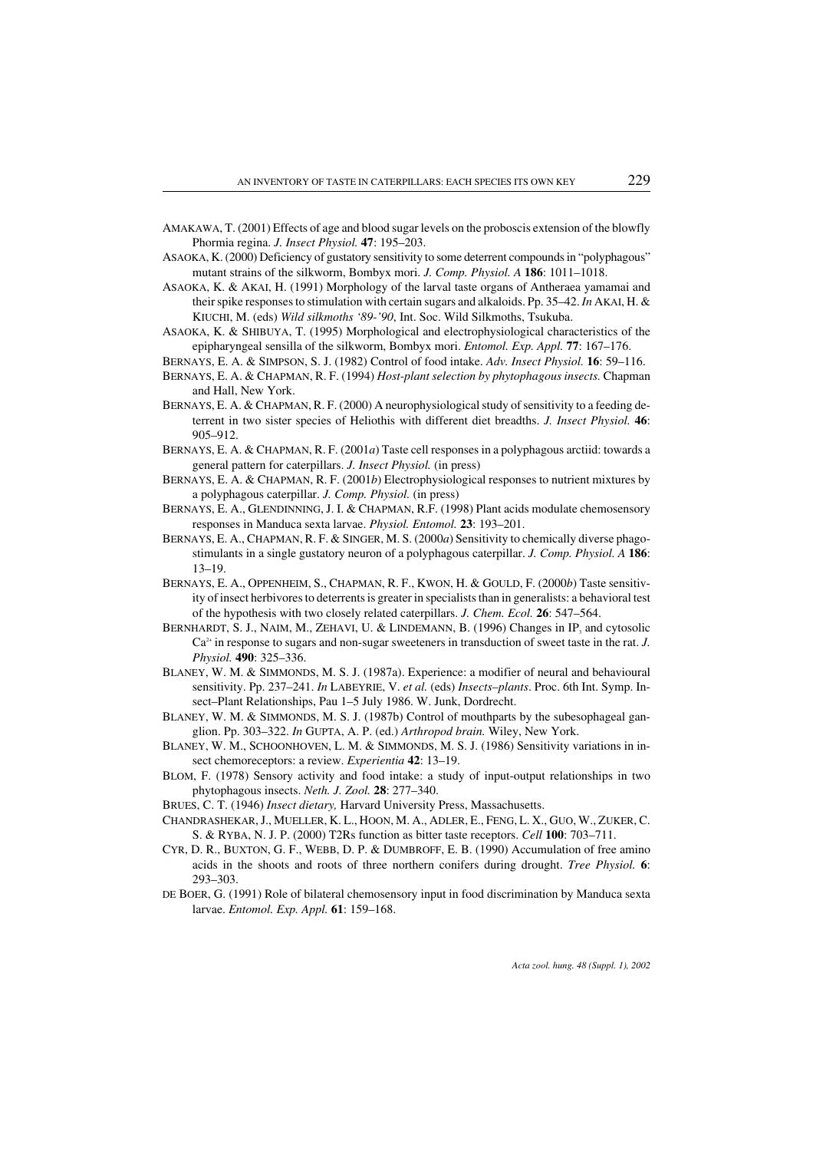- AMAKAWA, T. (2001) Effects of age and blood sugarlevels on the proboscis extension of the blowfly Phormia regina. *J. Insect Physiol.* 47: 195–203.
- ASAOKA, K. (2000) Deficiency of gustatory sensitivity to some deterrent compounds in "polyphagous" mutant strains of the silkworm, Bombyx mori. *J. Comp. Physiol. A* 186: 1011–1018.
- ASAOKA, K. & AKAI, H. (1991) Morphology of the larval taste organs of Antheraea yamamai and their spike responses to stimulation with certain sugars and alkaloids. Pp. 35–42. *In* AKAI, H. & KIUCHI, M. (eds) *Wild silkmoths '89-'90*, Int. Soc. Wild Silkmoths, Tsukuba.
- ASAOKA, K. & SHIBUYA, T. (1995) Morphological and electrophysiological characteristics of the epipharyngeal sensilla of the silkworm, Bombyx mori. *Entomol. Exp. Appl.* 77: 167–176.
- BERNAYS, E. A. & SIMPSON, S. J. (1982) Control of food intake. *Adv. Insect Physiol.* 16: 59–116.
- BERNAYS, E. A. & CHAPMAN, R. F. (1994) *Host-plant selection byphytophagous insects.* Chapman and Hall, New York.
- BERNAYS, E. A. & CHAPMAN, R. F. (2000) A neurophysiological study of sensitivity to a feeding deterrent in two sister species of Heliothis with different diet breadths. *J. Insect Physiol.* 46: 905–912.
- BERNAYS, E. A. & CHAPMAN, R. F. (2001*a*) Taste cell responses in a polyphagous arctiid: towards a general pattern for caterpillars. *J. Insect Physiol.* (in press)
- BERNAYS, E. A. & CHAPMAN, R. F. (2001*b*) Electrophysiological responses to nutrient mixtures by a polyphagous caterpillar. *J. Comp. Physiol.* (in press)
- BERNAYS, E. A., GLENDINNING, J. I. & CHAPMAN, R.F. (1998) Plant acids modulate chemosensory responses in Manduca sexta larvae. *Physiol. Entomol.* 23: 193–201.
- BERNAYS, E. A., CHAPMAN, R. F. & SINGER, M. S. (2000*a*) Sensitivity to chemically diverse phagostimulants in a single gustatory neuron of a polyphagous caterpillar. *J. Comp. Physiol. A* 186: 13–19.
- BERNAYS, E. A., OPPENHEIM, S., CHAPMAN, R. F., KWON, H. & GOULD, F. (2000*b*) Taste sensitivity of insect herbivores to deterrents is greater in specialists than in generalists: a behavioral test of the hypothesis with two closely related caterpillars. *J. Chem. Ecol.* 26: 547–564.
- BERNHARDT, S. J., NAIM, M., ZEHAVI, U. & LINDEMANN, B.  $(1996)$  Changes in IP<sub>3</sub> and cytosolic Ca<sup>2+</sup> in response to sugars and non-sugar sweeteners in transduction of sweet taste in the rat. *J*. *Physiol.* 490: 325–336.
- BLANEY, W. M. & SIMMONDS, M. S. J. (1987a). Experience: a modifier of neural and behavioural sensitivity. Pp. 237–241. *In* LABEYRIE, V. *et al.* (eds) *Insects–plants*. Proc. 6th Int. Symp. Insect–Plant Relationships, Pau 1–5 July 1986. W. Junk, Dordrecht.
- BLANEY, W. M. & SIMMONDS, M. S. J. (1987b) Control of mouthparts by the subesophageal ganglion. Pp. 303–322. *In* GUPTA, A. P. (ed.) *Arthropod brain.* Wiley, New York.
- BLANEY, W. M., SCHOONHOVEN, L. M. & SIMMONDS, M. S. J. (1986) Sensitivity variations in insect chemoreceptors: a review. *Experientia* 42: 13–19.
- BLOM, F. (1978) Sensory activity and food intake: a study of input-output relationships in two phytophagous insects. *Neth. J. Zool.* 28: 277–340.
- BRUES, C. T. (1946) *Insect dietary,* Harvard University Press, Massachusetts.
- CHANDRASHEKAR, J., MUELLER, K. L., HOON, M. A., ADLER, E., FENG, L. X., GUO, W., ZUKER, C. S. & RYBA, N. J. P. (2000) T2Rs function as bitter taste receptors. *Cell* 100: 703–711.
- CYR, D. R., BUXTON, G. F., WEBB, D. P. & DUMBROFF, E. B. (1990) Accumulation of free amino acids in the shoots and roots of three northern conifers during drought. *Tree Physiol.* 6: 293–303.
- DE BOER, G. (1991) Role of bilateral chemosensory input in food discrimination by Manduca sexta larvae. *Entomol. Exp. Appl.* 61: 159–168.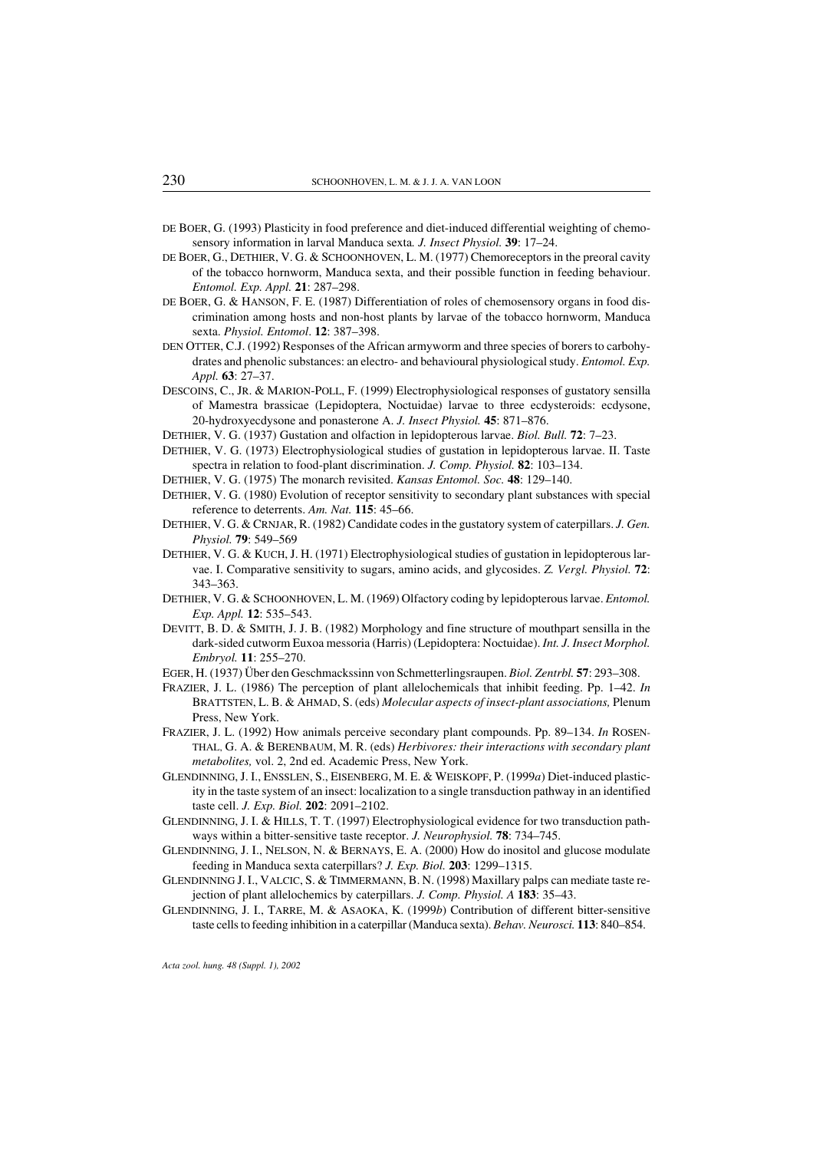- DE BOER, G. (1993) Plasticity in food preference and diet-induced differential weighting of chemosensory information in larval Manduca sexta*. J. Insect Physiol.* 39: 17–24.
- DE BOER, G., DETHIER, V. G. & SCHOONHOVEN, L. M. (1977) Chemoreceptors in the preoral cavity of the tobacco hornworm, Manduca sexta, and their possible function in feeding behaviour. *Entomol. Exp. Appl.* 21: 287–298.
- DE BOER, G. & HANSON, F. E. (1987) Differentiation of roles of chemosensory organs in food discrimination among hosts and non-host plants by larvae of the tobacco hornworm, Manduca sexta. *Physiol. Entomol*. 12: 387–398.
- DEN OTTER, C.J. (1992) Responses of the African armyworm and three species of borers to carbohydrates and phenolic substances: an electro- and behavioural physiological study. *Entomol. Exp. Appl.* 63: 27–37.
- DESCOINS, C., JR. & MARION-POLL, F. (1999) Electrophysiological responses of gustatory sensilla of Mamestra brassicae (Lepidoptera, Noctuidae) larvae to three ecdysteroids: ecdysone, 20-hydroxyecdysone and ponasterone A. *J. Insect Physiol.* 45: 871–876.
- DETHIER, V. G. (1937) Gustation and olfaction in lepidopterous larvae. *Biol. Bull.* 72: 7–23.
- DETHIER, V. G. (1973) Electrophysiological studies of gustation in lepidopterous larvae. II. Taste spectra in relation to food-plant discrimination. *J. Comp. Physiol.* 82: 103–134.
- DETHIER, V. G. (1975) The monarch revisited. *Kansas Entomol. Soc.* 48: 129–140.
- DETHIER, V. G. (1980) Evolution of receptor sensitivity to secondary plant substances with special reference to deterrents. *Am. Nat.* 115: 45–66.
- DETHIER, V. G. & CRNJAR, R. (1982) Candidate codes in the gustatory system of caterpillars. *J. Gen. Physiol.* 79: 549–569
- DETHIER, V. G. & KUCH, J. H. (1971) Electrophysiological studies of gustation in lepidopterous larvae. I. Comparative sensitivity to sugars, amino acids, and glycosides. *Z. Vergl. Physiol.* 72: 343–363.
- DETHIER, V. G. & SCHOONHOVEN, L. M. (1969) Olfactory coding by lepidopterous larvae. *Entomol. Exp. Appl.* 12: 535–543.
- DEVITT, B. D. & SMITH, J. J. B. (1982) Morphology and fine structure of mouthpart sensilla in the dark-sided cutworm Euxoa messoria (Harris) (Lepidoptera: Noctuidae). *Int. J. Insect Morphol. Embryol.* 11: 255–270.
- EGER, H. (1937) Über den Geschmackssinn von Schmetterlingsraupen. *Biol. Zentrbl.* 57: 293–308.
- FRAZIER, J. L. (1986) The perception of plant allelochemicals that inhibit feeding. Pp. 1–42. *In* BRATTSTEN, L. B. & AHMAD, S. (eds) *Molecular aspects of insect-plant associations,* Plenum Press, New York.
- FRAZIER, J. L. (1992) How animals perceive secondary plant compounds. Pp. 89–134. *In* ROSEN-THAL, G. A. & BERENBAUM, M. R. (eds) *Herbivores: their interactions with secondaryplant metabolites,* vol. 2, 2nd ed. Academic Press, New York.
- GLENDINNING, J. I., ENSSLEN, S., EISENBERG, M. E. & WEISKOPF, P. (1999*a*) Diet-induced plasticity in the taste system of an insect: localization to a single transduction pathway in an identified taste cell. *J. Exp. Biol.* 202: 2091–2102.
- GLENDINNING, J. I. & HILLS, T. T. (1997) Electrophysiological evidence for two transduction pathways within a bitter-sensitive taste receptor. *J. Neurophysiol.* 78: 734–745.
- GLENDINNING, J. I., NELSON, N. & BERNAYS, E. A. (2000) How do inositol and glucose modulate feeding in Manduca sexta caterpillars? *J. Exp. Biol.* 203: 1299–1315.
- GLENDINNING J. I., VALCIC, S. & TIMMERMANN, B. N. (1998) Maxillary palps can mediate taste rejection of plant allelochemics by caterpillars. *J. Comp. Physiol. A* 183: 35–43.
- GLENDINNING, J. I., TARRE, M. & ASAOKA, K. (1999*b*) Contribution of different bitter-sensitive taste cells to feeding inhibition in a caterpillar (Manduca sexta). *Behav. Neurosci.* 113: 840–854.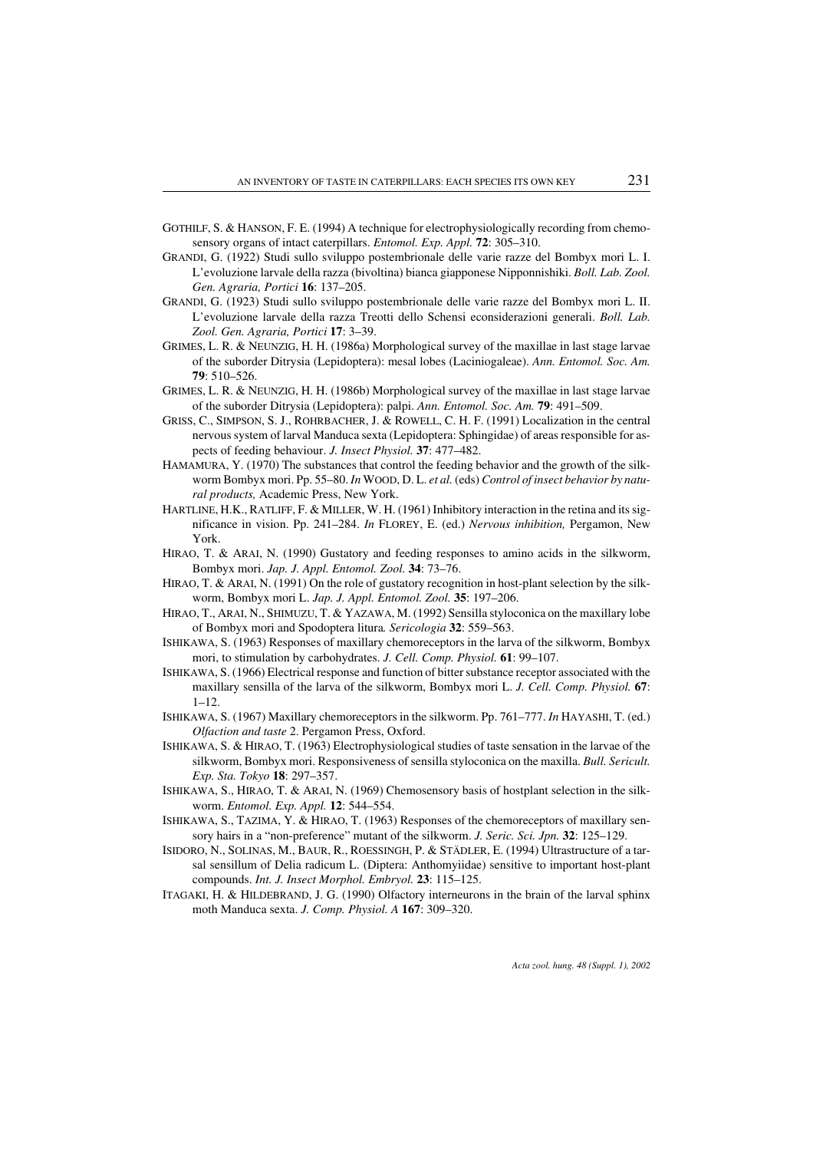- GOTHILF, S. & HANSON, F. E. (1994) A technique for electrophysiologically recording from chemosensory organs of intact caterpillars. *Entomol. Exp. Appl.* 72: 305–310.
- GRANDI, G. (1922) Studi sullo sviluppo postembrionale delle varie razze del Bombyx mori L. I. L'evoluzione larvale della razza (bivoltina) bianca giapponese Nipponnishiki. *Boll. Lab. Zool. Gen. Agraria, Portici* 16: 137–205.
- GRANDI, G. (1923) Studi sullo sviluppo postembrionale delle varie razze del Bombyx mori L. II. L'evoluzione larvale della razza Treotti dello Schensi econsiderazioni generali. *Boll. Lab. Zool. Gen. Agraria, Portici* 17: 3–39.
- GRIMES, L. R. & NEUNZIG, H. H. (1986a) Morphological survey of the maxillae in last stage larvae of the suborder Ditrysia (Lepidoptera): mesal lobes (Laciniogaleae). *Ann. Entomol. Soc. Am.* 79: 510–526.
- GRIMES, L. R. & NEUNZIG, H. H. (1986b) Morphological survey of the maxillae in last stage larvae of the suborder Ditrysia (Lepidoptera): palpi. *Ann. Entomol. Soc. Am.* 79: 491–509.
- GRISS, C., SIMPSON, S. J., ROHRBACHER, J. & ROWELL, C. H. F. (1991) Localization in the central nervous system of larval Manduca sexta (Lepidoptera: Sphingidae) of areas responsible for aspects of feeding behaviour. *J. Insect Physiol.* 37: 477–482.
- HAMAMURA, Y. (1970) The substances that control the feeding behavior and the growth of the silkworm Bombyx mori. Pp. 55–80. *In* WOOD, D. L. *et al.* (eds) *Control of insect behavior bynatural products,* Academic Press, New York.
- HARTLINE, H.K., RATLIFF, F. & MILLER, W. H. (1961) Inhibitory interaction in the retina and its significance in vision. Pp. 241–284. *In* FLOREY, E. (ed.) *Nervous inhibition,* Pergamon, New York.
- HIRAO, T. & ARAI, N. (1990) Gustatory and feeding responses to amino acids in the silkworm, Bombyx mori. *Jap. J. Appl. Entomol. Zool.* 34: 73–76.
- HIRAO, T. & ARAI, N. (1991) On the role of gustatory recognition in host-plant selection by the silkworm, Bombyx mori L. *Jap. J. Appl. Entomol. Zool.* 35: 197–206.
- HIRAO, T., ARAI, N., SHIMUZU, T. & YAZAWA, M. (1992) Sensilla styloconica on the maxillary lobe of Bombyx mori and Spodoptera litura*. Sericologia* 32: 559–563.
- ISHIKAWA, S. (1963) Responses of maxillary chemoreceptors in the larva of the silkworm, Bombyx mori, to stimulation by carbohydrates. *J. Cell. Comp. Physiol.* 61: 99–107.
- ISHIKAWA, S. (1966) Electrical response and function of bitter substance receptor associated with the maxillary sensilla of the larva of the silkworm, Bombyx mori L. *J. Cell. Comp. Physiol.* 67:  $1 - 12$ .
- ISHIKAWA, S. (1967) Maxillary chemoreceptors in the silkworm. Pp. 761–777. *In* HAYASHI, T. (ed.) *Olfaction and taste* 2. Pergamon Press, Oxford.
- ISHIKAWA, S. & HIRAO, T. (1963) Electrophysiological studies of taste sensation in the larvae of the silkworm, Bombyx mori. Responsiveness of sensilla styloconica on the maxilla. *Bull. Sericult. Exp. Sta. Tokyo* 18: 297–357.
- ISHIKAWA, S., HIRAO, T. & ARAI, N. (1969) Chemosensory basis of hostplant selection in the silkworm. *Entomol. Exp. Appl.* 12: 544–554.
- ISHIKAWA, S., TAZIMA, Y. & HIRAO, T. (1963) Responses of the chemoreceptors of maxillary sensory hairs in a "non-preference" mutant of the silkworm. *J. Seric. Sci. Jpn.* 32: 125–129.
- ISIDORO, N., SOLINAS, M., BAUR, R., ROESSINGH, P. & STÄDLER, E. (1994) Ultrastructure of a tarsal sensillum of Delia radicum L. (Diptera: Anthomyiidae) sensitive to important host-plant compounds. *Int. J. Insect Morphol. Embryol.* 23: 115–125.
- ITAGAKI, H. & HILDEBRAND, J. G. (1990) Olfactory interneurons in the brain of the larval sphinx moth Manduca sexta. *J. Comp. Physiol. A* 167: 309–320.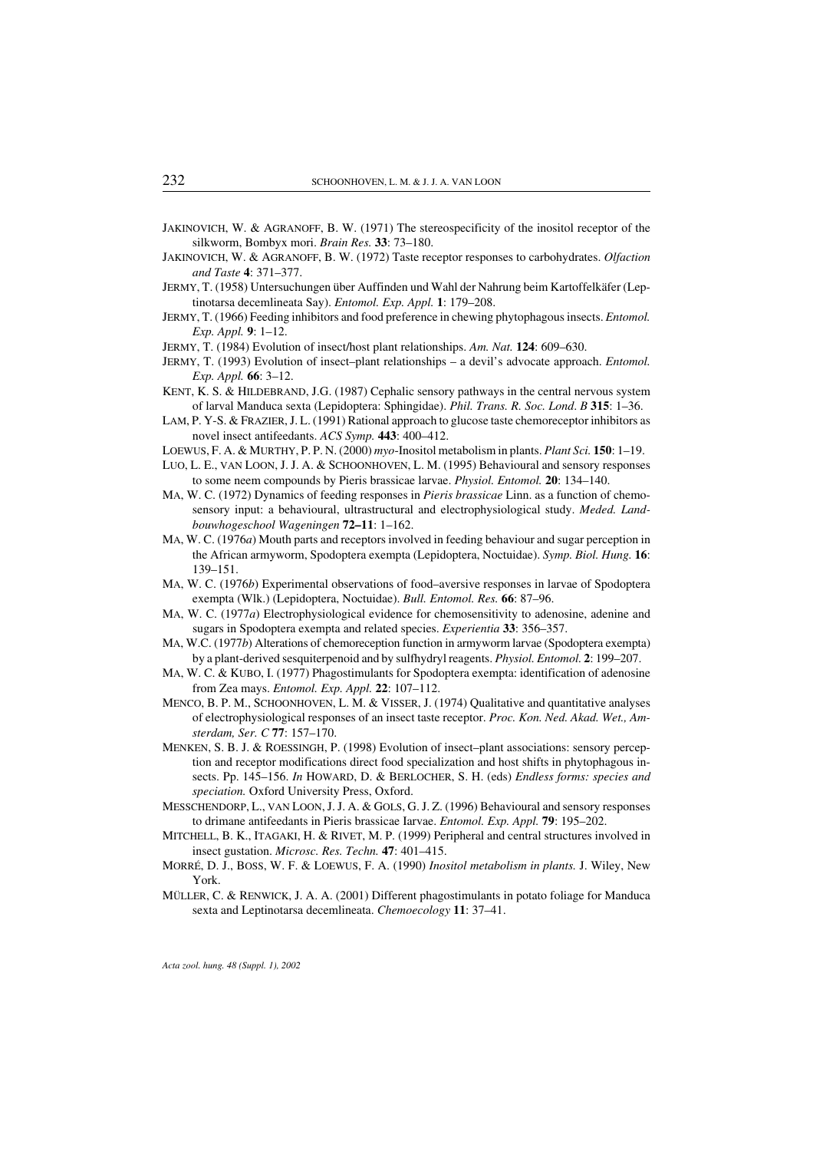- JAKINOVICH, W. & AGRANOFF, B. W. (1971) The stereospecificity of the inositol receptor of the silkworm, Bombyx mori. *Brain Res.* 33: 73–180.
- JAKINOVICH, W. & AGRANOFF, B. W. (1972) Taste receptor responses to carbohydrates. *Olfaction and Taste* 4: 371–377.
- JERMY, T. (1958) Untersuchungen über Auffinden und Wahl der Nahrung beim Kartoffelkäfer (Leptinotarsa decemlineata Say). *Entomol. Exp. Appl.* 1: 179–208.
- JERMY, T. (1966) Feeding inhibitors and food preference in chewing phytophagous insects. *Entomol. Exp. Appl.* 9: 1–12.
- JERMY, T. (1984) Evolution of insect/host plant relationships. *Am. Nat.* 124: 609–630.
- JERMY, T. (1993) Evolution of insect–plant relationships a devil's advocate approach. *Entomol. Exp. Appl.* 66: 3–12.
- KENT, K. S. & HILDEBRAND, J.G. (1987) Cephalic sensory pathways in the central nervous system of larval Manduca sexta (Lepidoptera: Sphingidae). *Phil. Trans. R. Soc. Lond*. *B* 315: 1–36.
- LAM, P. Y-S. & FRAZIER, J. L. (1991) Rational approach to glucose taste chemoreceptor inhibitors as novel insect antifeedants. *ACS Symp.* 443: 400–412.
- LOEWUS, F. A. & MURTHY, P. P. N. (2000) *myo*-Inositol metabolism in plants. *Plant Sci.* 150: 1–19.
- LUO, L. E., VAN LOON, J. J. A. & SCHOONHOVEN, L. M. (1995) Behavioural and sensory responses to some neem compounds by Pieris brassicae larvae. *Physiol. Entomol.* 20: 134–140.
- MA, W. C. (1972) Dynamics of feeding responses in *Pieris brassicae* Linn. as a function of chemosensory input: a behavioural, ultrastructural and electrophysiological study. *Meded. Landbouwhogeschool Wageningen* 72–11: 1–162.
- MA, W. C. (1976*a*) Mouth parts and receptors involved in feeding behaviour and sugar perception in the African armyworm, Spodoptera exempta (Lepidoptera, Noctuidae). *Symp. Biol. Hung.* 16: 139–151.
- MA, W. C. (1976*b*) Experimental observations of food–aversive responses in larvae of Spodoptera exempta (Wlk.) (Lepidoptera, Noctuidae). *Bull. Entomol. Res.* 66: 87–96.
- MA, W. C. (1977*a*) Electrophysiological evidence for chemosensitivity to adenosine, adenine and sugars in Spodoptera exempta and related species. *Experientia* 33: 356–357.
- MA, W.C. (1977*b*) Alterations of chemoreception function in armyworm larvae (Spodoptera exempta) by a plant-derived sesquiterpenoid and by sulfhydryl reagents. *Physiol. Entomol.* 2: 199–207.
- MA, W. C. & KUBO, I. (1977) Phagostimulants for Spodoptera exempta: identification of adenosine from Zea mays. *Entomol. Exp. Appl.* 22: 107–112.
- MENCO, B. P. M., SCHOONHOVEN, L. M. & VISSER, J. (1974) Qualitative and quantitative analyses of electrophysiological responses of an insect taste receptor. *Proc. Kon. Ned. Akad. Wet., Amsterdam, Ser. C* 77: 157–170.
- MENKEN, S. B. J. & ROESSINGH, P. (1998) Evolution of insect–plant associations: sensory perception and receptor modifications direct food specialization and host shifts in phytophagous insects. Pp. 145–156. *In* HOWARD, D. & BERLOCHER, S. H. (eds) *Endless forms: species and speciation.* Oxford University Press, Oxford.
- MESSCHENDORP, L., VAN LOON, J. J. A. & GOLS, G. J. Z. (1996) Behavioural and sensory responses to drimane antifeedants in Pieris brassicae Iarvae. *Entomol. Exp. Appl.* 79: 195–202.
- MITCHELL, B. K., ITAGAKI, H. & RIVET, M. P. (1999) Peripheral and central structures involved in insect gustation. *Microsc. Res. Techn.* 47: 401–415.
- MORRÉ, D. J., BOSS, W. F. & LOEWUS, F. A. (1990) *Inositol metabolism in plants.* J. Wiley, New York.
- MÜLLER, C. & RENWICK, J. A. A. (2001) Different phagostimulants in potato foliage for Manduca sexta and Leptinotarsa decemlineata. *Chemoecology* 11: 37–41.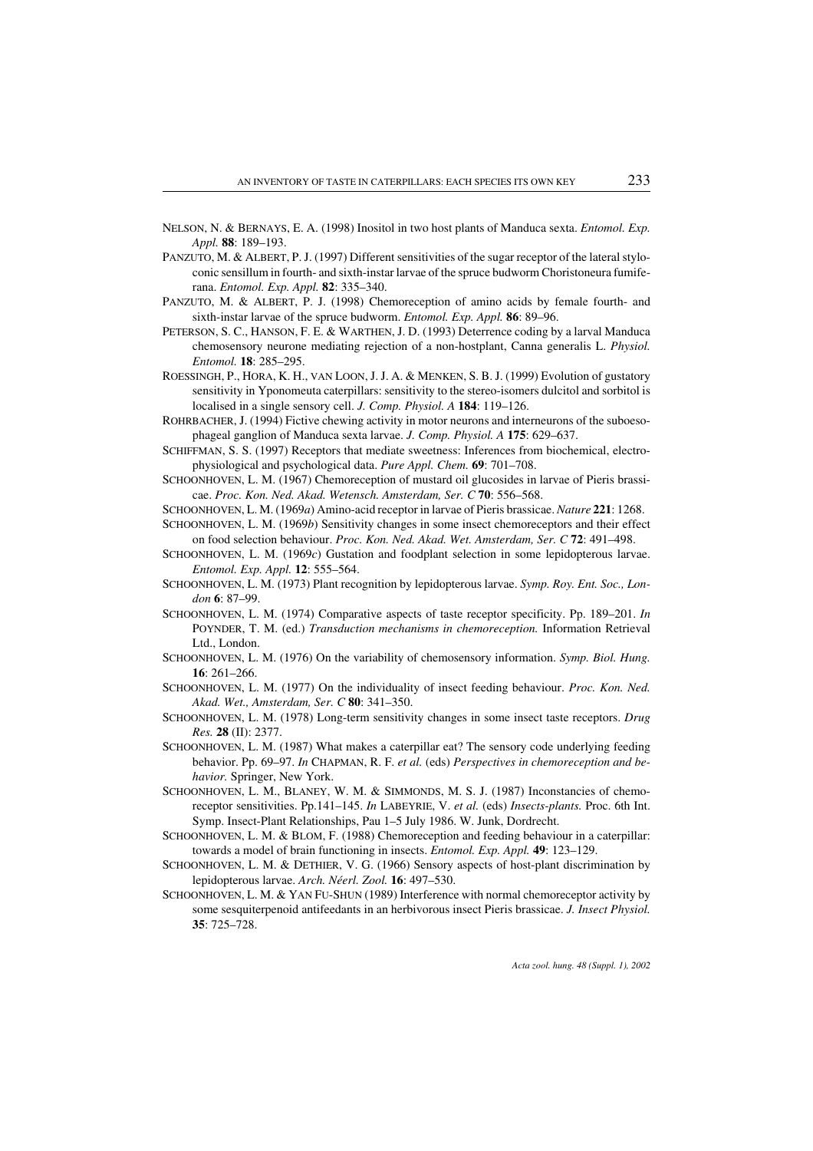- NELSON, N. & BERNAYS, E. A. (1998) Inositol in two host plants of Manduca sexta. *Entomol. Exp. Appl.* 88: 189–193.
- PANZUTO, M. & ALBERT, P. J. (1997) Different sensitivities of the sugar receptor of the lateral styloconic sensillum in fourth- and sixth-instar larvae of the spruce budworm Choristoneura fumiferana. *Entomol. Exp. Appl.* 82: 335–340.
- PANZUTO, M. & ALBERT, P. J. (1998) Chemoreception of amino acids by female fourth- and sixth-instar larvae of the spruce budworm. *Entomol. Exp. Appl.* 86: 89–96.
- PETERSON, S. C., HANSON, F. E. & WARTHEN, J. D. (1993) Deterrence coding by a larval Manduca chemosensory neurone mediating rejection of a non-hostplant, Canna generalis L. *Physiol. Entomol.* 18: 285–295.
- ROESSINGH, P., HORA, K. H., VAN LOON, J. J. A. & MENKEN, S. B. J. (1999) Evolution of gustatory sensitivity in Yponomeuta caterpillars: sensitivity to the stereo-isomers dulcitol and sorbitol is localised in a single sensory cell. *J. Comp. Physiol. A* 184: 119–126.
- ROHRBACHER, J. (1994) Fictive chewing activity in motor neurons and interneurons of the suboesophageal ganglion of Manduca sexta larvae. *J. Comp. Physiol. A* 175: 629–637.
- SCHIFFMAN, S. S. (1997) Receptors that mediate sweetness: Inferences from biochemical, electrophysiological and psychological data. *Pure Appl. Chem.* 69: 701–708.
- SCHOONHOVEN, L. M. (1967) Chemoreception of mustard oil glucosides in larvae of Pieris brassicae. *Proc. Kon. Ned. Akad. Wetensch. Amsterdam, Ser. C* 70: 556–568.

SCHOONHOVEN, L. M. (1969*a*) Amino-acid receptor in larvae of Pieris brassicae. *Nature* 221: 1268.

- SCHOONHOVEN, L. M. (1969*b*) Sensitivity changes in some insect chemoreceptors and their effect on food selection behaviour. *Proc. Kon. Ned. Akad. Wet. Amsterdam, Ser. C* 72: 491–498.
- SCHOONHOVEN, L. M. (1969*c*) Gustation and foodplant selection in some lepidopterous larvae. *Entomol. Exp. Appl.* 12: 555–564.
- SCHOONHOVEN, L. M. (1973) Plant recognition by lepidopterous larvae. *Symp. Roy. Ent. Soc., London* 6: 87–99.
- SCHOONHOVEN, L. M. (1974) Comparative aspects of taste receptor specificity. Pp. 189–201. *In* POYNDER, T. M. (ed.) *Transduction mechanisms in chemoreception.* Information Retrieval Ltd., London.
- SCHOONHOVEN, L. M. (1976) On the variability of chemosensory information. *Symp. Biol. Hung.* 16: 261–266.
- SCHOONHOVEN, L. M. (1977) On the individuality of insect feeding behaviour. *Proc. Kon. Ned. Akad. Wet., Amsterdam, Ser. C* 80: 341–350.
- SCHOONHOVEN, L. M. (1978) Long-term sensitivity changes in some insect taste receptors. *Drug Res.* 28 (II): 2377.
- SCHOONHOVEN, L. M. (1987) What makes a caterpillar eat? The sensory code underlying feeding behavior. Pp. 69–97. *In* CHAPMAN, R. F. *et al.* (eds) *Perspectives in chemoreception and behavior.* Springer, New York.
- SCHOONHOVEN, L. M., BLANEY, W. M. & SIMMONDS, M. S. J. (1987) Inconstancies of chemoreceptor sensitivities. Pp.141–145. *In* LABEYRIE, V. *et al.* (eds) *Insects-plants.* Proc. 6th Int. Symp. Insect-Plant Relationships, Pau 1–5 July 1986. W. Junk, Dordrecht.
- SCHOONHOVEN, L. M. & BLOM, F. (1988) Chemoreception and feeding behaviour in a caterpillar: towards a model of brain functioning in insects. *Entomol. Exp. Appl.* 49: 123–129.
- SCHOONHOVEN, L. M. & DETHIER, V. G. (1966) Sensory aspects of host-plant discrimination by lepidopterous larvae. *Arch. Néerl. Zool.* 16: 497–530.
- SCHOONHOVEN, L. M. & YAN FU-SHUN (1989) Interference with normal chemoreceptor activity by some sesquiterpenoid antifeedants in an herbivorous insect Pieris brassicae. *J. Insect Physiol.* 35: 725–728.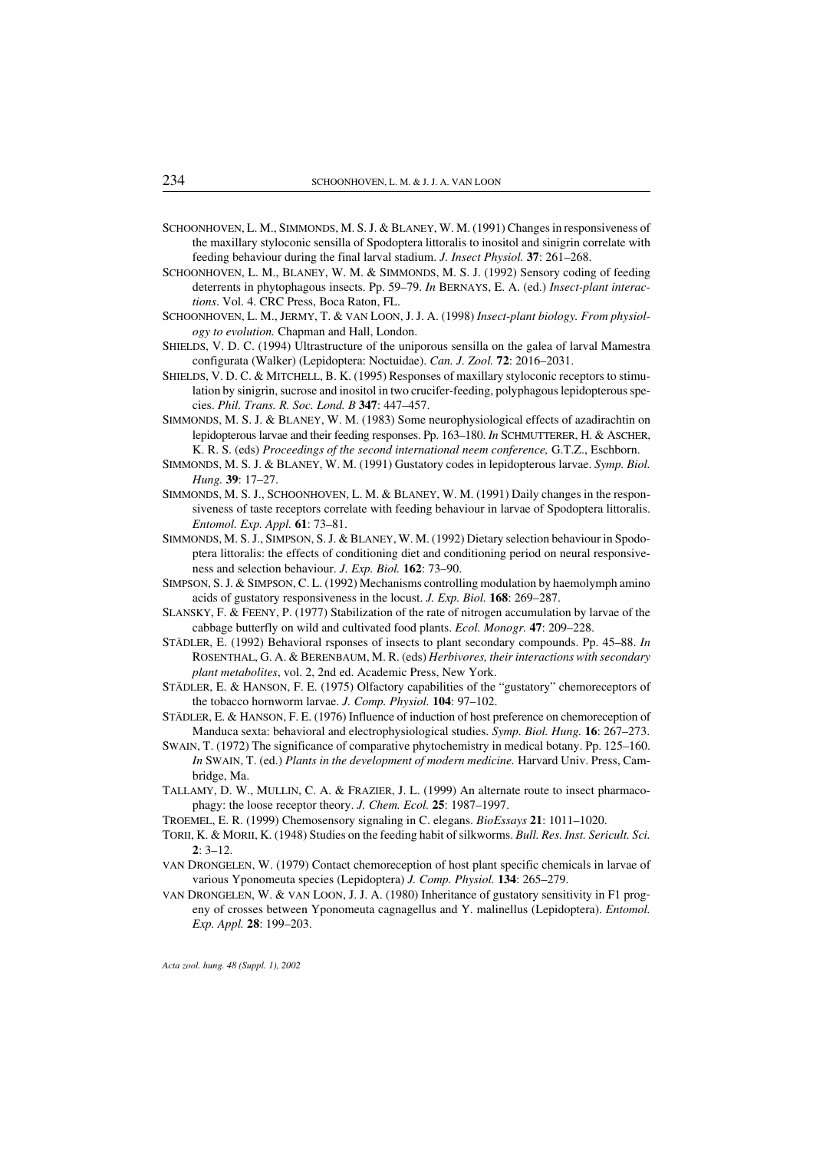- SCHOONHOVEN, L. M., SIMMONDS, M. S. J. & BLANEY, W. M. (1991) Changes in responsiveness of the maxillary styloconic sensilla of Spodoptera littoralis to inositol and sinigrin correlate with feeding behaviour during the final larval stadium. *J. Insect Physiol.* 37: 261–268.
- SCHOONHOVEN, L. M., BLANEY, W. M. & SIMMONDS, M. S. J. (1992) Sensory coding of feeding deterrents in phytophagous insects. Pp. 59–79. *In* BERNAYS, E. A. (ed.) *Insect-plant interactions*. Vol. 4. CRC Press, Boca Raton, FL.
- SCHOONHOVEN, L. M., JERMY, T. & VAN LOON, J. J. A. (1998) *Insect-plant biology. From physiology to evolution.* Chapman and Hall, London.
- SHIELDS, V. D. C. (1994) Ultrastructure of the uniporous sensilla on the galea of larval Mamestra configurata (Walker) (Lepidoptera: Noctuidae). *Can. J. Zool.* 72: 2016–2031.
- SHIELDS, V. D. C. & MITCHELL, B. K. (1995) Responses of maxillary styloconic receptors to stimulation by sinigrin, sucrose and inositol in two crucifer-feeding, polyphagous lepidopterous species. *Phil. Trans. R. Soc. Lond. B* 347: 447–457.
- SIMMONDS, M. S. J. & BLANEY, W. M. (1983) Some neurophysiological effects of azadirachtin on lepidopterous larvae and their feeding responses. Pp. 163–180. *In* SCHMUTTERER, H. & ASCHER, K. R. S. (eds) *Proceedings of the second international neem conference,* G.T.Z., Eschborn.
- SIMMONDS, M. S. J. & BLANEY, W. M. (1991) Gustatory codes in lepidopterous larvae. *Symp. Biol. Hung.* 39: 17–27.
- SIMMONDS, M. S. J., SCHOONHOVEN, L. M. & BLANEY, W. M. (1991) Daily changes in the responsiveness of taste receptors correlate with feeding behaviour in larvae of Spodoptera littoralis. *Entomol. Exp. Appl.* 61: 73–81.
- SIMMONDS, M. S. J., SIMPSON, S. J. & BLANEY, W. M. (1992) Dietary selection behaviour in Spodoptera littoralis: the effects of conditioning diet and conditioning period on neural responsiveness and selection behaviour. *J. Exp. Biol.* 162: 73–90.
- SIMPSON, S. J. & SIMPSON, C. L. (1992) Mechanisms controlling modulation by haemolymph amino acids of gustatory responsiveness in the locust. *J. Exp. Biol.* 168: 269–287.
- SLANSKY, F. & FEENY, P. (1977) Stabilization of the rate of nitrogen accumulation by larvae of the cabbage butterfly on wild and cultivated food plants. *Ecol. Monogr.* 47: 209–228.
- STÄDLER, E. (1992) Behavioral rsponses of insects to plant secondary compounds. Pp. 45–88. *In* ROSENTHAL, G. A. & BERENBAUM, M. R. (eds) *Herbivores, their interactions with secondary plant metabolites*, vol. 2, 2nd ed. Academic Press, New York.
- STÄDLER, E. & HANSON, F. E. (1975) Olfactory capabilities of the "gustatory" chemoreceptors of the tobacco hornworm larvae. *J. Comp. Physiol.* 104: 97–102.
- STÄDLER, E. & HANSON, F. E. (1976) Influence of induction of host preference on chemoreception of Manduca sexta: behavioral and electrophysiological studies. *Symp. Biol. Hung.* 16: 267–273.
- SWAIN, T. (1972) The significance of comparative phytochemistry in medical botany. Pp. 125–160. *In* SWAIN, T. (ed.) *Plants in the development of modern medicine.* Harvard Univ. Press, Cambridge, Ma.
- TALLAMY, D. W., MULLIN, C. A. & FRAZIER, J. L. (1999) An alternate route to insect pharmacophagy: the loose receptor theory. *J. Chem. Ecol.* 25: 1987–1997.
- TROEMEL, E. R. (1999) Chemosensory signaling in C. elegans. *BioEssays* 21: 1011–1020.
- TORII, K. & MORII, K. (1948) Studies on the feeding habit of silkworms. *Bull. Res. Inst. Sericult. Sci.*  $2: 3 - 12$ .
- VAN DRONGELEN, W. (1979) Contact chemoreception of host plant specific chemicals in larvae of various Yponomeuta species (Lepidoptera) *J. Comp. Physiol.* 134: 265–279.
- VAN DRONGELEN, W. & VAN LOON, J. J. A. (1980) Inheritance of gustatory sensitivity in F1 progeny of crosses between Yponomeuta cagnagellus and Y. malinellus (Lepidoptera). *Entomol. Exp. Appl.* 28: 199–203.